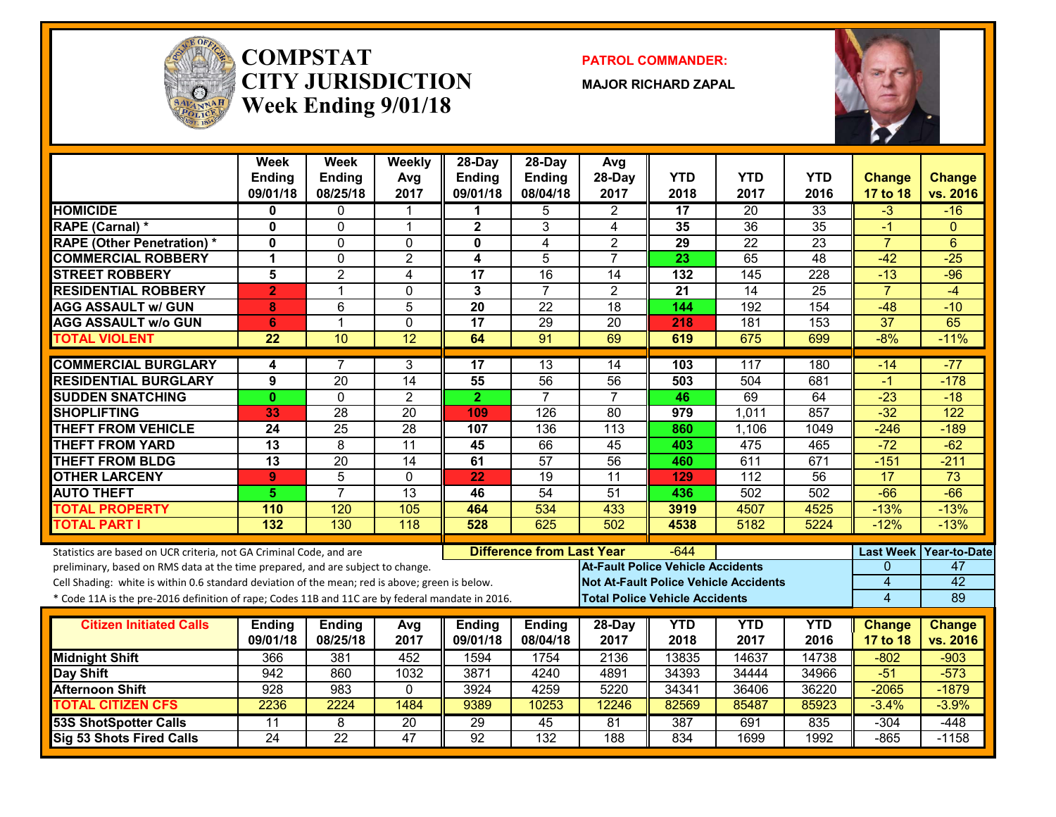

#### **COMPSTATCITY JURISDICTIONWeek Ending 9/01/18**

**PATROL COMMANDER:**

**MAJOR RICHARD ZAPAL**



|                                                                                                  | Week<br>Ending<br>09/01/18 | Week<br><b>Ending</b><br>08/25/18 | Weekly<br>Avg<br>2017 | 28-Day<br><b>Ending</b><br>09/01/18 | $28-Day$<br><b>Ending</b><br>08/04/18 | Avg<br>28-Day<br>2017                        | <b>YTD</b><br>2018 | <b>YTD</b><br>2017 | <b>YTD</b><br>2016 | <b>Change</b><br>17 to 18 | Change<br>vs. 2016 |
|--------------------------------------------------------------------------------------------------|----------------------------|-----------------------------------|-----------------------|-------------------------------------|---------------------------------------|----------------------------------------------|--------------------|--------------------|--------------------|---------------------------|--------------------|
| <b>HOMICIDE</b>                                                                                  | 0                          | $\mathbf{0}$                      | 1                     | 1                                   | 5                                     | $\overline{2}$                               | 17                 | 20                 | 33                 | $-3$                      | $-16$              |
| RAPE (Carnal) *                                                                                  | $\Omega$                   | $\Omega$                          | $\mathbf{1}$          | $\overline{\mathbf{2}}$             | 3                                     | 4                                            | 35                 | $\overline{36}$    | 35                 | $-1$                      | $\Omega$           |
| <b>RAPE (Other Penetration)*</b>                                                                 | $\mathbf{0}$               | $\mathbf{0}$                      | $\Omega$              | 0                                   | 4                                     | $\overline{2}$                               | 29                 | $\overline{22}$    | $\overline{23}$    | $\overline{7}$            | 6                  |
| <b>COMMERCIAL ROBBERY</b>                                                                        | 1                          | $\mathbf{0}$                      | $\overline{2}$        | 4                                   | 5                                     | $\overline{7}$                               | 23                 | 65                 | $\overline{48}$    | $-42$                     | $-25$              |
| <b>STREET ROBBERY</b>                                                                            | 5                          | $\overline{2}$                    | 4                     | 17                                  | $\overline{16}$                       | 14                                           | 132                | 145                | $\overline{228}$   | $-13$                     | $-96$              |
| <b>RESIDENTIAL ROBBERY</b>                                                                       | $\overline{2}$             | $\mathbf{1}$                      | $\Omega$              | 3                                   | $\overline{7}$                        | $\overline{2}$                               | $\overline{21}$    | $\overline{14}$    | $\overline{25}$    | $\overline{7}$            | $-4$               |
| <b>AGG ASSAULT w/ GUN</b>                                                                        | 8                          | 6                                 | $\overline{5}$        | $\overline{20}$                     | $\overline{22}$                       | $\overline{18}$                              | 144                | 192                | 154                | $-48$                     | $-10$              |
| <b>AGG ASSAULT w/o GUN</b>                                                                       | $6\phantom{1}6$            | $\mathbf{1}$                      | 0                     | $\overline{17}$                     | 29                                    | $\overline{20}$                              | 218                | 181                | 153                | $\overline{37}$           | 65                 |
| <b>TOTAL VIOLENT</b>                                                                             | 22                         | 10                                | 12                    | 64                                  | 91                                    | 69                                           | 619                | 675                | 699                | $-8%$                     | $-11%$             |
| <b>COMMERCIAL BURGLARY</b>                                                                       | 4                          | 7                                 | 3                     | 17                                  | $\overline{13}$                       | 14                                           | 103                | 117                | 180                | $-14$                     | $-77$              |
| <b>RESIDENTIAL BURGLARY</b>                                                                      | 9                          | $\overline{20}$                   | 14                    | 55                                  | 56                                    | $\overline{56}$                              | 503                | 504                | 681                | $-1$                      | $-178$             |
| <b>SUDDEN SNATCHING</b>                                                                          | $\mathbf{0}$               | $\Omega$                          | $\overline{2}$        | $\overline{2}$                      | $\overline{7}$                        | $\overline{7}$                               | 46                 | 69                 | 64                 | $-23$                     | $-18$              |
| <b>SHOPLIFTING</b>                                                                               | 33                         | 28                                | $\overline{20}$       | 109                                 | $\overline{126}$                      | $\overline{80}$                              | 979                | 1,011              | 857                | $-32$                     | $\overline{122}$   |
| <b>THEFT FROM VEHICLE</b>                                                                        | 24                         | $\overline{25}$                   | 28                    | 107                                 | 136                                   | $\overline{113}$                             | 860                | 1,106              | 1049               | $-246$                    | $-189$             |
| <b>THEFT FROM YARD</b>                                                                           | $\overline{13}$            | $\overline{8}$                    | $\overline{11}$       | 45                                  | 66                                    | 45                                           | 403                | 475                | 465                | $-72$                     | $-62$              |
| <b>THEFT FROM BLDG</b>                                                                           | $\overline{13}$            | $\overline{20}$                   | $\overline{14}$       | 61                                  | 57                                    | 56                                           | 460                | 611                | 671                | $-151$                    | $-211$             |
| <b>OTHER LARCENY</b>                                                                             | $\mathbf{9}$               | $\overline{5}$                    | $\Omega$              | 22                                  | $\overline{19}$                       | $\overline{11}$                              | 129                | $\overline{112}$   | $\overline{56}$    | 17                        | $\overline{73}$    |
| <b>AUTO THEFT</b>                                                                                | 5.                         | $\overline{7}$                    | 13                    | 46                                  | 54                                    | 51                                           | 436                | 502                | 502                | $-66$                     | $-66$              |
| <b>TOTAL PROPERTY</b>                                                                            | 110                        | 120                               | 105                   | 464                                 | 534                                   | 433                                          | 3919               | 4507               | 4525               | $-13%$                    | $-13%$             |
| <b>TOTAL PART I</b>                                                                              | 132                        | 130                               | 118                   | 528                                 | 625                                   | 502                                          | 4538               | 5182               | 5224               | $-12%$                    | $-13%$             |
| Statistics are based on UCR criteria, not GA Criminal Code, and are                              |                            |                                   |                       |                                     | <b>Difference from Last Year</b>      |                                              | $-644$             |                    |                    | <b>Last Week</b>          | Year-to-Date       |
| preliminary, based on RMS data at the time prepared, and are subject to change.                  |                            |                                   |                       |                                     |                                       | <b>At-Fault Police Vehicle Accidents</b>     |                    |                    |                    | $\mathbf{0}$              | 47                 |
| Cell Shading: white is within 0.6 standard deviation of the mean; red is above; green is below.  |                            |                                   |                       |                                     |                                       | <b>Not At-Fault Police Vehicle Accidents</b> |                    |                    |                    | $\overline{4}$            | 42                 |
| * Code 11A is the pre-2016 definition of rape; Codes 11B and 11C are by federal mandate in 2016. |                            |                                   |                       |                                     |                                       | <b>Total Police Vehicle Accidents</b>        |                    |                    |                    | $\overline{4}$            | 89                 |
|                                                                                                  |                            |                                   |                       |                                     |                                       |                                              |                    |                    |                    |                           |                    |
| <b>Citizen Initiated Calls</b>                                                                   | <b>Ending</b>              | <b>Ending</b>                     | Avg                   | <b>Ending</b>                       | <b>Ending</b>                         | 28-Day                                       | <b>YTD</b>         | <b>YTD</b>         | <b>YTD</b>         | <b>Change</b>             | <b>Change</b>      |
|                                                                                                  | 09/01/18                   | 08/25/18                          | 2017                  | 09/01/18                            | 08/04/18                              | 2017                                         | 2018               | 2017               | 2016               | 17 to 18                  | vs. 2016           |
| <b>Midnight Shift</b>                                                                            | 366                        | 381                               | 452                   | 1594                                | 1754                                  | 2136                                         | 13835              | 14637              | 14738              | $-802$                    | $-903$             |
| Day Shift                                                                                        | 942                        | 860                               | 1032                  | 3871                                | 4240                                  | 4891                                         | 34393              | 34444              | 34966              | $-51$                     | $-573$             |
| <b>Afternoon Shift</b><br><b>TOTAL CITIZEN CFS</b>                                               | 928<br>2236                | 983<br>2224                       | $\Omega$<br>1484      | 3924<br>9389                        | 4259<br>10253                         | 5220<br>12246                                | 34341<br>82569     | 36406<br>85487     | 36220<br>85923     | $-2065$<br>$-3.4%$        | $-1879$<br>$-3.9%$ |
| <b>53S ShotSpotter Calls</b>                                                                     | 11                         | 8                                 | 20                    | $\overline{29}$                     | 45                                    | 81                                           | 387                | 691                | 835                | $-304$                    | $-448$             |
| Sig 53 Shots Fired Calls                                                                         | $\overline{24}$            | $\overline{22}$                   | 47                    | 92                                  | $\overline{132}$                      | 188                                          | 834                | 1699               | 1992               | $-865$                    | $-1158$            |
|                                                                                                  |                            |                                   |                       |                                     |                                       |                                              |                    |                    |                    |                           |                    |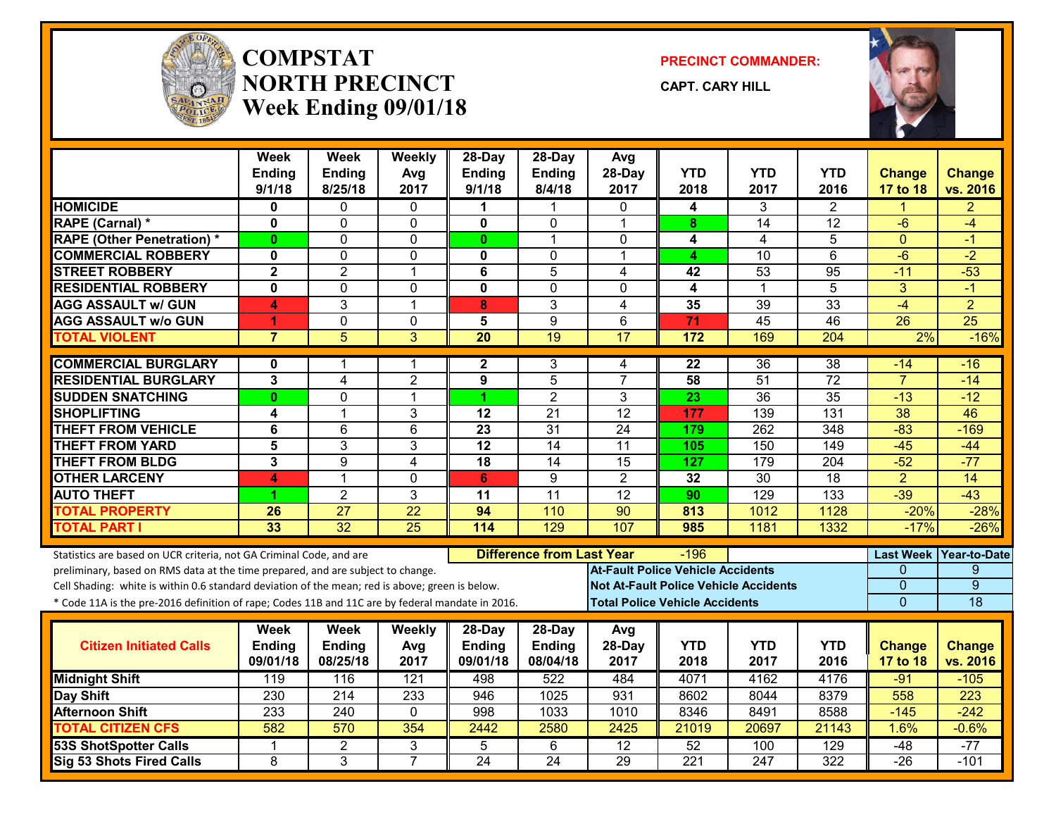

#### **COMPSTATNORTH PRECINCTWeek Ending 09/01/18**

**PRECINCT COMMANDER:**

**CAPT. CARY HILL**



|                                                                                                  | Week<br>Ending<br>9/1/18 | Week<br>Ending<br>8/25/18 | Weekly<br>Avg<br>2017 | $28-Day$<br><b>Ending</b><br>9/1/18 | $28-Dav$<br><b>Ending</b><br>8/4/18 | Avg<br>28-Day<br>2017                        | <b>YTD</b><br>2018 | <b>YTD</b><br>2017 | YTD<br>2016     | <b>Change</b><br>17 to 18 | <b>Change</b><br>vs. 2016 |
|--------------------------------------------------------------------------------------------------|--------------------------|---------------------------|-----------------------|-------------------------------------|-------------------------------------|----------------------------------------------|--------------------|--------------------|-----------------|---------------------------|---------------------------|
| <b>HOMICIDE</b>                                                                                  | 0                        | $\Omega$                  | $\mathbf{0}$          | 1                                   | $\blacktriangleleft$                | $\Omega$                                     | 4                  | 3                  | $\overline{2}$  | 1                         | $\overline{2}$            |
| RAPE (Carnal) *                                                                                  | $\mathbf 0$              | $\Omega$                  | 0                     | 0                                   | $\mathbf{0}$                        | $\mathbf 1$                                  | 8                  | 14                 | $\overline{12}$ | -6                        | $-4$                      |
| <b>RAPE (Other Penetration) *</b>                                                                | $\mathbf{0}$             | $\Omega$                  | $\mathbf 0$           | $\mathbf{0}$                        | $\mathbf{1}$                        | 0                                            | 4                  | $\overline{4}$     | 5               | $\Omega$                  | $-1$                      |
| <b>COMMERCIAL ROBBERY</b>                                                                        | 0                        | $\Omega$                  | 0                     | $\mathbf 0$                         | $\mathbf{0}$                        | $\mathbf 1$                                  | 4                  | $\overline{10}$    | $\overline{6}$  | $-6$                      | $-2$                      |
| <b>STREET ROBBERY</b>                                                                            | $\overline{2}$           | $\overline{2}$            | 1                     | 6                                   | $\overline{5}$                      | 4                                            | 42                 | $\overline{53}$    | 95              | $-11$                     | $-53$                     |
| <b>RESIDENTIAL ROBBERY</b>                                                                       | 0                        | $\Omega$                  | 0                     | $\mathbf 0$                         | $\mathbf 0$                         | 0                                            | 4                  | $\mathbf{1}$       | 5               | 3                         | $-1$                      |
| <b>AGG ASSAULT w/ GUN</b>                                                                        | 4                        | $\overline{3}$            | 1                     | 8                                   | $\overline{3}$                      | 4                                            | $\overline{35}$    | 39                 | 33              | $-4$                      | $\overline{2}$            |
| <b>AGG ASSAULT w/o GUN</b>                                                                       | 1                        | 0                         | $\mathbf 0$           | 5                                   | $\boldsymbol{9}$                    | 6                                            | 71                 | $\overline{45}$    | 46              | $\overline{26}$           | $\overline{25}$           |
| <b>TOTAL VIOLENT</b>                                                                             | $\overline{7}$           | 5                         | 3                     | $\overline{20}$                     | 19                                  | 17                                           | 172                | 169                | 204             | 2%                        | $-16%$                    |
| <b>COMMERCIAL BURGLARY</b>                                                                       | 0                        | 1                         | 1                     | $\mathbf{2}$                        | 3                                   | 4                                            | 22                 | 36                 | $\overline{38}$ | $-14$                     | $-16$                     |
| <b>RESIDENTIAL BURGLARY</b>                                                                      | 3                        | 4                         | $\overline{2}$        | $\boldsymbol{9}$                    | 5                                   | $\overline{7}$                               | 58                 | 51                 | 72              | $\overline{7}$            | $-14$                     |
| <b>SUDDEN SNATCHING</b>                                                                          | $\mathbf{0}$             | $\Omega$                  | 1                     | 1                                   | $\overline{2}$                      | 3                                            | 23                 | $\overline{36}$    | 35              | $-13$                     | $-12$                     |
| <b>SHOPLIFTING</b>                                                                               | 4                        | 1                         | 3                     | $\overline{12}$                     | $\overline{21}$                     | $\overline{12}$                              | 177                | 139                | 131             | 38                        | 46                        |
| <b>THEFT FROM VEHICLE</b>                                                                        | 6                        | 6                         | $6\phantom{1}$        | $\overline{23}$                     | $\overline{31}$                     | $\overline{24}$                              | 179                | 262                | 348             | $-83$                     | $-169$                    |
| <b>THEFT FROM YARD</b>                                                                           | 5                        | 3                         | 3                     | $\overline{12}$                     | $\overline{14}$                     | $\overline{11}$                              | 105                | 150                | 149             | $-45$                     | $-44$                     |
| <b>THEFT FROM BLDG</b>                                                                           | $\overline{3}$           | $\overline{9}$            | $\overline{4}$        | $\overline{18}$                     | $\overline{14}$                     | 15                                           | $\overline{127}$   | 179                | 204             | $-52$                     | $-77$                     |
| <b>OTHER LARCENY</b>                                                                             | $\blacktriangle$         | 1                         | $\mathbf 0$           | 6                                   | $\boldsymbol{9}$                    | $\overline{2}$                               | 32                 | 30                 | 18              | $\overline{2}$            | 14                        |
| <b>AUTO THEFT</b>                                                                                | 1.                       | $\overline{2}$            | 3                     | 11                                  | 11                                  | 12                                           | 90                 | 129                | 133             | $-39$                     | $-43$                     |
| <b>TOTAL PROPERTY</b>                                                                            | 26                       | $\overline{27}$           | $\overline{22}$       | 94                                  | 110                                 | $\overline{90}$                              | 813                | 1012               | 1128            | $-20%$                    | $-28%$                    |
| <b>TOTAL PART I</b>                                                                              | 33                       | $\overline{32}$           | $\overline{25}$       | 114                                 | 129                                 | 107                                          | 985                | 1181               | 1332            | $-17%$                    | $-26%$                    |
| Statistics are based on UCR criteria, not GA Criminal Code, and are                              |                          |                           |                       |                                     | <b>Difference from Last Year</b>    |                                              | $-196$             |                    |                 | <b>Last Week</b>          | Year-to-Date              |
| preliminary, based on RMS data at the time prepared, and are subject to change.                  |                          |                           |                       |                                     |                                     | <b>At-Fault Police Vehicle Accidents</b>     |                    |                    |                 | $\mathbf{0}$              | 9                         |
| Cell Shading: white is within 0.6 standard deviation of the mean; red is above; green is below.  |                          |                           |                       |                                     |                                     | <b>Not At-Fault Police Vehicle Accidents</b> |                    |                    |                 | $\overline{0}$            | $\overline{9}$            |
| * Code 11A is the pre-2016 definition of rape; Codes 11B and 11C are by federal mandate in 2016. |                          |                           |                       |                                     |                                     | <b>Total Police Vehicle Accidents</b>        |                    |                    |                 | $\Omega$                  | 18                        |
|                                                                                                  | Week                     | <b>Week</b>               | <b>Weekly</b>         | $28-Day$                            | 28-Day                              | Avg                                          |                    |                    |                 |                           |                           |
| <b>Citizen Initiated Calls</b>                                                                   | <b>Ending</b>            | Ending                    | Avg                   | <b>Ending</b>                       | <b>Ending</b>                       | 28-Day                                       | <b>YTD</b>         | <b>YTD</b>         | <b>YTD</b>      | <b>Change</b>             | <b>Change</b>             |
|                                                                                                  | 09/01/18                 | 08/25/18                  | 2017                  | 09/01/18                            | 08/04/18                            | 2017                                         | 2018               | 2017               | 2016            | 17 to 18                  | vs. 2016                  |
| <b>Midnight Shift</b>                                                                            | 119                      | 116                       | 121                   | 498                                 | 522                                 | 484                                          | 4071               | 4162               | 4176            | $-91$                     | $-105$                    |
| Day Shift                                                                                        | 230                      | 214                       | 233                   | 946                                 | 1025                                | 931                                          | 8602               | 8044               | 8379            | 558                       | 223                       |
| <b>Afternoon Shift</b>                                                                           | 233                      | 240                       | $\mathbf 0$           | 998                                 | 1033                                | 1010                                         | 8346               | 8491               | 8588            | $-145$                    | $-242$                    |
| <b>TOTAL CITIZEN CFS</b>                                                                         | 582                      | 570                       | 354                   | 2442                                | 2580                                | 2425                                         | 21019              | 20697              | 21143           | 1.6%                      | $-0.6%$                   |
| <b>53S ShotSpotter Calls</b>                                                                     | $\mathbf 1$              | $\overline{2}$            | 3                     | $\overline{5}$                      | $\overline{6}$                      | $\overline{12}$                              | 52                 | 100                | 129             | $-48$                     | $-77$                     |
| <b>Sig 53 Shots Fired Calls</b>                                                                  | $\overline{8}$           | $\overline{3}$            | $\overline{7}$        | $\overline{24}$                     | $\overline{24}$                     | 29                                           | 221                | 247                | 322             | $-26$                     | $-101$                    |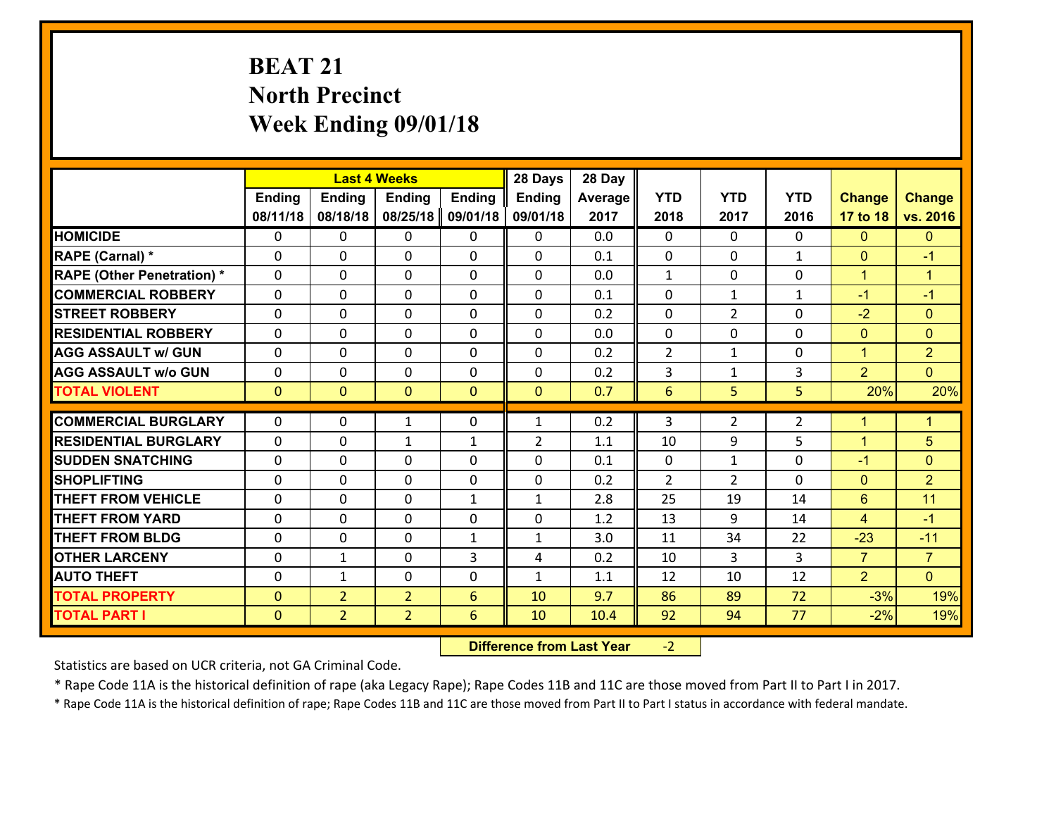# **BEAT 21 North Precinct Week Ending 09/01/18**

|                                   | <b>Last 4 Weeks</b><br><b>Ending</b><br><b>Ending</b><br><b>Ending</b><br><b>Ending</b> |                |                | 28 Days      | 28 Day         |         |                |                |                |                |                      |
|-----------------------------------|-----------------------------------------------------------------------------------------|----------------|----------------|--------------|----------------|---------|----------------|----------------|----------------|----------------|----------------------|
|                                   |                                                                                         |                |                |              | <b>Ending</b>  | Average | <b>YTD</b>     | <b>YTD</b>     | <b>YTD</b>     | <b>Change</b>  | <b>Change</b>        |
|                                   | 08/11/18                                                                                | 08/18/18       | 08/25/18       | 09/01/18     | 09/01/18       | 2017    | 2018           | 2017           | 2016           | 17 to 18       | vs. 2016             |
| <b>HOMICIDE</b>                   | $\Omega$                                                                                | 0              | $\Omega$       | 0            | $\Omega$       | 0.0     | $\Omega$       | $\Omega$       | $\Omega$       | $\mathbf{0}$   | $\mathbf{0}$         |
| RAPE (Carnal) *                   | 0                                                                                       | 0              | $\mathbf{0}$   | 0            | $\Omega$       | 0.1     | $\mathbf{0}$   | 0              | $\mathbf{1}$   | $\mathbf{0}$   | $-1$                 |
| <b>RAPE (Other Penetration) *</b> | $\Omega$                                                                                | 0              | $\mathbf{0}$   | $\Omega$     | $\Omega$       | 0.0     | $\mathbf{1}$   | $\Omega$       | $\Omega$       | $\mathbf{1}$   | $\blacktriangleleft$ |
| <b>COMMERCIAL ROBBERY</b>         | 0                                                                                       | 0              | 0              | 0            | 0              | 0.1     | $\mathbf{0}$   | $\mathbf{1}$   | $\mathbf{1}$   | $-1$           | $-1$                 |
| <b>STREET ROBBERY</b>             | $\Omega$                                                                                | 0              | $\mathbf 0$    | 0            | 0              | 0.2     | $\mathbf 0$    | $\overline{2}$ | 0              | $-2$           | $\mathbf{0}$         |
| <b>RESIDENTIAL ROBBERY</b>        | $\Omega$                                                                                | $\Omega$       | $\mathbf 0$    | $\Omega$     | 0              | 0.0     | $\mathbf 0$    | $\Omega$       | $\Omega$       | $\overline{0}$ | $\overline{0}$       |
| <b>AGG ASSAULT w/ GUN</b>         | $\Omega$                                                                                | 0              | $\mathbf 0$    | $\Omega$     | 0              | 0.2     | $\overline{2}$ | $\mathbf{1}$   | 0              | $\mathbf{1}$   | $\overline{2}$       |
| <b>AGG ASSAULT w/o GUN</b>        | 0                                                                                       | 0              | $\mathbf 0$    | 0            | 0              | 0.2     | 3              | $\mathbf{1}$   | 3              | $\overline{2}$ | $\overline{0}$       |
| <b>TOTAL VIOLENT</b>              | $\mathbf{0}$                                                                            | $\overline{0}$ | $\overline{0}$ | $\mathbf{0}$ | $\mathbf{0}$   | 0.7     | $6\phantom{1}$ | 5              | 5              | 20%            | 20%                  |
| <b>COMMERCIAL BURGLARY</b>        | $\Omega$                                                                                | 0              | 1              | $\Omega$     | $\mathbf{1}$   | 0.2     | 3              | $\overline{2}$ | $\overline{2}$ | $\mathbf{1}$   | $\mathbf{1}$         |
|                                   |                                                                                         |                |                |              |                |         |                |                |                |                |                      |
| <b>RESIDENTIAL BURGLARY</b>       | 0                                                                                       | 0              | $\mathbf{1}$   | $\mathbf{1}$ | $\overline{2}$ | 1.1     | 10             | 9              | 5              | $\mathbf{1}$   | 5                    |
| <b>SUDDEN SNATCHING</b>           | 0                                                                                       | 0              | $\mathbf 0$    | 0            | 0              | 0.1     | $\mathbf 0$    | $\mathbf{1}$   | 0              | $-1$           | $\mathbf{0}$         |
| <b>SHOPLIFTING</b>                | $\Omega$                                                                                | 0              | $\mathbf 0$    | 0            | 0              | 0.2     | $\overline{2}$ | $\overline{2}$ | $\Omega$       | $\overline{0}$ | $\overline{2}$       |
| <b>THEFT FROM VEHICLE</b>         | $\Omega$                                                                                | 0              | $\mathbf 0$    | $\mathbf{1}$ | $\mathbf{1}$   | 2.8     | 25             | 19             | 14             | 6              | 11                   |
| <b>THEFT FROM YARD</b>            | 0                                                                                       | 0              | $\mathbf 0$    | 0            | 0              | 1.2     | 13             | 9              | 14             | $\overline{4}$ | $-1$                 |
| <b>THEFT FROM BLDG</b>            | 0                                                                                       | 0              | $\mathbf 0$    | $\mathbf{1}$ | $\mathbf{1}$   | 3.0     | 11             | 34             | 22             | $-23$          | $-11$                |
| <b>OTHER LARCENY</b>              | 0                                                                                       | 1              | $\mathbf 0$    | 3            | 4              | 0.2     | 10             | 3              | 3              | $\overline{7}$ | $\overline{7}$       |
| <b>AUTO THEFT</b>                 | $\mathbf{0}$                                                                            | 1              | $\mathbf{0}$   | 0            | $\mathbf{1}$   | 1.1     | 12             | 10             | 12             | $\overline{2}$ | $\overline{0}$       |
| <b>TOTAL PROPERTY</b>             | $\mathbf{0}$                                                                            | $\overline{2}$ | $\overline{2}$ | 6            | 10             | 9.7     | 86             | 89             | 72             | $-3%$          | 19%                  |
| <b>TOTAL PART I</b>               | $\mathbf{0}$                                                                            | $\overline{2}$ | $\overline{2}$ | 6            | 10             | 10.4    | 92             | 94             | 77             | $-2%$          | 19%                  |

 **Difference from Last Year**‐2

Statistics are based on UCR criteria, not GA Criminal Code.

\* Rape Code 11A is the historical definition of rape (aka Legacy Rape); Rape Codes 11B and 11C are those moved from Part II to Part I in 2017.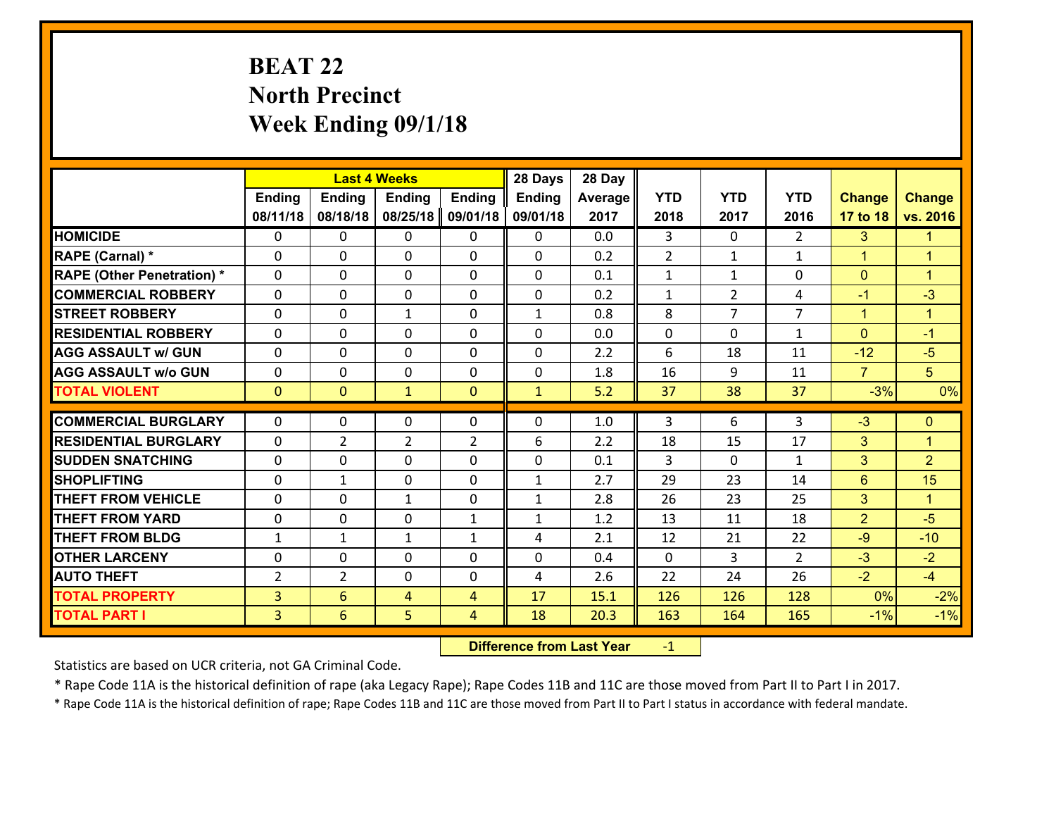# **BEAT 22 North Precinct Week Ending 09/1/18**

|                                              |                                  | <b>Last 4 Weeks</b>  |                     |                     | 28 Days       | 28 Day       |                |                |                |                      |                      |
|----------------------------------------------|----------------------------------|----------------------|---------------------|---------------------|---------------|--------------|----------------|----------------|----------------|----------------------|----------------------|
|                                              | Ending                           | <b>Ending</b>        | <b>Ending</b>       | <b>Ending</b>       | <b>Ending</b> | Average      | <b>YTD</b>     | <b>YTD</b>     | <b>YTD</b>     | <b>Change</b>        | <b>Change</b>        |
|                                              | 08/11/18                         | 08/18/18             | 08/25/18            | 09/01/18            | 09/01/18      | 2017         | 2018           | 2017           | 2016           | 17 to 18             | vs. 2016             |
| <b>HOMICIDE</b>                              | $\mathbf{0}$                     | 0                    | 0                   | $\mathbf{0}$        | 0             | 0.0          | 3              | $\Omega$       | $\overline{2}$ | 3                    | $\blacktriangleleft$ |
| <b>RAPE (Carnal) *</b>                       | $\Omega$                         | 0                    | 0                   | $\mathbf{0}$        | $\Omega$      | 0.2          | $\overline{2}$ | $\mathbf{1}$   | $\mathbf{1}$   | $\blacktriangleleft$ | $\blacktriangleleft$ |
| <b>RAPE (Other Penetration) *</b>            | $\Omega$                         | 0                    | $\Omega$            | $\Omega$            | $\Omega$      | 0.1          | $\mathbf{1}$   | $\mathbf{1}$   | $\Omega$       | $\mathbf{0}$         | $\blacktriangleleft$ |
| <b>COMMERCIAL ROBBERY</b>                    | 0                                | 0                    | 0                   | 0                   | 0             | 0.2          | $\mathbf{1}$   | $\overline{2}$ | 4              | $-1$                 | $-3$                 |
| <b>STREET ROBBERY</b>                        | $\Omega$                         | 0                    | $\mathbf{1}$        | $\Omega$            | $\mathbf{1}$  | 0.8          | 8              | $\overline{7}$ | $\overline{7}$ | $\mathbf{1}$         | $\blacktriangleleft$ |
| <b>RESIDENTIAL ROBBERY</b>                   | $\Omega$                         | $\Omega$             | 0                   | $\Omega$            | $\Omega$      | 0.0          | $\mathbf 0$    | $\Omega$       | $\mathbf{1}$   | $\Omega$             | $-1$                 |
| <b>AGG ASSAULT w/ GUN</b>                    | $\Omega$                         | 0                    | 0                   | $\Omega$            | 0             | 2.2          | 6              | 18             | 11             | $-12$                | $-5$                 |
| <b>AGG ASSAULT w/o GUN</b>                   | 0                                | 0                    | 0                   | 0                   | 0             | 1.8          | 16             | 9              | 11             | $\overline{7}$       | 5 <sup>5</sup>       |
| <b>TOTAL VIOLENT</b>                         | $\overline{0}$                   | $\overline{0}$       | $\mathbf{1}$        | $\overline{0}$      | $\mathbf{1}$  | 5.2          | 37             | 38             | 37             | $-3%$                | 0%                   |
|                                              |                                  |                      |                     |                     |               |              |                |                |                |                      |                      |
|                                              |                                  |                      |                     |                     |               |              |                |                |                |                      |                      |
| <b>COMMERCIAL BURGLARY</b>                   | $\Omega$                         | 0                    | 0                   | 0                   | $\Omega$      | 1.0          | 3              | 6              | 3              | $-3$                 | $\mathbf{0}$         |
| <b>RESIDENTIAL BURGLARY</b>                  | $\Omega$                         | $\overline{2}$       | $\overline{2}$      | 2                   | 6             | 2.2          | 18             | 15             | 17             | 3                    | $\blacktriangleleft$ |
| <b>SUDDEN SNATCHING</b>                      | $\Omega$                         | 0                    | $\mathbf{0}$        | $\Omega$            | 0             | 0.1          | 3              | 0              | $\mathbf{1}$   | 3                    | $\overline{2}$       |
| <b>SHOPLIFTING</b>                           | 0                                | $\mathbf{1}$         | 0                   | 0                   | $\mathbf{1}$  | 2.7          | 29             | 23             | 14             | 6                    | 15                   |
| <b>THEFT FROM VEHICLE</b>                    | $\Omega$                         | 0                    | $\mathbf{1}$        | 0                   | $\mathbf{1}$  | 2.8          | 26             | 23             | 25             | 3                    | $\mathbf{1}$         |
| <b>THEFT FROM YARD</b>                       | 0                                | 0                    | $\mathbf{0}$        | $\mathbf{1}$        | $\mathbf{1}$  | 1.2          | 13             | 11             | 18             | $\overline{2}$       | $-5$                 |
| <b>THEFT FROM BLDG</b>                       | $\mathbf{1}$                     | $\mathbf{1}$         | $\mathbf{1}$        | $\mathbf{1}$        | 4             | 2.1          | 12             | 21             | 22             | $-9$                 | $-10$                |
| <b>OTHER LARCENY</b>                         | 0                                | 0                    | 0<br>$\mathbf{0}$   | 0                   | 0<br>4        | 0.4          | $\mathbf 0$    | 3              | $\overline{2}$ | $-3$                 | $-2$                 |
| <b>AUTO THEFT</b>                            | $\overline{2}$                   | $\overline{2}$       |                     | 0<br>$\overline{4}$ |               | 2.6          | 22             | 24             | 26             | $-2$                 | $-4$                 |
| <b>TOTAL PROPERTY</b><br><b>TOTAL PART I</b> | $\overline{3}$<br>$\overline{3}$ | $6\overline{6}$<br>6 | $\overline{4}$<br>5 | $\overline{4}$      | 17<br>18      | 15.1<br>20.3 | 126<br>163     | 126<br>164     | 128<br>165     | 0%<br>$-1%$          | $-2%$<br>$-1%$       |

 **Difference from Last Year**r -1

Statistics are based on UCR criteria, not GA Criminal Code.

\* Rape Code 11A is the historical definition of rape (aka Legacy Rape); Rape Codes 11B and 11C are those moved from Part II to Part I in 2017.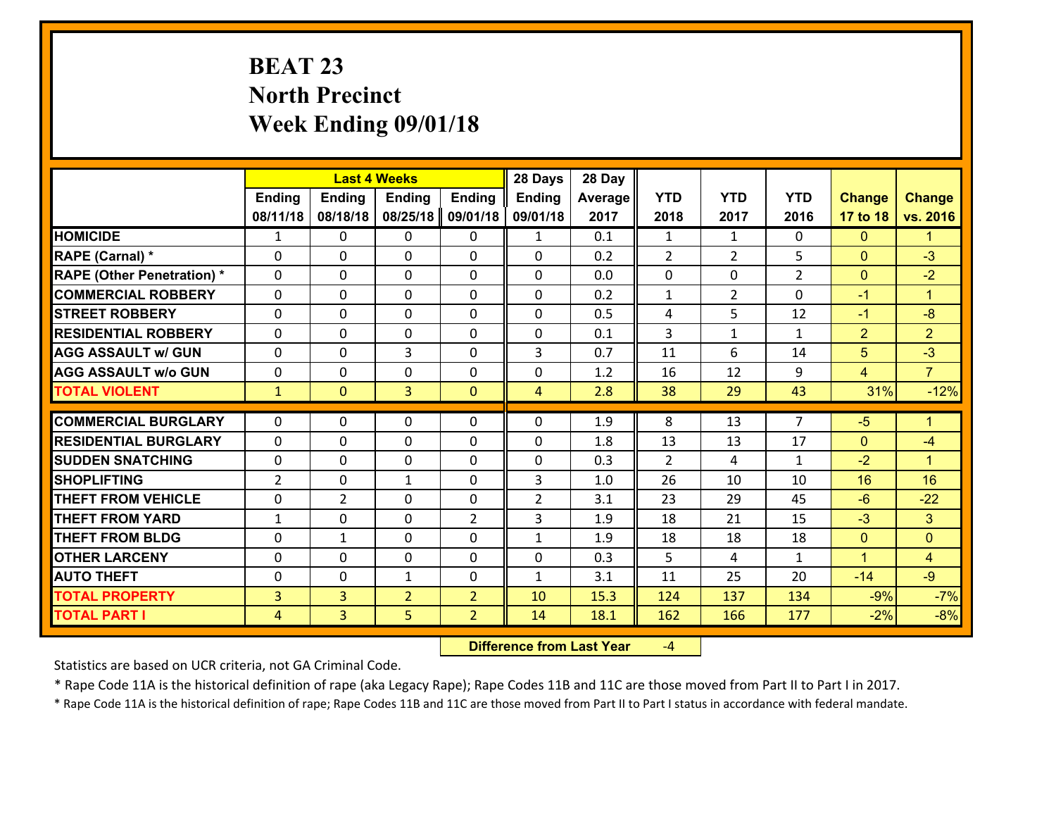# **BEAT 23 North Precinct Week Ending 09/01/18**

|                                   |                |                | <b>Last 4 Weeks</b> |                | 28 Days        | 28 Day  |                |                |                |                |                      |
|-----------------------------------|----------------|----------------|---------------------|----------------|----------------|---------|----------------|----------------|----------------|----------------|----------------------|
|                                   | <b>Ending</b>  | <b>Ending</b>  | <b>Ending</b>       | <b>Ending</b>  | <b>Ending</b>  | Average | <b>YTD</b>     | <b>YTD</b>     | <b>YTD</b>     | <b>Change</b>  | <b>Change</b>        |
|                                   | 08/11/18       | 08/18/18       | 08/25/18            | 09/01/18       | 09/01/18       | 2017    | 2018           | 2017           | 2016           | 17 to 18       | vs. 2016             |
| <b>HOMICIDE</b>                   | $\mathbf{1}$   | 0              | 0                   | 0              | $\mathbf{1}$   | 0.1     | 1              | $\mathbf{1}$   | 0              | $\mathbf{0}$   | 1.                   |
| RAPE (Carnal) *                   | $\mathbf{0}$   | 0              | $\mathbf{0}$        | 0              | 0              | 0.2     | 2              | $\overline{2}$ | 5              | $\mathbf{0}$   | $-3$                 |
| <b>RAPE (Other Penetration) *</b> | $\Omega$       | 0              | $\mathbf{0}$        | $\Omega$       | 0              | 0.0     | $\mathbf{0}$   | 0              | $\overline{2}$ | $\mathbf{0}$   | $-2$                 |
| <b>COMMERCIAL ROBBERY</b>         | $\mathbf{0}$   | 0              | 0                   | 0              | $\Omega$       | 0.2     | $\mathbf{1}$   | $\overline{2}$ | 0              | $-1$           | $\mathbf{1}$         |
| <b>STREET ROBBERY</b>             | 0              | 0              | $\mathbf 0$         | 0              | 0              | 0.5     | 4              | 5              | 12             | $-1$           | $-8$                 |
| <b>RESIDENTIAL ROBBERY</b>        | $\Omega$       | $\Omega$       | $\mathbf 0$         | $\Omega$       | 0              | 0.1     | $\overline{3}$ | $\mathbf{1}$   | $\mathbf{1}$   | $\overline{2}$ | $\overline{2}$       |
| <b>AGG ASSAULT w/ GUN</b>         | 0              | 0              | 3                   | 0              | 3              | 0.7     | 11             | 6              | 14             | 5              | $-3$                 |
| <b>AGG ASSAULT w/o GUN</b>        | 0              | 0              | $\mathbf 0$         | $\mathbf 0$    | 0              | 1.2     | 16             | 12             | 9              | $\overline{4}$ | $\overline{7}$       |
| <b>TOTAL VIOLENT</b>              | $\mathbf{1}$   | $\mathbf{0}$   | $\overline{3}$      | $\mathbf{0}$   | $\overline{4}$ | 2.8     | 38             | 29             | 43             | 31%            | $-12%$               |
| <b>COMMERCIAL BURGLARY</b>        | $\Omega$       | 0              | $\mathbf{0}$        | $\Omega$       | $\Omega$       | 1.9     | 8              | 13             | $\overline{7}$ | $-5$           | $\blacktriangleleft$ |
| <b>RESIDENTIAL BURGLARY</b>       | 0              | 0              | $\mathbf 0$         | 0              | 0              | 1.8     | 13             | 13             | 17             | $\mathbf{0}$   | $-4$                 |
| <b>SUDDEN SNATCHING</b>           | 0              | 0              | $\mathbf 0$         | 0              | 0              | 0.3     | $\overline{2}$ | 4              | $\mathbf{1}$   | $-2$           | $\mathbf{1}$         |
| <b>SHOPLIFTING</b>                | $\overline{2}$ | 0              | 1                   | 0              | 3              | 1.0     | 26             | 10             | 10             | 16             | 16                   |
| <b>THEFT FROM VEHICLE</b>         | 0              | $\overline{2}$ | $\mathbf 0$         | 0              | $\overline{2}$ | 3.1     | 23             | 29             | 45             | $-6$           | $-22$                |
| <b>THEFT FROM YARD</b>            | $\mathbf{1}$   | 0              | $\mathbf 0$         | $\overline{2}$ | 3              | 1.9     | 18             | 21             | 15             | $-3$           | 3 <sup>1</sup>       |
| <b>THEFT FROM BLDG</b>            | 0              | $\mathbf{1}$   | $\mathbf 0$         | 0              | $\mathbf{1}$   | 1.9     | 18             | 18             | 18             | $\mathbf{0}$   | $\overline{0}$       |
| <b>OTHER LARCENY</b>              | 0              | 0              | $\mathbf 0$         | 0              | 0              | 0.3     | 5              | 4              | $\mathbf{1}$   | $\mathbf{1}$   | $\overline{4}$       |
| <b>AUTO THEFT</b>                 | $\mathbf{0}$   | 0              | $\mathbf{1}$        | 0              | $\mathbf{1}$   | 3.1     | 11             | 25             | 20             | $-14$          | $-9$                 |
| <b>TOTAL PROPERTY</b>             | $\overline{3}$ | 3              | $\overline{2}$      | $\overline{2}$ | 10             | 15.3    | 124            | 137            | 134            | $-9%$          | $-7%$                |
| <b>TOTAL PART I</b>               | $\overline{4}$ | $\overline{3}$ | 5                   | $\overline{2}$ | 14             | 18.1    | 162            | 166            | 177            | $-2%$          | $-8%$                |

 **Difference from Last Year**‐4

Statistics are based on UCR criteria, not GA Criminal Code.

\* Rape Code 11A is the historical definition of rape (aka Legacy Rape); Rape Codes 11B and 11C are those moved from Part II to Part I in 2017.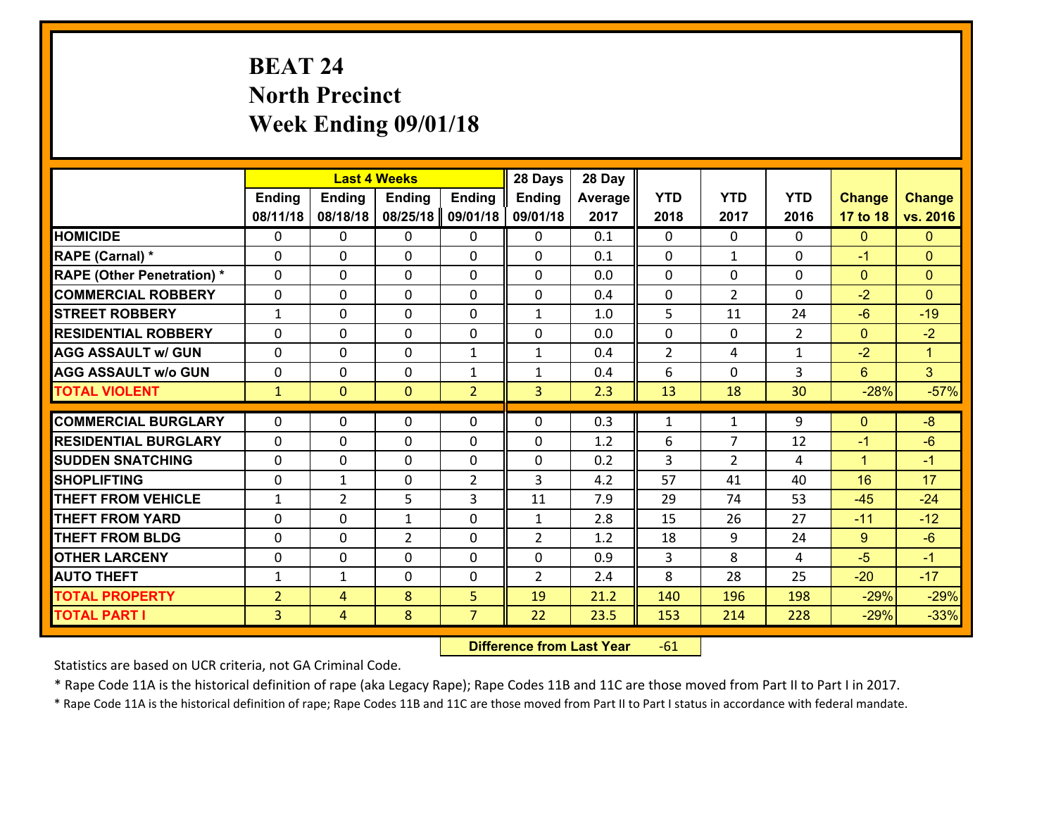# **BEAT 24 North Precinct Week Ending 09/01/18**

|                                               | <b>Last 4 Weeks</b><br><b>Ending</b><br><b>Ending</b><br><b>Ending</b><br><b>Ending</b> |                |                | 28 Days        | 28 Day         |            |                |                |                |                    |                |
|-----------------------------------------------|-----------------------------------------------------------------------------------------|----------------|----------------|----------------|----------------|------------|----------------|----------------|----------------|--------------------|----------------|
|                                               |                                                                                         |                |                |                | <b>Ending</b>  | Average    | <b>YTD</b>     | <b>YTD</b>     | <b>YTD</b>     | <b>Change</b>      | <b>Change</b>  |
|                                               | 08/11/18                                                                                | 08/18/18       | 08/25/18       | 09/01/18       | 09/01/18       | 2017       | 2018           | 2017           | 2016           | 17 to 18           | vs. 2016       |
| <b>HOMICIDE</b>                               | $\Omega$                                                                                | 0              | $\Omega$       | 0              | $\Omega$       | 0.1        | $\Omega$       | $\Omega$       | 0              | $\mathbf{0}$       | $\mathbf{0}$   |
| <b>RAPE (Carnal)</b> *                        | 0                                                                                       | 0              | $\mathbf{0}$   | 0              | $\Omega$       | 0.1        | $\mathbf{0}$   | $\mathbf{1}$   | $\Omega$       | $-1$               | $\mathbf{0}$   |
| <b>RAPE (Other Penetration) *</b>             | $\Omega$                                                                                | 0              | $\mathbf{0}$   | $\Omega$       | $\Omega$       | 0.0        | $\Omega$       | $\Omega$       | $\Omega$       | $\mathbf{0}$       | $\mathbf{0}$   |
| <b>COMMERCIAL ROBBERY</b>                     | 0                                                                                       | 0              | 0              | 0              | 0              | 0.4        | $\mathbf{0}$   | $\overline{2}$ | $\Omega$       | $-2$               | $\mathbf{0}$   |
| <b>STREET ROBBERY</b>                         | $\mathbf{1}$                                                                            | 0              | $\mathbf 0$    | 0              | $\mathbf{1}$   | 1.0        | 5              | 11             | 24             | $-6$               | $-19$          |
| <b>RESIDENTIAL ROBBERY</b>                    | $\Omega$                                                                                | $\Omega$       | $\mathbf 0$    | $\Omega$       | 0              | 0.0        | $\mathbf 0$    | $\Omega$       | $\overline{2}$ | $\overline{0}$     | $-2$           |
| <b>AGG ASSAULT w/ GUN</b>                     | $\Omega$                                                                                | 0              | $\mathbf 0$    | $\mathbf{1}$   | $\mathbf{1}$   | 0.4        | $\overline{2}$ | 4              | $\mathbf{1}$   | $-2$               | $\mathbf{1}$   |
| <b>AGG ASSAULT w/o GUN</b>                    | 0                                                                                       | 0              | $\mathbf 0$    | $\mathbf{1}$   | $\mathbf{1}$   | 0.4        | 6              | $\mathbf 0$    | 3              | $6^{\circ}$        | 3 <sup>1</sup> |
| <b>TOTAL VIOLENT</b>                          | $\mathbf{1}$                                                                            | $\overline{0}$ | $\overline{0}$ | $\overline{2}$ | 3              | 2.3        | 13             | 18             | 30             | $-28%$             | $-57%$         |
| <b>COMMERCIAL BURGLARY</b>                    | $\Omega$                                                                                | 0              | $\mathbf{0}$   | $\Omega$       | $\Omega$       | 0.3        | $\mathbf{1}$   | $\mathbf{1}$   | 9              | $\mathbf{0}$       | $-8$           |
|                                               |                                                                                         |                |                |                |                |            |                | 7              |                |                    |                |
| <b>RESIDENTIAL BURGLARY</b>                   | 0                                                                                       | 0              | $\mathbf 0$    | 0              | 0              | 1.2        | 6              |                | 12             | $-1$               | $-6$           |
| <b>SUDDEN SNATCHING</b><br><b>SHOPLIFTING</b> | 0                                                                                       | 0              | $\mathbf 0$    | 0              | 0<br>3         | 0.2<br>4.2 | 3<br>57        | $\overline{2}$ | 4<br>40        | $\mathbf{1}$<br>16 | $-1$<br>17     |
|                                               | 0                                                                                       | 1              | $\mathbf 0$    | $\overline{2}$ |                |            |                | 41             |                |                    |                |
| <b>THEFT FROM VEHICLE</b>                     | $\mathbf{1}$                                                                            | $\overline{2}$ | 5              | 3              | 11             | 7.9        | 29             | 74             | 53             | $-45$              | $-24$          |
| <b>THEFT FROM YARD</b>                        | 0                                                                                       | 0              | $\mathbf{1}$   | 0              | $\mathbf{1}$   | 2.8        | 15             | 26             | 27             | $-11$              | $-12$          |
| <b>THEFT FROM BLDG</b>                        | 0                                                                                       | 0              | $\overline{2}$ | 0              | $\overline{2}$ | 1.2        | 18             | 9              | 24             | $9^{\circ}$        | $-6$           |
| <b>OTHER LARCENY</b>                          | 0                                                                                       | 0              | $\mathbf 0$    | 0              | 0              | 0.9        | 3              | 8              | 4              | $-5$               | $-1$           |
| <b>AUTO THEFT</b>                             | $\mathbf{1}$                                                                            | 1              | $\mathbf{0}$   | 0              | $\overline{2}$ | 2.4        | 8              | 28             | 25             | $-20$              | $-17$          |
| <b>TOTAL PROPERTY</b>                         | $\overline{2}$                                                                          | 4              | 8              | 5              | 19             | 21.2       | 140            | 196            | 198            | $-29%$             | $-29%$         |
| <b>TOTAL PART I</b>                           | $\overline{3}$                                                                          | $\overline{4}$ | 8              | $\overline{7}$ | 22             | 23.5       | 153            | 214            | 228            | $-29%$             | $-33%$         |

 **Difference from Last Year**r -61

Statistics are based on UCR criteria, not GA Criminal Code.

\* Rape Code 11A is the historical definition of rape (aka Legacy Rape); Rape Codes 11B and 11C are those moved from Part II to Part I in 2017.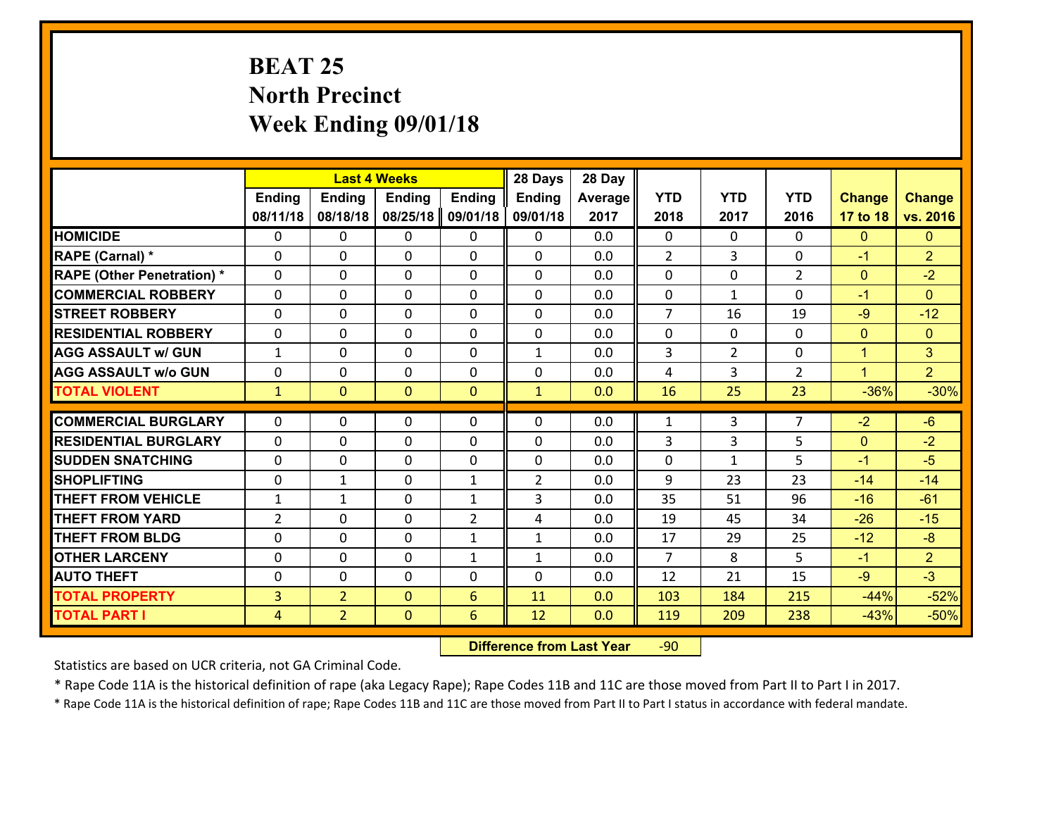# **BEAT 25 North Precinct Week Ending 09/01/18**

|                                   |                |                | <b>Last 4 Weeks</b> |                | 28 Days        | 28 Day  |                |                |                |               |                |
|-----------------------------------|----------------|----------------|---------------------|----------------|----------------|---------|----------------|----------------|----------------|---------------|----------------|
|                                   | Ending         | <b>Ending</b>  | <b>Ending</b>       | <b>Ending</b>  | <b>Ending</b>  | Average | <b>YTD</b>     | <b>YTD</b>     | <b>YTD</b>     | <b>Change</b> | <b>Change</b>  |
|                                   | 08/11/18       | 08/18/18       | 08/25/18            | 09/01/18       | 09/01/18       | 2017    | 2018           | 2017           | 2016           | 17 to 18      | vs. 2016       |
| <b>HOMICIDE</b>                   | $\Omega$       | 0              | 0                   | 0              | $\Omega$       | 0.0     | 0              | $\Omega$       | 0              | $\mathbf{0}$  | $\Omega$       |
| RAPE (Carnal) *                   | $\mathbf{0}$   | 0              | $\mathbf{0}$        | 0              | $\Omega$       | 0.0     | 2              | 3              | 0              | $-1$          | $\overline{2}$ |
| <b>RAPE (Other Penetration) *</b> | $\Omega$       | 0              | $\mathbf{0}$        | $\Omega$       | $\Omega$       | 0.0     | $\Omega$       | 0              | $\overline{2}$ | $\mathbf{0}$  | $-2$           |
| <b>COMMERCIAL ROBBERY</b>         | $\mathbf{0}$   | 0              | 0                   | 0              | $\Omega$       | 0.0     | $\mathbf{0}$   | $\mathbf{1}$   | 0              | $-1$          | $\Omega$       |
| <b>STREET ROBBERY</b>             | 0              | 0              | $\mathbf 0$         | $\Omega$       | 0              | 0.0     | $\overline{7}$ | 16             | 19             | $-9$          | $-12$          |
| <b>RESIDENTIAL ROBBERY</b>        | $\Omega$       | $\Omega$       | $\mathbf 0$         | $\Omega$       | 0              | 0.0     | $\mathbf 0$    | $\Omega$       | 0              | $\mathbf{0}$  | $\Omega$       |
| <b>AGG ASSAULT w/ GUN</b>         | $\mathbf{1}$   | 0              | $\mathbf 0$         | $\Omega$       | $\mathbf{1}$   | 0.0     | 3              | $\overline{2}$ | 0              | $\mathbf{1}$  | 3 <sup>1</sup> |
| <b>AGG ASSAULT w/o GUN</b>        | 0              | 0              | $\mathbf 0$         | $\mathbf 0$    | 0              | 0.0     | 4              | 3              | $\overline{2}$ | $\mathbf{1}$  | $\overline{2}$ |
| <b>TOTAL VIOLENT</b>              | $\mathbf{1}$   | $\mathbf{0}$   | $\overline{0}$      | $\mathbf{0}$   | $\mathbf{1}$   | 0.0     | 16             | 25             | 23             | $-36%$        | $-30%$         |
| <b>COMMERCIAL BURGLARY</b>        | $\Omega$       | 0              | $\mathbf{0}$        | $\Omega$       | $\Omega$       | 0.0     | 1              | 3              | $\overline{7}$ | $-2$          | $-6$           |
| <b>RESIDENTIAL BURGLARY</b>       | 0              | 0              | $\mathbf 0$         | 0              | 0              | 0.0     | 3              | 3              | 5              | $\mathbf{0}$  | $-2$           |
| <b>SUDDEN SNATCHING</b>           | 0              | 0              | $\mathbf 0$         | 0              | 0              | 0.0     | 0              | $\mathbf{1}$   | 5              | $-1$          | $-5$           |
| <b>SHOPLIFTING</b>                | 0              | 1              | $\mathbf 0$         | $\mathbf{1}$   | $\overline{2}$ | 0.0     | 9              | 23             | 23             | $-14$         | $-14$          |
| <b>THEFT FROM VEHICLE</b>         | $\mathbf{1}$   | 1              | $\mathbf 0$         | $\mathbf{1}$   | 3              | 0.0     | 35             | 51             | 96             | $-16$         | $-61$          |
| <b>THEFT FROM YARD</b>            | $\overline{2}$ | 0              | $\mathbf 0$         | $\overline{2}$ | 4              | 0.0     | 19             | 45             | 34             | $-26$         | $-15$          |
| <b>THEFT FROM BLDG</b>            | 0              | 0              | $\mathbf 0$         | $\mathbf{1}$   | $\mathbf{1}$   | 0.0     | 17             | 29             | 25             | $-12$         | $-8$           |
| <b>OTHER LARCENY</b>              | 0              | 0              | $\mathbf 0$         | $\mathbf{1}$   | $\mathbf{1}$   | 0.0     | $\overline{7}$ | 8              | 5              | $-1$          | $\overline{2}$ |
| <b>AUTO THEFT</b>                 | $\mathbf{0}$   | 0              | $\mathbf{0}$        | 0              | 0              | 0.0     | 12             | 21             | 15             | $-9$          | $-3$           |
| <b>TOTAL PROPERTY</b>             | 3              | $\overline{2}$ | $\mathbf{0}$        | 6              | 11             | 0.0     | 103            | 184            | 215            | $-44%$        | $-52%$         |
| <b>TOTAL PART I</b>               | $\overline{4}$ | $\overline{2}$ | $\mathbf{0}$        | 6              | 12             | 0.0     | 119            | 209            | 238            | $-43%$        | $-50%$         |

 **Difference from Last Year**r -90

Statistics are based on UCR criteria, not GA Criminal Code.

\* Rape Code 11A is the historical definition of rape (aka Legacy Rape); Rape Codes 11B and 11C are those moved from Part II to Part I in 2017.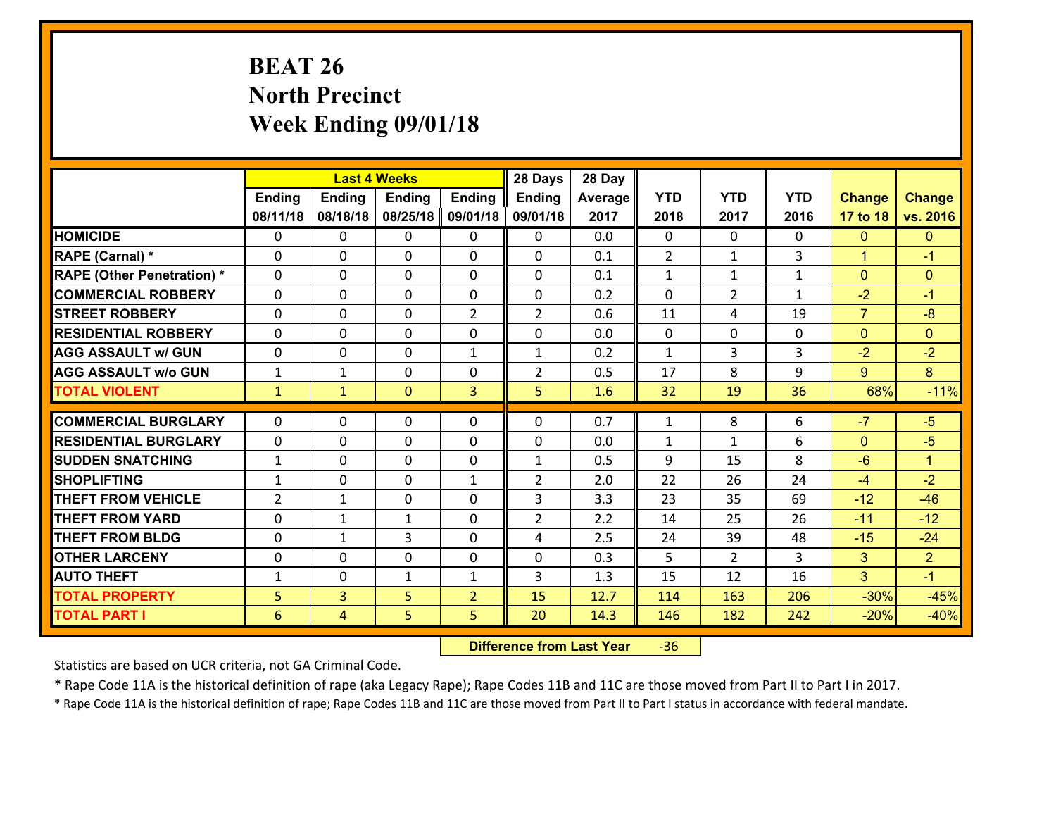# **BEAT 26 North Precinct Week Ending 09/01/18**

|                                   | <b>Last 4 Weeks</b><br><b>Ending</b><br><b>Ending</b><br><b>Ending</b><br><b>Ending</b> |              |                |                | 28 Days        | 28 Day  |              |                |              |                |                |
|-----------------------------------|-----------------------------------------------------------------------------------------|--------------|----------------|----------------|----------------|---------|--------------|----------------|--------------|----------------|----------------|
|                                   |                                                                                         |              |                |                | <b>Ending</b>  | Average | <b>YTD</b>   | <b>YTD</b>     | <b>YTD</b>   | <b>Change</b>  | <b>Change</b>  |
|                                   | 08/11/18                                                                                | 08/18/18     | 08/25/18       | 09/01/18       | 09/01/18       | 2017    | 2018         | 2017           | 2016         | 17 to 18       | vs. 2016       |
| <b>HOMICIDE</b>                   | $\Omega$                                                                                | 0            | 0              | 0              | $\Omega$       | 0.0     | 0            | $\Omega$       | 0            | $\mathbf{0}$   | $\Omega$       |
| RAPE (Carnal) *                   | $\Omega$                                                                                | 0            | $\Omega$       | 0              | $\Omega$       | 0.1     | 2            | $\mathbf{1}$   | 3            | $\mathbf{1}$   | $-1$           |
| <b>RAPE (Other Penetration) *</b> | 0                                                                                       | 0            | $\mathbf 0$    | 0              | 0              | 0.1     | $\mathbf{1}$ | $\mathbf{1}$   | $\mathbf{1}$ | $\overline{0}$ | $\mathbf{0}$   |
| <b>COMMERCIAL ROBBERY</b>         | 0                                                                                       | 0            | $\mathbf 0$    | 0              | 0              | 0.2     | 0            | $\overline{2}$ | $\mathbf{1}$ | $-2$           | $-1$           |
| <b>STREET ROBBERY</b>             | $\mathbf{0}$                                                                            | 0            | $\mathbf 0$    | $\overline{2}$ | $\overline{2}$ | 0.6     | 11           | 4              | 19           | $\overline{7}$ | $-8$           |
| <b>RESIDENTIAL ROBBERY</b>        | 0                                                                                       | 0            | $\mathbf 0$    | 0              | 0              | 0.0     | $\mathbf{0}$ | 0              | 0            | $\mathbf{0}$   | $\mathbf{0}$   |
| <b>AGG ASSAULT w/ GUN</b>         | 0                                                                                       | 0            | $\mathbf 0$    | $\mathbf{1}$   | $\mathbf{1}$   | 0.2     | $\mathbf 1$  | $\overline{3}$ | 3            | $-2$           | $-2$           |
| <b>AGG ASSAULT w/o GUN</b>        | $\mathbf{1}$                                                                            | 1            | 0              | 0              | $\overline{2}$ | 0.5     | 17           | 8              | 9            | 9              | 8              |
| <b>TOTAL VIOLENT</b>              | $\mathbf{1}$                                                                            | $\mathbf{1}$ | $\overline{0}$ | 3              | 5              | 1.6     | 32           | 19             | 36           | 68%            | $-11%$         |
| <b>COMMERCIAL BURGLARY</b>        | $\Omega$                                                                                | 0            | $\mathbf{0}$   | 0              | $\Omega$       | 0.7     | $\mathbf{1}$ | 8              | 6            | $-7$           | $-5$           |
| <b>RESIDENTIAL BURGLARY</b>       | $\mathbf{0}$                                                                            | 0            | 0              | 0              | 0              | 0.0     | $\mathbf{1}$ | $\mathbf{1}$   | 6            | $\mathbf{0}$   | $-5$           |
| <b>SUDDEN SNATCHING</b>           | $\mathbf{1}$                                                                            | 0            | $\mathbf 0$    | 0              | $\mathbf{1}$   | 0.5     | 9            | 15             | 8            | $-6$           | $\mathbf{1}$   |
| <b>SHOPLIFTING</b>                | $\mathbf{1}$                                                                            | 0            | $\mathbf 0$    | $\mathbf{1}$   | $\overline{2}$ | 2.0     | 22           | 26             | 24           | $-4$           | $-2$           |
| <b>THEFT FROM VEHICLE</b>         | $\overline{2}$                                                                          | $\mathbf{1}$ | $\mathbf 0$    | 0              | 3              | 3.3     | 23           | 35             | 69           | $-12$          | $-46$          |
| <b>THEFT FROM YARD</b>            | 0                                                                                       | 1            | 1              | 0              | $\overline{2}$ | 2.2     | 14           | 25             | 26           | $-11$          | $-12$          |
| <b>THEFT FROM BLDG</b>            | 0                                                                                       | $\mathbf{1}$ | 3              | $\mathbf{0}$   | 4              | 2.5     | 24           | 39             | 48           | $-15$          | $-24$          |
| <b>OTHER LARCENY</b>              | 0                                                                                       | 0            | $\mathbf 0$    | $\mathbf 0$    | 0              | 0.3     | 5            | $\overline{2}$ | 3            | 3              | 2 <sup>1</sup> |
| <b>AUTO THEFT</b>                 | $\mathbf{1}$                                                                            | 0            | 1              | $\mathbf{1}$   | 3              | 1.3     | 15           | 12             | 16           | 3              | $-1$           |
| <b>TOTAL PROPERTY</b>             | 5                                                                                       | 3            | 5              | $\overline{2}$ | 15             | 12.7    | 114          | 163            | 206          | $-30%$         | $-45%$         |
| <b>TOTAL PART I</b>               | 6                                                                                       | 4            | 5              | 5              | 20             | 14.3    | 146          | 182            | 242          | $-20%$         | $-40%$         |
|                                   |                                                                                         |              |                |                |                |         |              |                |              |                |                |

 **Difference from Last Year**r -36

Statistics are based on UCR criteria, not GA Criminal Code.

\* Rape Code 11A is the historical definition of rape (aka Legacy Rape); Rape Codes 11B and 11C are those moved from Part II to Part I in 2017.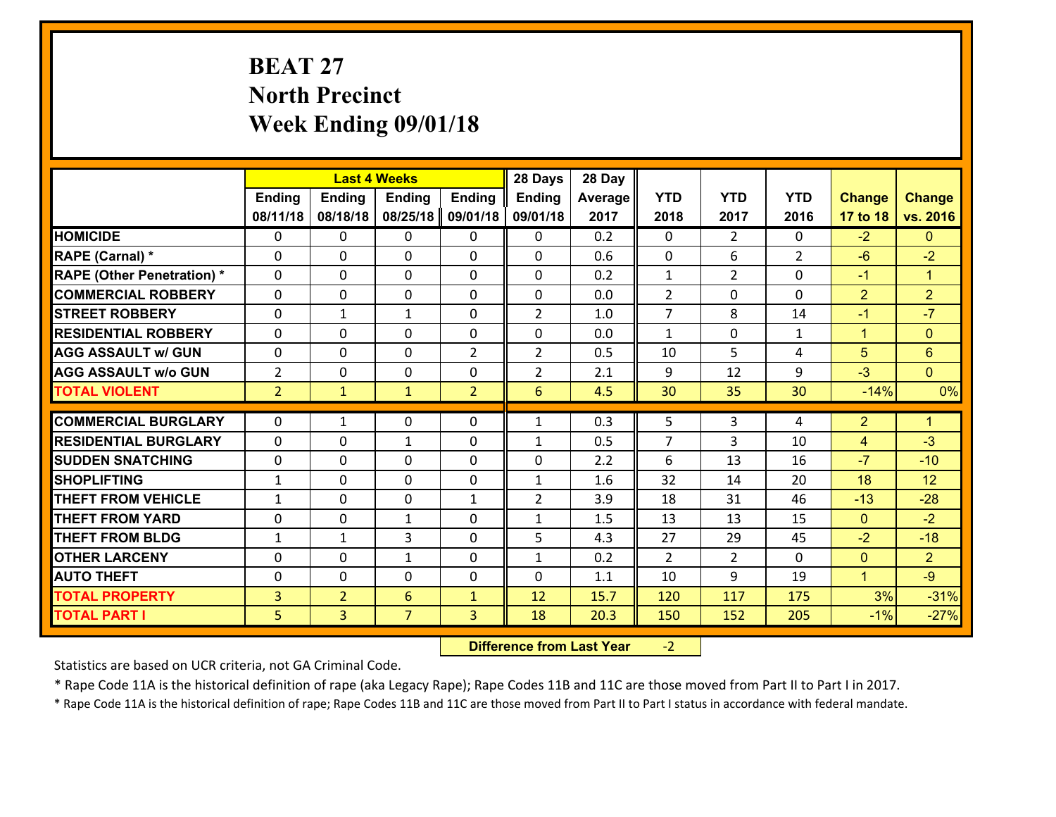# **BEAT 27 North Precinct Week Ending 09/01/18**

|                                   |                |                | <b>Last 4 Weeks</b> |                | 28 Days         | 28 Day  |                |                |                |                |                      |
|-----------------------------------|----------------|----------------|---------------------|----------------|-----------------|---------|----------------|----------------|----------------|----------------|----------------------|
|                                   | <b>Ending</b>  | <b>Ending</b>  | <b>Ending</b>       | <b>Ending</b>  | <b>Ending</b>   | Average | <b>YTD</b>     | <b>YTD</b>     | <b>YTD</b>     | <b>Change</b>  | <b>Change</b>        |
|                                   | 08/11/18       | 08/18/18       | 08/25/18            | 09/01/18       | 09/01/18        | 2017    | 2018           | 2017           | 2016           | 17 to 18       | vs. 2016             |
| <b>HOMICIDE</b>                   | $\Omega$       | 0              | $\Omega$            | 0              | 0               | 0.2     | $\Omega$       | $\overline{2}$ | 0              | $-2$           | $\mathbf{0}$         |
| RAPE (Carnal) *                   | 0              | 0              | $\mathbf{0}$        | 0              | 0               | 0.6     | $\mathbf{0}$   | 6              | $\overline{2}$ | $-6$           | $-2$                 |
| <b>RAPE (Other Penetration) *</b> | $\Omega$       | 0              | $\mathbf{0}$        | $\Omega$       | 0               | 0.2     | $\mathbf{1}$   | $\overline{2}$ | $\Omega$       | $-1$           | $\blacktriangleleft$ |
| <b>COMMERCIAL ROBBERY</b>         | 0              | 0              | 0                   | 0              | 0               | 0.0     | $\overline{2}$ | 0              | $\Omega$       | $\overline{2}$ | $\overline{2}$       |
| <b>STREET ROBBERY</b>             | $\Omega$       | $\mathbf{1}$   | 1                   | 0              | $\overline{2}$  | 1.0     | $\overline{7}$ | 8              | 14             | $-1$           | $-7$                 |
| <b>RESIDENTIAL ROBBERY</b>        | $\Omega$       | $\Omega$       | $\mathbf 0$         | $\Omega$       | 0               | 0.0     | $\mathbf{1}$   | 0              | $\mathbf{1}$   | $\mathbf{1}$   | $\mathbf{0}$         |
| <b>AGG ASSAULT w/ GUN</b>         | 0              | 0              | $\mathbf 0$         | $\overline{2}$ | $\overline{2}$  | 0.5     | 10             | 5              | 4              | 5              | $6\phantom{1}$       |
| <b>AGG ASSAULT w/o GUN</b>        | $\overline{2}$ | 0              | $\mathbf 0$         | 0              | $\overline{2}$  | 2.1     | 9              | 12             | 9              | $-3$           | $\overline{0}$       |
| <b>TOTAL VIOLENT</b>              | 2 <sup>1</sup> | $\mathbf{1}$   | $\mathbf{1}$        | $\overline{2}$ | $6\overline{6}$ | 4.5     | 30             | 35             | 30             | $-14%$         | 0%                   |
| <b>COMMERCIAL BURGLARY</b>        | $\Omega$       | 1              | $\mathbf{0}$        | $\Omega$       | $\mathbf{1}$    | 0.3     | 5              | 3              | 4              | $\overline{2}$ | $\blacktriangleleft$ |
|                                   |                |                |                     |                |                 |         | 7              |                |                |                |                      |
| <b>RESIDENTIAL BURGLARY</b>       | 0              | 0              | $\mathbf{1}$        | 0              | $\mathbf{1}$    | 0.5     |                | 3              | 10             | 4              | $-3$                 |
| <b>SUDDEN SNATCHING</b>           | 0              | 0              | $\mathbf 0$         | 0              | 0               | 2.2     | 6              | 13             | 16             | $-7$           | $-10$                |
| <b>SHOPLIFTING</b>                | $\mathbf{1}$   | 0              | $\mathbf 0$         | 0              | $\mathbf{1}$    | 1.6     | 32             | 14             | 20             | 18             | 12                   |
| <b>THEFT FROM VEHICLE</b>         | $\mathbf{1}$   | 0              | $\mathbf 0$         | $\mathbf{1}$   | $\overline{2}$  | 3.9     | 18             | 31             | 46             | $-13$          | $-28$                |
| <b>THEFT FROM YARD</b>            | 0              | 0              | 1                   | 0              | $\mathbf{1}$    | 1.5     | 13             | 13             | 15             | $\mathbf{0}$   | $-2$                 |
| <b>THEFT FROM BLDG</b>            | $\mathbf{1}$   | 1              | 3                   | 0              | 5               | 4.3     | 27             | 29             | 45             | $-2$           | $-18$                |
| <b>OTHER LARCENY</b>              | 0              | 0              | $\mathbf{1}$        | 0              | $\mathbf{1}$    | 0.2     | $\overline{2}$ | $\overline{2}$ | $\Omega$       | $\overline{0}$ | $\overline{2}$       |
| <b>AUTO THEFT</b>                 | $\mathbf{0}$   | 0              | $\mathbf{0}$        | 0              | 0               | 1.1     | 10             | 9              | 19             | $\mathbf{1}$   | $-9$                 |
| <b>TOTAL PROPERTY</b>             | $\overline{3}$ | $\overline{2}$ | 6                   | $\mathbf{1}$   | 12              | 15.7    | 120            | 117            | 175            | 3%             | $-31%$               |
| <b>TOTAL PART I</b>               | 5              | $\overline{3}$ | $\overline{7}$      | 3              | 18              | 20.3    | 150            | 152            | 205            | $-1%$          | $-27%$               |

 **Difference from Last Year**‐2

Statistics are based on UCR criteria, not GA Criminal Code.

\* Rape Code 11A is the historical definition of rape (aka Legacy Rape); Rape Codes 11B and 11C are those moved from Part II to Part I in 2017.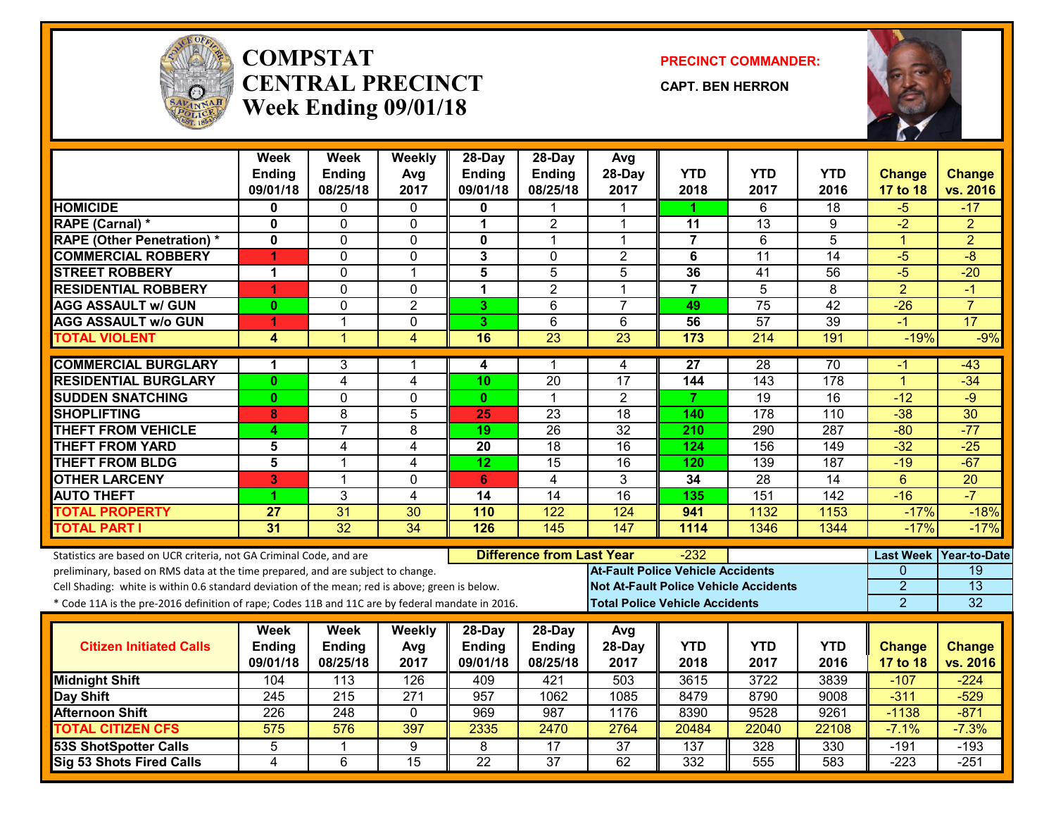

#### **COMPSTATCENTRAL PRECINCTWeek Ending 09/01/18**

**PRECINCT COMMANDER:**

**CAPT. BEN HERRON**



|                                                                                                                                                        | <b>Week</b>             | <b>Week</b>      | Weekly           | 28-Day          | 28-Day                           | Avg                                      |                 |                                              |                  |                  |                     |
|--------------------------------------------------------------------------------------------------------------------------------------------------------|-------------------------|------------------|------------------|-----------------|----------------------------------|------------------------------------------|-----------------|----------------------------------------------|------------------|------------------|---------------------|
|                                                                                                                                                        | <b>Ending</b>           | <b>Ending</b>    | Avg              | <b>Ending</b>   | Ending                           | 28-Day                                   | <b>YTD</b>      | <b>YTD</b>                                   | <b>YTD</b>       | <b>Change</b>    | <b>Change</b>       |
|                                                                                                                                                        | 09/01/18                | 08/25/18         | 2017             | 09/01/18        | 08/25/18                         | 2017                                     | 2018            | 2017                                         | 2016             | 17 to 18         | vs. 2016            |
| <b>HOMICIDE</b>                                                                                                                                        | 0                       | 0                | 0                | 0               |                                  |                                          | 1.              | 6                                            | 18               | -5               | -17                 |
| RAPE (Carnal) *                                                                                                                                        | $\mathbf 0$             | 0                | 0                | 1               | $\overline{2}$                   | 1                                        | 11              | 13                                           | 9                | $-2$             | $\overline{2}$      |
| <b>RAPE (Other Penetration) *</b>                                                                                                                      | $\overline{\mathbf{0}}$ | 0                | $\Omega$         | $\mathbf 0$     | $\mathbf{1}$                     | $\mathbf{1}$                             | $\overline{7}$  | $\overline{6}$                               | $\overline{5}$   | $\overline{1}$   | $\overline{2}$      |
| <b>COMMERCIAL ROBBERY</b>                                                                                                                              | 4                       | 0                | $\mathbf 0$      | $\mathbf{3}$    | $\Omega$                         | $\overline{2}$                           | 6               | $\overline{11}$                              | $\overline{14}$  | $-5$             | $-8$                |
| <b>STREET ROBBERY</b>                                                                                                                                  | 1                       | 0                | $\mathbf 1$      | $\overline{5}$  | $\overline{5}$                   | 5                                        | 36              | 41                                           | 56               | $-5$             | $-20$               |
| <b>RESIDENTIAL ROBBERY</b>                                                                                                                             | 1                       | $\overline{0}$   | $\overline{0}$   | $\overline{1}$  | $\overline{2}$                   | $\mathbf{1}$                             | $\overline{7}$  | $\overline{5}$                               | $\overline{8}$   | $\overline{2}$   | $-1$                |
| <b>AGG ASSAULT w/ GUN</b>                                                                                                                              | $\mathbf{0}$            | 0                | $\overline{2}$   | 3               | 6                                | $\overline{7}$                           | 49              | 75                                           | $\overline{42}$  | $-26$            | $\overline{7}$      |
| <b>AGG ASSAULT W/o GUN</b>                                                                                                                             | 1                       | $\mathbf 1$      | $\overline{0}$   | 3               | $\overline{6}$                   | 6                                        | $\overline{56}$ | 57                                           | 39               | $-1$             | $\overline{17}$     |
| <b>TOTAL VIOLENT</b>                                                                                                                                   | 4                       | $\mathbf{1}$     | 4                | 16              | 23                               | 23                                       | 173             | 214                                          | 191              | $-19%$           | $-9%$               |
| <b>COMMERCIAL BURGLARY</b>                                                                                                                             | 1                       | 3                | 1                | 4               | $\mathbf 1$                      | 4                                        | $\overline{27}$ | $\overline{28}$                              | $\overline{70}$  | -1               | $-43$               |
| <b>RESIDENTIAL BURGLARY</b>                                                                                                                            | $\mathbf{0}$            | 4                | $\overline{4}$   | 10              | $\overline{20}$                  | 17                                       | 144             | 143                                          | $\overline{178}$ | $\overline{1}$   | $-34$               |
| <b>SUDDEN SNATCHING</b>                                                                                                                                | $\mathbf{0}$            | 0                | $\mathbf 0$      | $\mathbf{0}$    | $\blacktriangleleft$             | $\overline{2}$                           | $\overline{7}$  | 19                                           | $\overline{16}$  | $-12$            | $-9$                |
| <b>SHOPLIFTING</b>                                                                                                                                     | 8                       | 8                | 5                | 25              | 23                               | 18                                       | 140             | 178                                          | 110              | $-38$            | 30                  |
| <b>THEFT FROM VEHICLE</b>                                                                                                                              | 4                       | $\overline{7}$   | $\overline{8}$   | 19              | 26                               | $\overline{32}$                          | 210             | 290                                          | 287              | $-80$            | $-77$               |
| <b>THEFT FROM YARD</b>                                                                                                                                 | 5                       | 4                | 4                | 20              | 18                               | 16                                       | 124             | 156                                          | 149              | $-32$            | $-25$               |
| <b>THEFT FROM BLDG</b>                                                                                                                                 | 5                       | $\mathbf{1}$     | 4                | 12              | 15                               | 16                                       | 120             | 139                                          | 187              | $-19$            | $-67$               |
| <b>OTHER LARCENY</b>                                                                                                                                   | 3                       | $\mathbf{1}$     | $\Omega$         | 6               | 4                                | 3                                        | 34              | $\overline{28}$                              | 14               | 6                | $\overline{20}$     |
| <b>AUTO THEFT</b>                                                                                                                                      | 1                       | $\overline{3}$   | 4                | 14              | $\overline{14}$                  | 16                                       | 135             | 151                                          | $\overline{142}$ | $-16$            | $-7$                |
| <b>TOTAL PROPERTY</b>                                                                                                                                  | 27                      | 31               | 30               | 110             | 122                              | 124                                      | 941             | 1132                                         | 1153             | $-17%$           | $-18%$              |
| <b>TOTAL PART I</b>                                                                                                                                    | $\overline{31}$         | 32               | 34               | 126             | $\frac{145}{ }$                  | 147                                      | 1114            | 1346                                         | 1344             | $-17%$           | $-17%$              |
|                                                                                                                                                        |                         |                  |                  |                 | <b>Difference from Last Year</b> |                                          | -232            |                                              |                  | <b>Last Week</b> | <b>Year-to-Date</b> |
| Statistics are based on UCR criteria, not GA Criminal Code, and are<br>preliminary, based on RMS data at the time prepared, and are subject to change. |                         |                  |                  |                 |                                  | <b>At-Fault Police Vehicle Accidents</b> |                 |                                              |                  | $\Omega$         | $\overline{19}$     |
| Cell Shading: white is within 0.6 standard deviation of the mean; red is above; green is below.                                                        |                         |                  |                  |                 |                                  |                                          |                 | <b>Not At-Fault Police Vehicle Accidents</b> |                  | $\overline{2}$   | $\overline{13}$     |
| * Code 11A is the pre-2016 definition of rape; Codes 11B and 11C are by federal mandate in 2016.                                                       |                         |                  |                  |                 |                                  | <b>Total Police Vehicle Accidents</b>    |                 |                                              |                  | $\overline{2}$   | $\overline{32}$     |
|                                                                                                                                                        |                         |                  |                  |                 |                                  |                                          |                 |                                              |                  |                  |                     |
|                                                                                                                                                        | <b>Week</b>             | <b>Week</b>      | Weekly           | 28-Day          | $28-Day$                         | Avg                                      |                 |                                              |                  |                  |                     |
| <b>Citizen Initiated Calls</b>                                                                                                                         | <b>Ending</b>           | <b>Ending</b>    | Avg              | <b>Ending</b>   | Ending                           | 28-Day                                   | <b>YTD</b>      | YTD                                          | <b>YTD</b>       | <b>Change</b>    | <b>Change</b>       |
|                                                                                                                                                        | 09/01/18                | 08/25/18         | 2017             | 09/01/18        | 08/25/18                         | 2017                                     | 2018            | 2017                                         | 2016             | 17 to 18         | vs. 2016            |
| <b>Midnight Shift</b>                                                                                                                                  | 104                     | $\overline{113}$ | 126              | 409             | 421                              | 503                                      | 3615            | 3722                                         | 3839             | $-107$           | $-224$              |
| Day Shift                                                                                                                                              | 245                     | 215              | $\overline{271}$ | 957             | 1062                             | 1085                                     | 8479            | 8790                                         | 9008             | $-311$           | $-529$              |
| <b>Afternoon Shift</b>                                                                                                                                 | $\overline{226}$        | 248              | $\mathbf 0$      | 969             | 987                              | 1176                                     | 8390            | 9528                                         | 9261             | $-1138$          | $-871$              |
| <b>TOTAL CITIZEN CFS</b>                                                                                                                               | 575                     | 576              | 397              | 2335            | 2470                             | 2764                                     | 20484           | 22040                                        | 22108            | $-7.1%$          | $-7.3%$             |
| <b>53S ShotSpotter Calls</b>                                                                                                                           | 5                       | 1                | 9                | 8               | $\overline{17}$                  | $\overline{37}$                          | 137             | 328                                          | 330              | $-191$           | $-193$              |
| Sig 53 Shots Fired Calls                                                                                                                               | $\overline{\mathbf{4}}$ | 6                | 15               | $\overline{22}$ | $\overline{37}$                  | 62                                       | 332             | 555                                          | 583              | $-223$           | $-251$              |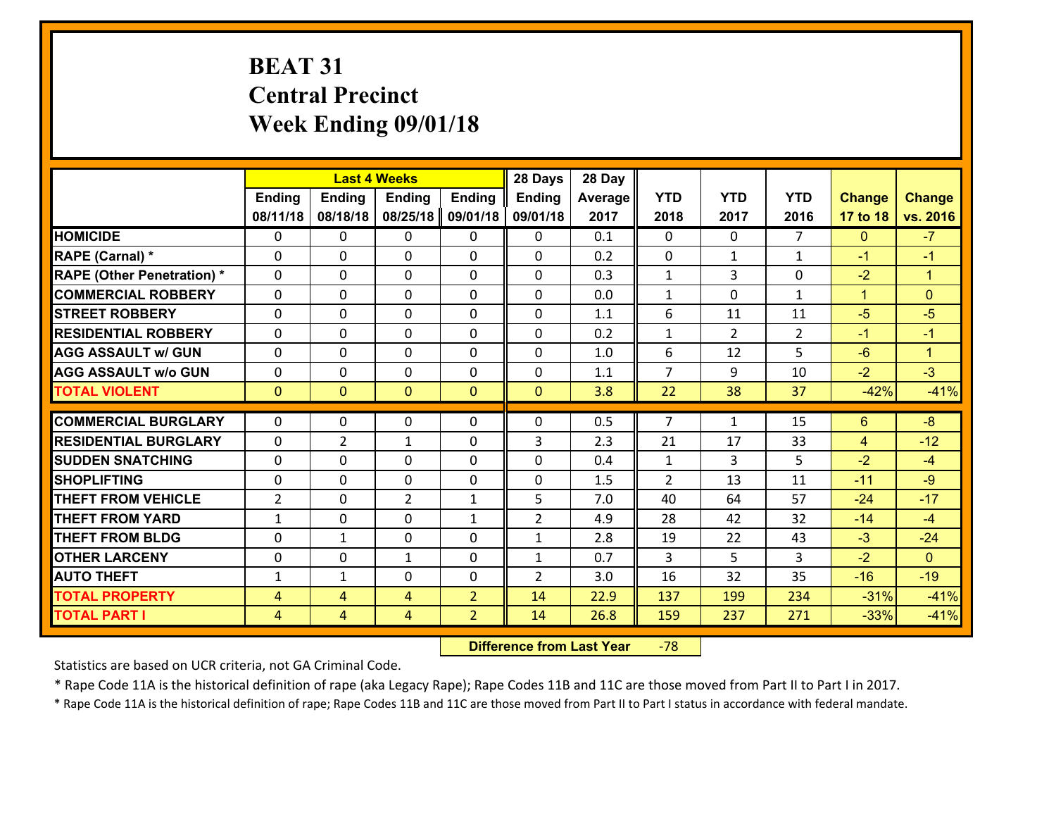# **BEAT 31 Central Precinct Week Ending 09/01/18**

|                                   |                |                | <b>Last 4 Weeks</b> |                | 28 Days        | 28 Day  |                |                |                |                |                |
|-----------------------------------|----------------|----------------|---------------------|----------------|----------------|---------|----------------|----------------|----------------|----------------|----------------|
|                                   | Ending         | <b>Ending</b>  | <b>Ending</b>       | <b>Ending</b>  | <b>Ending</b>  | Average | <b>YTD</b>     | <b>YTD</b>     | <b>YTD</b>     | <b>Change</b>  | <b>Change</b>  |
|                                   | 08/11/18       | 08/18/18       | 08/25/18            | 09/01/18       | 09/01/18       | 2017    | 2018           | 2017           | 2016           | 17 to 18       | vs. 2016       |
| <b>HOMICIDE</b>                   | $\Omega$       | 0              | 0                   | $\Omega$       | $\Omega$       | 0.1     | 0              | $\Omega$       | $\overline{7}$ | $\mathbf{0}$   | $-7$           |
| RAPE (Carnal) *                   | $\mathbf{0}$   | 0              | $\mathbf{0}$        | 0              | $\Omega$       | 0.2     | $\mathbf{0}$   | $\mathbf{1}$   | $\mathbf{1}$   | $-1$           | $-1$           |
| <b>RAPE (Other Penetration) *</b> | $\Omega$       | 0              | $\mathbf{0}$        | $\Omega$       | $\Omega$       | 0.3     | $\mathbf{1}$   | 3              | 0              | $-2$           | $\mathbf{1}$   |
| <b>COMMERCIAL ROBBERY</b>         | $\mathbf{0}$   | 0              | 0                   | 0              | $\Omega$       | 0.0     | $\mathbf{1}$   | 0              | $\mathbf{1}$   | $\mathbf{1}$   | $\mathbf{0}$   |
| <b>STREET ROBBERY</b>             | 0              | 0              | $\mathbf 0$         | $\Omega$       | 0              | 1.1     | 6              | 11             | 11             | $-5$           | $-5$           |
| <b>RESIDENTIAL ROBBERY</b>        | $\Omega$       | $\Omega$       | $\mathbf 0$         | $\Omega$       | 0              | 0.2     | $\mathbf{1}$   | $\overline{2}$ | $\overline{2}$ | $-1$           | $-1$           |
| <b>AGG ASSAULT w/ GUN</b>         | 0              | 0              | $\mathbf 0$         | $\Omega$       | 0              | 1.0     | 6              | 12             | 5              | $-6$           | $\mathbf{1}$   |
| <b>AGG ASSAULT w/o GUN</b>        | 0              | 0              | $\mathbf 0$         | $\mathbf 0$    | 0              | 1.1     | $\overline{7}$ | 9              | 10             | $-2$           | $-3$           |
| <b>TOTAL VIOLENT</b>              | $\mathbf{0}$   | $\overline{0}$ | $\overline{0}$      | $\mathbf{0}$   | $\mathbf{0}$   | 3.8     | 22             | 38             | 37             | $-42%$         | $-41%$         |
| <b>COMMERCIAL BURGLARY</b>        | $\Omega$       | 0              | $\mathbf{0}$        | $\Omega$       | $\Omega$       | 0.5     | $\overline{7}$ | $\mathbf{1}$   | 15             | 6              | $-8$           |
| <b>RESIDENTIAL BURGLARY</b>       | 0              | $\overline{2}$ | $\mathbf{1}$        | 0              | 3              | 2.3     | 21             | 17             | 33             | $\overline{4}$ | $-12$          |
| <b>SUDDEN SNATCHING</b>           | 0              | 0              | $\mathbf 0$         | 0              | 0              | 0.4     | $\mathbf{1}$   | 3              | 5              | $-2$           | $-4$           |
| <b>SHOPLIFTING</b>                | 0              | 0              | $\mathbf 0$         | 0              | 0              | 1.5     | $\overline{2}$ | 13             | 11             | $-11$          | $-9$           |
| <b>THEFT FROM VEHICLE</b>         | $\overline{2}$ | 0              | $\overline{2}$      | $\mathbf{1}$   | 5              | 7.0     | 40             | 64             | 57             | $-24$          | $-17$          |
| <b>THEFT FROM YARD</b>            | $\mathbf{1}$   | 0              | $\mathbf 0$         | $\mathbf{1}$   | $\overline{2}$ | 4.9     | 28             | 42             | 32             | $-14$          | $-4$           |
| <b>THEFT FROM BLDG</b>            | 0              | $\mathbf{1}$   | $\mathbf 0$         | 0              | $\mathbf{1}$   | 2.8     | 19             | 22             | 43             | $-3$           | $-24$          |
| <b>OTHER LARCENY</b>              | 0              | 0              | $\mathbf{1}$        | 0              | $\mathbf{1}$   | 0.7     | 3              | 5              | 3              | $-2$           | $\overline{0}$ |
| <b>AUTO THEFT</b>                 | $\mathbf{1}$   | $\mathbf{1}$   | $\mathbf{0}$        | 0              | $\overline{2}$ | 3.0     | 16             | 32             | 35             | $-16$          | $-19$          |
| <b>TOTAL PROPERTY</b>             | 4              | 4              | 4                   | $\overline{2}$ | 14             | 22.9    | 137            | 199            | 234            | $-31%$         | $-41%$         |
| <b>TOTAL PART I</b>               | $\overline{4}$ | $\overline{4}$ | 4                   | $\overline{2}$ | 14             | 26.8    | 159            | 237            | 271            | $-33%$         | $-41%$         |
|                                   |                |                |                     |                |                |         |                |                |                |                |                |

 **Difference from Last Year**r -78

Statistics are based on UCR criteria, not GA Criminal Code.

\* Rape Code 11A is the historical definition of rape (aka Legacy Rape); Rape Codes 11B and 11C are those moved from Part II to Part I in 2017.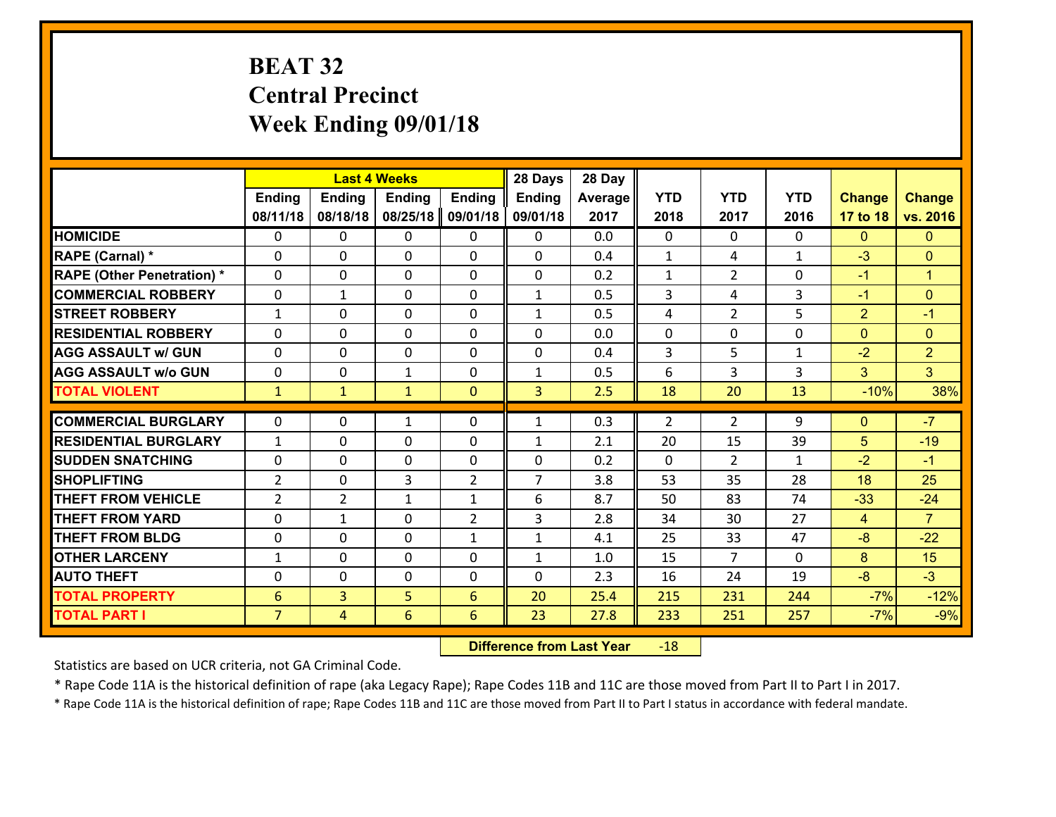# **BEAT 32 Central Precinct Week Ending 09/01/18**

|                                   |                 |                | <b>Last 4 Weeks</b> |                | 28 Days        | 28 Day  |              |                |              |                |                      |
|-----------------------------------|-----------------|----------------|---------------------|----------------|----------------|---------|--------------|----------------|--------------|----------------|----------------------|
|                                   | <b>Ending</b>   | <b>Ending</b>  | <b>Ending</b>       | Ending         | <b>Ending</b>  | Average | <b>YTD</b>   | <b>YTD</b>     | <b>YTD</b>   | <b>Change</b>  | <b>Change</b>        |
|                                   | 08/11/18        | 08/18/18       | 08/25/18            | 09/01/18       | 09/01/18       | 2017    | 2018         | 2017           | 2016         | 17 to 18       | vs. 2016             |
| <b>HOMICIDE</b>                   | $\Omega$        | 0              | 0                   | 0              | 0              | 0.0     | $\Omega$     | $\Omega$       | 0            | $\mathbf{0}$   | $\mathbf{0}$         |
| RAPE (Carnal) *                   | $\Omega$        | 0              | $\mathbf{0}$        | 0              | $\Omega$       | 0.4     | $\mathbf{1}$ | 4              | $\mathbf{1}$ | $-3$           | $\mathbf{0}$         |
| <b>RAPE (Other Penetration) *</b> | 0               | 0              | $\mathbf 0$         | 0              | 0              | 0.2     | $\mathbf{1}$ | $\overline{2}$ | 0            | $-1$           | $\blacktriangleleft$ |
| <b>COMMERCIAL ROBBERY</b>         | 0               | $\mathbf{1}$   | $\mathbf 0$         | 0              | $\mathbf{1}$   | 0.5     | 3            | 4              | 3            | $-1$           | $\mathbf{0}$         |
| <b>STREET ROBBERY</b>             | $\mathbf{1}$    | 0              | $\mathbf 0$         | 0              | $\mathbf{1}$   | 0.5     | 4            | $\overline{2}$ | 5            | $\overline{2}$ | $-1$                 |
| <b>RESIDENTIAL ROBBERY</b>        | 0               | 0              | $\mathbf 0$         | 0              | 0              | 0.0     | $\mathbf 0$  | $\mathbf 0$    | 0            | $\overline{0}$ | $\mathbf{0}$         |
| <b>AGG ASSAULT w/ GUN</b>         | 0               | 0              | $\mathbf 0$         | 0              | 0              | 0.4     | 3            | 5              | $\mathbf{1}$ | $-2$           | $\overline{2}$       |
| <b>AGG ASSAULT w/o GUN</b>        | 0               | 0              | 1                   | 0              | $\mathbf{1}$   | 0.5     | 6            | 3              | 3            | 3              | 3 <sup>1</sup>       |
| <b>TOTAL VIOLENT</b>              | $\mathbf{1}$    | $\mathbf{1}$   | $\mathbf{1}$        | $\mathbf{0}$   | 3              | 2.5     | 18           | 20             | 13           | $-10%$         | 38%                  |
| <b>COMMERCIAL BURGLARY</b>        | $\Omega$        | 0              | $\mathbf{1}$        | 0              | $\mathbf{1}$   | 0.3     | 2            | $\overline{2}$ | 9            | $\mathbf{0}$   | $-7$                 |
|                                   |                 |                |                     |                |                |         |              |                |              |                |                      |
| <b>RESIDENTIAL BURGLARY</b>       | $\mathbf{1}$    | 0              | 0                   | 0              | $\mathbf{1}$   | 2.1     | 20           | 15             | 39           | 5              | $-19$                |
| <b>SUDDEN SNATCHING</b>           | 0               | 0              | $\mathbf 0$         | 0              | 0              | 0.2     | $\mathbf 0$  | $\overline{2}$ | $\mathbf{1}$ | $-2$           | $-1$                 |
| <b>SHOPLIFTING</b>                | $\overline{2}$  | 0              | 3                   | $\overline{2}$ | $\overline{7}$ | 3.8     | 53           | 35             | 28           | 18             | 25                   |
| <b>THEFT FROM VEHICLE</b>         | $\overline{2}$  | $\overline{2}$ | $\mathbf{1}$        | $\mathbf{1}$   | 6              | 8.7     | 50           | 83             | 74           | $-33$          | $-24$                |
| <b>THEFT FROM YARD</b>            | $\mathbf 0$     | $\mathbf 1$    | $\mathbf 0$         | $\overline{2}$ | 3              | 2.8     | 34           | 30             | 27           | $\overline{4}$ | $\overline{7}$       |
| <b>THEFT FROM BLDG</b>            | 0               | 0              | $\mathbf 0$         | $\mathbf{1}$   | $\mathbf{1}$   | 4.1     | 25           | 33             | 47           | $-8$           | $-22$                |
| <b>OTHER LARCENY</b>              | $\mathbf{1}$    | 0              | $\mathbf 0$         | 0              | $\mathbf{1}$   | 1.0     | 15           | $\overline{7}$ | 0            | 8              | 15                   |
| <b>AUTO THEFT</b>                 | 0               | 0              | $\mathbf 0$         | 0              | 0              | 2.3     | 16           | 24             | 19           | $-8$           | $-3$                 |
| <b>TOTAL PROPERTY</b>             | $6\phantom{1}6$ | $\overline{3}$ | 5                   | 6              | 20             | 25.4    | 215          | 231            | 244          | $-7%$          | $-12%$               |
| <b>TOTAL PART I</b>               | $\overline{7}$  | 4              | $6\overline{6}$     | 6              | 23             | 27.8    | 233          | 251            | 257          | $-7%$          | $-9%$                |

 **Difference from Last Year**r -18

Statistics are based on UCR criteria, not GA Criminal Code.

\* Rape Code 11A is the historical definition of rape (aka Legacy Rape); Rape Codes 11B and 11C are those moved from Part II to Part I in 2017.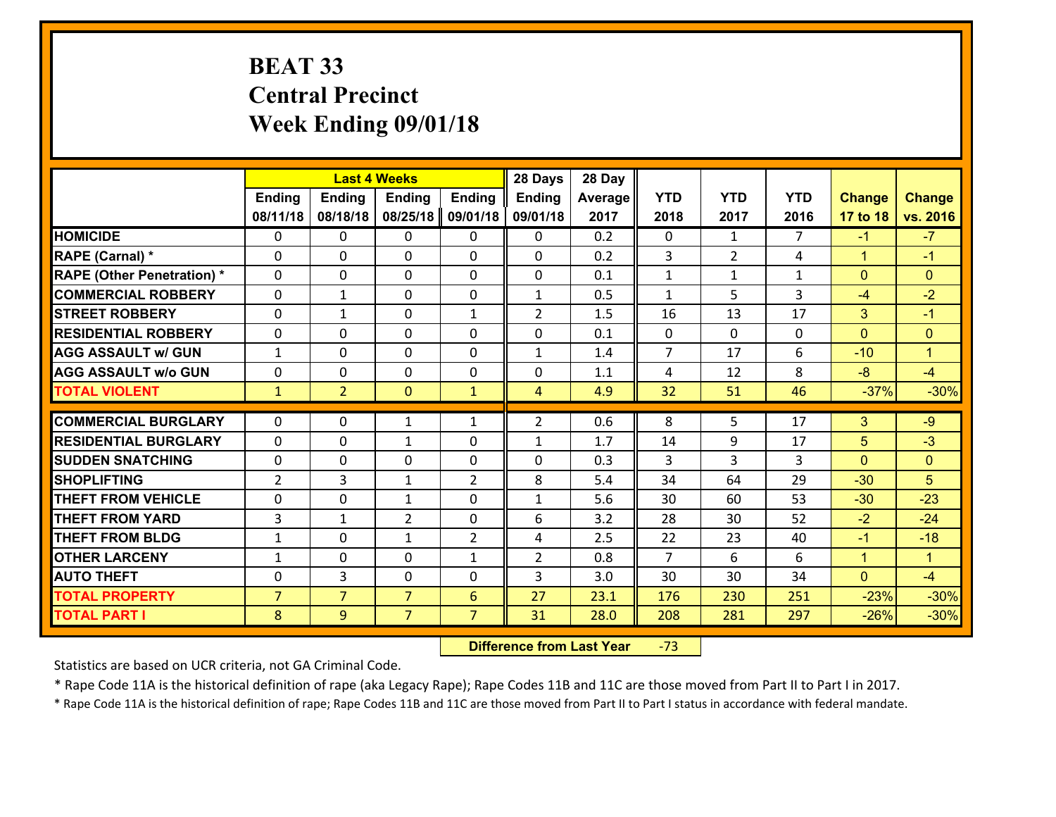# **BEAT 33 Central Precinct Week Ending 09/01/18**

|                                   |                |                | <b>Last 4 Weeks</b> |                   | 28 Days           | 28 Day  |                |                |                |               |                |
|-----------------------------------|----------------|----------------|---------------------|-------------------|-------------------|---------|----------------|----------------|----------------|---------------|----------------|
|                                   | <b>Ending</b>  | <b>Ending</b>  | <b>Ending</b>       | <b>Ending</b>     | <b>Ending</b>     | Average | <b>YTD</b>     | <b>YTD</b>     | <b>YTD</b>     | <b>Change</b> | <b>Change</b>  |
|                                   | 08/11/18       | 08/18/18       | 08/25/18            | 09/01/18          | 09/01/18          | 2017    | 2018           | 2017           | 2016           | 17 to 18      | vs. 2016       |
| <b>HOMICIDE</b>                   | $\Omega$       | 0              | 0                   | 0                 | 0                 | 0.2     | 0              | $\mathbf{1}$   | $\overline{7}$ | $-1$          | $-7$           |
| RAPE (Carnal) *                   | $\Omega$       | 0              | $\Omega$            | 0                 | $\Omega$          | 0.2     | 3              | $\overline{2}$ | 4              | $\mathbf{1}$  | $-1$           |
| <b>RAPE (Other Penetration) *</b> | 0              | 0              | $\mathbf 0$         | 0                 | 0                 | 0.1     | $\mathbf{1}$   | $\mathbf{1}$   | $\mathbf{1}$   | $\mathbf{0}$  | $\mathbf{0}$   |
| <b>COMMERCIAL ROBBERY</b>         | 0              | $\mathbf{1}$   | $\mathbf 0$         | 0                 | $\mathbf{1}$      | 0.5     | $\mathbf{1}$   | 5              | 3              | $-4$          | $-2$           |
| <b>STREET ROBBERY</b>             | $\mathbf{0}$   | $\mathbf{1}$   | $\mathbf 0$         | $\mathbf{1}$      | $\overline{2}$    | 1.5     | 16             | 13             | 17             | 3             | $-1$           |
| <b>RESIDENTIAL ROBBERY</b>        | 0              | 0              | $\mathbf 0$         | 0                 | 0                 | 0.1     | $\mathbf{0}$   | $\mathbf{0}$   | 0              | $\mathbf{0}$  | $\overline{0}$ |
| <b>AGG ASSAULT w/ GUN</b>         | $\mathbf{1}$   | 0              | $\mathbf 0$         | 0                 | $\mathbf{1}$      | 1.4     | $\overline{7}$ | 17             | 6              | $-10$         | $\mathbf{1}$   |
| <b>AGG ASSAULT w/o GUN</b>        | 0              | 0              | 0                   | $\mathbf{0}$      | 0                 | 1.1     | 4              | 12             | 8              | $-8$          | $-4$           |
| <b>TOTAL VIOLENT</b>              | $\mathbf{1}$   | $\overline{2}$ | $\mathbf{0}$        | $\mathbf{1}$      | $\overline{4}$    | 4.9     | 32             | 51             | 46             | $-37%$        | $-30%$         |
| <b>COMMERCIAL BURGLARY</b>        | $\Omega$       | 0              | $\mathbf{1}$        | $\mathbf{1}$      | $\overline{2}$    | 0.6     | 8              | 5.             | 17             | 3             | $-9$           |
| <b>RESIDENTIAL BURGLARY</b>       | $\mathbf{0}$   | 0              |                     | 0                 |                   | 1.7     |                | 9              | 17             | 5             | $-3$           |
| <b>SUDDEN SNATCHING</b>           | $\mathbf{0}$   | 0              | 1<br>$\mathbf 0$    | 0                 | $\mathbf{1}$<br>0 | 0.3     | 14<br>3        | 3              | 3              | $\mathbf{0}$  | $\mathbf{0}$   |
| <b>SHOPLIFTING</b>                | $\overline{2}$ | 3              | 1                   | $\overline{2}$    | 8                 | 5.4     | 34             | 64             | 29             | $-30$         | 5              |
| <b>THEFT FROM VEHICLE</b>         | 0              | 0              | 1                   | 0                 | $\mathbf{1}$      | 5.6     | 30             | 60             | 53             | $-30$         | $-23$          |
| <b>THEFT FROM YARD</b>            | 3              | 1              | $\overline{2}$      | $\mathbf{0}$      | 6                 | 3.2     | 28             | 30             | 52             | $-2$          | $-24$          |
| <b>THEFT FROM BLDG</b>            | $\mathbf{1}$   | 0              | $\mathbf{1}$        | $\overline{2}$    | 4                 | 2.5     | 22             | 23             | 40             | $-1$          | $-18$          |
| <b>OTHER LARCENY</b>              | $\mathbf{1}$   | 0              | $\mathbf 0$         |                   | $\overline{2}$    | 0.8     | $\overline{7}$ | 6              | 6              | $\mathbf{1}$  | $\mathbf{1}$   |
| <b>AUTO THEFT</b>                 | 0              | 3              | $\mathbf 0$         | $\mathbf{1}$<br>0 | 3                 | 3.0     | 30             | 30             | 34             | $\mathbf{0}$  | $-4$           |
| <b>TOTAL PROPERTY</b>             | $\overline{7}$ | $\overline{7}$ | $\overline{7}$      |                   | 27                |         |                |                |                | $-23%$        |                |
|                                   |                |                |                     | 6                 |                   | 23.1    | 176            | 230            | 251            |               | $-30%$         |
| <b>TOTAL PART I</b>               | 8              | 9              | $\overline{7}$      | $\overline{7}$    | 31                | 28.0    | 208            | 281            | 297            | $-26%$        | $-30%$         |

 **Difference from Last Year**‐73

Statistics are based on UCR criteria, not GA Criminal Code.

\* Rape Code 11A is the historical definition of rape (aka Legacy Rape); Rape Codes 11B and 11C are those moved from Part II to Part I in 2017.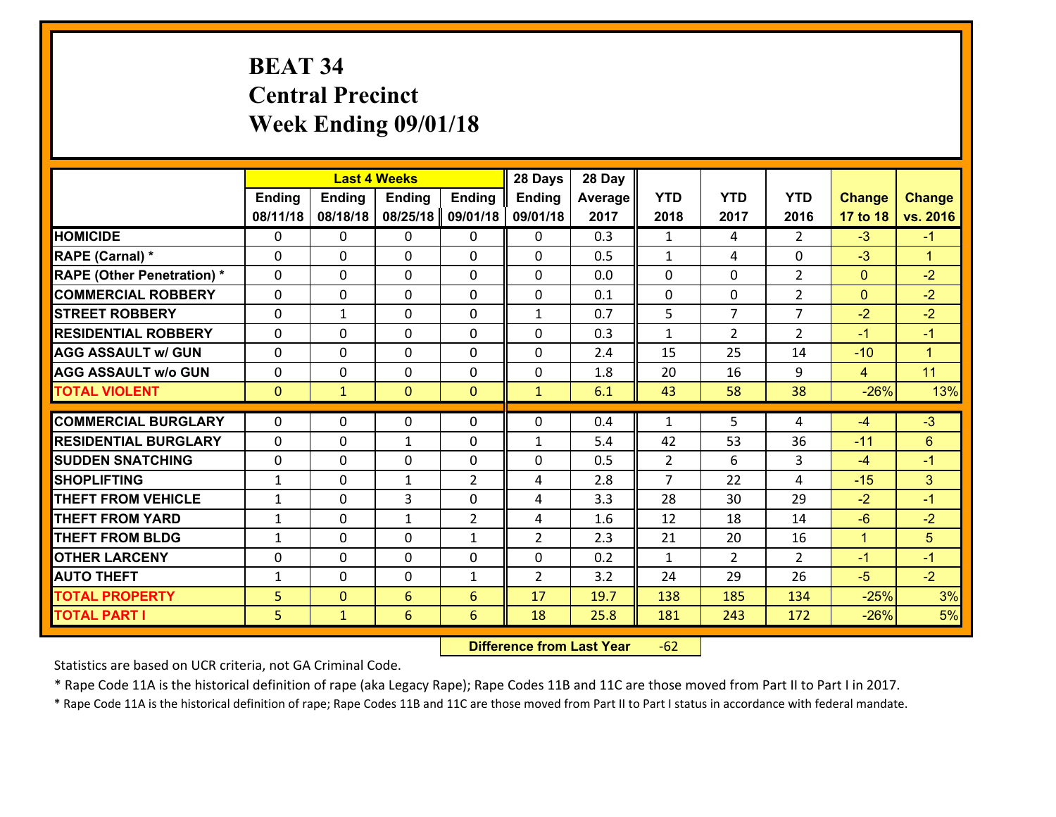# **BEAT 34 Central Precinct Week Ending 09/01/18**

|                                   |               |                | <b>Last 4 Weeks</b> |                | 28 Days        | 28 Day  |                |                |                |                |                      |
|-----------------------------------|---------------|----------------|---------------------|----------------|----------------|---------|----------------|----------------|----------------|----------------|----------------------|
|                                   | <b>Ending</b> | <b>Ending</b>  | <b>Ending</b>       | <b>Ending</b>  | <b>Ending</b>  | Average | <b>YTD</b>     | <b>YTD</b>     | <b>YTD</b>     | <b>Change</b>  | <b>Change</b>        |
|                                   | 08/11/18      | 08/18/18       | 08/25/18            | 09/01/18       | 09/01/18       | 2017    | 2018           | 2017           | 2016           | 17 to 18       | vs. 2016             |
| <b>HOMICIDE</b>                   | $\Omega$      | 0              | 0                   | 0              | $\Omega$       | 0.3     | 1              | 4              | $\mathcal{L}$  | $-3$           | $-1$                 |
| RAPE (Carnal) *                   | $\mathbf{0}$  | 0              | $\mathbf{0}$        | 0              | $\Omega$       | 0.5     | $\mathbf{1}$   | 4              | 0              | $-3$           | $\mathbf{1}$         |
| <b>RAPE (Other Penetration) *</b> | $\Omega$      | 0              | $\mathbf{0}$        | $\Omega$       | $\Omega$       | 0.0     | $\Omega$       | 0              | $\overline{2}$ | $\mathbf{0}$   | $-2$                 |
| <b>COMMERCIAL ROBBERY</b>         | $\mathbf{0}$  | 0              | 0                   | 0              | $\Omega$       | 0.1     | $\mathbf{0}$   | 0              | $\overline{2}$ | $\mathbf{0}$   | $-2$                 |
| <b>STREET ROBBERY</b>             | 0             | $\mathbf{1}$   | $\mathbf 0$         | 0              | $\mathbf{1}$   | 0.7     | 5              | $\overline{7}$ | $\overline{7}$ | $-2$           | $-2$                 |
| <b>RESIDENTIAL ROBBERY</b>        | $\Omega$      | $\Omega$       | $\mathbf 0$         | $\Omega$       | 0              | 0.3     | $\mathbf{1}$   | $\overline{2}$ | $\overline{2}$ | $-1$           | $-1$                 |
| <b>AGG ASSAULT w/ GUN</b>         | 0             | 0              | $\mathbf 0$         | $\Omega$       | 0              | 2.4     | 15             | 25             | 14             | $-10$          | $\blacktriangleleft$ |
| <b>AGG ASSAULT w/o GUN</b>        | 0             | 0              | $\mathbf 0$         | $\mathbf 0$    | 0              | 1.8     | 20             | 16             | 9              | $\overline{4}$ | 11                   |
| <b>TOTAL VIOLENT</b>              | $\mathbf{0}$  | $\mathbf{1}$   | $\overline{0}$      | $\mathbf{0}$   | $\mathbf{1}$   | 6.1     | 43             | 58             | 38             | $-26%$         | 13%                  |
| <b>COMMERCIAL BURGLARY</b>        | $\Omega$      | 0              | $\mathbf{0}$        | $\Omega$       | $\Omega$       | 0.4     | $\mathbf{1}$   | 5              | 4              | -4             | $-3$                 |
| <b>RESIDENTIAL BURGLARY</b>       | 0             | 0              | $\mathbf{1}$        | 0              | 1              | 5.4     | 42             | 53             | 36             | $-11$          | 6                    |
| <b>SUDDEN SNATCHING</b>           | 0             | 0              | $\mathbf 0$         | 0              | 0              | 0.5     | $\overline{2}$ | 6              | 3              | $-4$           | $-1$                 |
| <b>SHOPLIFTING</b>                | $\mathbf{1}$  | 0              | 1                   | $\overline{2}$ | 4              | 2.8     | $\overline{7}$ | 22             | 4              | $-15$          | 3                    |
| <b>THEFT FROM VEHICLE</b>         | $\mathbf{1}$  | 0              | 3                   | 0              | 4              | 3.3     | 28             | 30             | 29             | $-2$           | $-1$                 |
| <b>THEFT FROM YARD</b>            | $\mathbf 1$   | 0              | $\mathbf{1}$        | $\overline{2}$ | 4              | 1.6     | 12             | 18             | 14             | $-6$           | $-2$                 |
| <b>THEFT FROM BLDG</b>            | $\mathbf{1}$  | 0              | $\mathbf 0$         | $\mathbf{1}$   | $\overline{2}$ | 2.3     | 21             | 20             | 16             | $\mathbf{1}$   | 5                    |
| <b>OTHER LARCENY</b>              | 0             | 0              | $\mathbf 0$         | 0              | 0              | 0.2     | $\mathbf{1}$   | $\overline{2}$ | $\overline{2}$ | $-1$           | $-1$                 |
| <b>AUTO THEFT</b>                 | $\mathbf{1}$  | 0              | $\mathbf{0}$        | $\mathbf{1}$   | $\overline{2}$ | 3.2     | 24             | 29             | 26             | $-5$           | $-2$                 |
| <b>TOTAL PROPERTY</b>             | 5             | $\overline{0}$ | 6                   | 6              | 17             | 19.7    | 138            | 185            | 134            | $-25%$         | 3%                   |
| <b>TOTAL PART I</b>               | 5             | $\mathbf{1}$   | 6                   | 6              | 18             | 25.8    | 181            | 243            | 172            | $-26%$         | 5%                   |

 **Difference from Last Year**r -62

Statistics are based on UCR criteria, not GA Criminal Code.

\* Rape Code 11A is the historical definition of rape (aka Legacy Rape); Rape Codes 11B and 11C are those moved from Part II to Part I in 2017.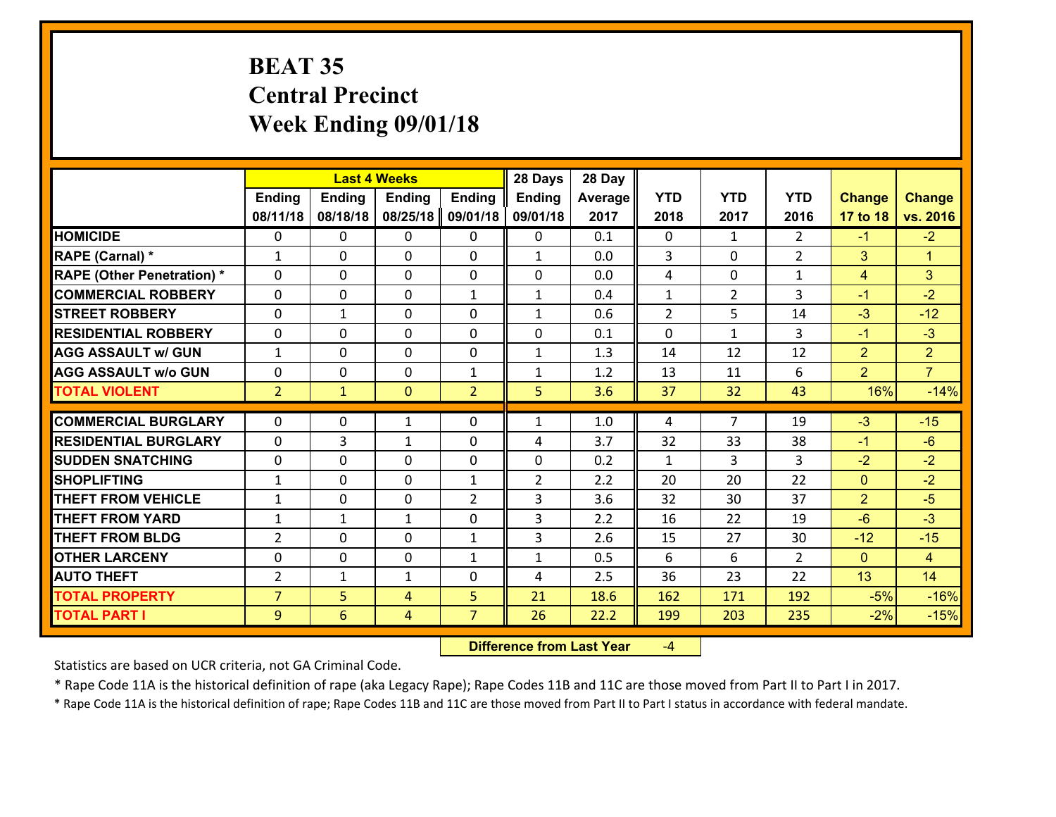# **BEAT 35 Central Precinct Week Ending 09/01/18**

|                                              |                     |              | <b>Last 4 Weeks</b> |                     | 28 Days        | 28 Day       |                |                |                |                |                      |
|----------------------------------------------|---------------------|--------------|---------------------|---------------------|----------------|--------------|----------------|----------------|----------------|----------------|----------------------|
|                                              | <b>Ending</b>       | Ending       | <b>Ending</b>       | <b>Ending</b>       | <b>Ending</b>  | Average      | <b>YTD</b>     | <b>YTD</b>     | <b>YTD</b>     | <b>Change</b>  | <b>Change</b>        |
|                                              | 08/11/18            | 08/18/18     | 08/25/18            | 09/01/18            | 09/01/18       | 2017         | 2018           | 2017           | 2016           | 17 to 18       | vs. 2016             |
| <b>HOMICIDE</b>                              | 0                   | 0            | $\mathbf{0}$        | 0                   | 0              | 0.1          | $\Omega$       | $\mathbf{1}$   | $\overline{2}$ | $-1$           | $-2$                 |
| RAPE (Carnal) *                              | $\mathbf{1}$        | 0            | $\mathbf{0}$        | 0                   | $\mathbf{1}$   | 0.0          | 3              | $\Omega$       | $\overline{2}$ | 3              | $\blacktriangleleft$ |
| <b>RAPE (Other Penetration) *</b>            | $\Omega$            | $\Omega$     | $\Omega$            | $\Omega$            | $\Omega$       | 0.0          | 4              | $\Omega$       | $\mathbf{1}$   | $\overline{4}$ | 3                    |
| <b>COMMERCIAL ROBBERY</b>                    | 0                   | 0            | $\mathbf 0$         | $\mathbf{1}$        | $\mathbf{1}$   | 0.4          | $\mathbf{1}$   | $\overline{2}$ | 3              | $-1$           | $-2$                 |
| <b>STREET ROBBERY</b>                        | $\Omega$            | 1            | $\mathbf{0}$        | $\Omega$            | $\mathbf{1}$   | 0.6          | $\overline{2}$ | 5              | 14             | $-3$           | $-12$                |
| <b>RESIDENTIAL ROBBERY</b>                   | $\Omega$            | $\Omega$     | $\mathbf 0$         | $\Omega$            | 0              | 0.1          | $\Omega$       | $\mathbf{1}$   | 3              | $-1$           | $-3$                 |
| <b>AGG ASSAULT w/ GUN</b>                    | $\mathbf{1}$        | 0            | $\mathbf 0$         | $\Omega$            | $\mathbf{1}$   | 1.3          | 14             | 12             | 12             | $\overline{2}$ | $\overline{2}$       |
| <b>AGG ASSAULT w/o GUN</b>                   | 0                   | 0            | $\mathbf 0$         | $\mathbf{1}$        | $\mathbf{1}$   | 1.2          | 13             | 11             | 6              | $\overline{2}$ | $\overline{7}$       |
| <b>TOTAL VIOLENT</b>                         | 2 <sup>2</sup>      | $\mathbf{1}$ | $\mathbf{0}$        | $\overline{2}$      | 5              | 3.6          | 37             | 32             | 43             | 16%            | $-14%$               |
| <b>COMMERCIAL BURGLARY</b>                   | $\Omega$            | 0            | 1                   | 0                   | $\mathbf{1}$   | 1.0          | 4              | $\overline{7}$ | 19             | $-3$           | $-15$                |
|                                              |                     |              |                     |                     |                |              |                |                |                |                |                      |
|                                              |                     |              |                     |                     |                |              |                |                |                |                |                      |
| <b>RESIDENTIAL BURGLARY</b>                  | $\Omega$            | 3            | 1                   | 0                   | 4              | 3.7          | 32             | 33             | 38             | $-1$           | $-6$                 |
| <b>SUDDEN SNATCHING</b>                      | 0                   | 0            | $\mathbf{0}$        | $\Omega$            | $\Omega$       | 0.2          | $\mathbf{1}$   | 3.             | 3              | $-2$           | $-2$                 |
| <b>SHOPLIFTING</b>                           | $\mathbf{1}$        | 0            | $\mathbf 0$         | $\mathbf{1}$        | $\overline{2}$ | 2.2          | 20             | 20             | 22             | $\mathbf{0}$   | $-2$                 |
| <b>THEFT FROM VEHICLE</b>                    | $\mathbf{1}$        | 0            | $\mathbf{0}$        | $\overline{2}$      | 3              | 3.6          | 32             | 30             | 37             | $\overline{2}$ | $-5$                 |
| <b>THEFT FROM YARD</b>                       | $\mathbf{1}$        | 1            | 1                   | 0                   | 3              | 2.2          | 16             | 22             | 19             | $-6$           | $-3$                 |
| <b>THEFT FROM BLDG</b>                       | $\overline{2}$      | 0            | $\mathbf 0$         | $\mathbf{1}$        | 3              | 2.6          | 15             | 27             | 30             | $-12$          | $-15$                |
| <b>OTHER LARCENY</b>                         | 0                   | 0            | $\mathbf 0$         | $\mathbf{1}$        | $\mathbf{1}$   | 0.5          | 6              | 6              | $\overline{2}$ | $\overline{0}$ | $\overline{4}$       |
| <b>AUTO THEFT</b>                            | $\overline{2}$      | $\mathbf{1}$ | 1                   | 0                   | 4              | 2.5          | 36             | 23             | 22             | 13             | 14                   |
| <b>TOTAL PROPERTY</b><br><b>TOTAL PART I</b> | $\overline{7}$<br>9 | 5<br>6       | 4<br>$\overline{4}$ | 5<br>$\overline{7}$ | 21<br>26       | 18.6<br>22.2 | 162<br>199     | 171<br>203     | 192<br>235     | $-5%$<br>$-2%$ | $-16%$<br>$-15%$     |

 **Difference from Last Year**‐4

Statistics are based on UCR criteria, not GA Criminal Code.

\* Rape Code 11A is the historical definition of rape (aka Legacy Rape); Rape Codes 11B and 11C are those moved from Part II to Part I in 2017.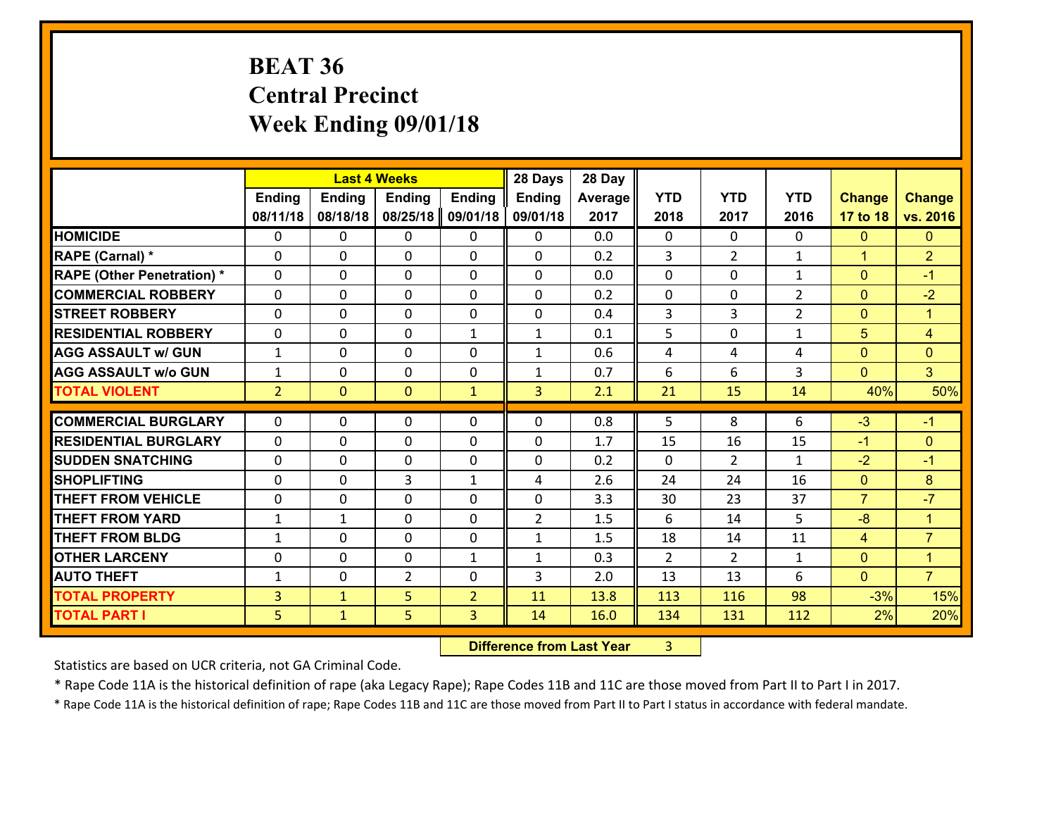# **BEAT 36 Central Precinct Week Ending 09/01/18**

|                                   |                | <b>Last 4 Weeks</b> |                |                | 28 Days        | 28 Day  |            |                |                |                |                      |
|-----------------------------------|----------------|---------------------|----------------|----------------|----------------|---------|------------|----------------|----------------|----------------|----------------------|
|                                   | <b>Ending</b>  | <b>Ending</b>       | <b>Ending</b>  | <b>Ending</b>  | <b>Ending</b>  | Average | <b>YTD</b> | <b>YTD</b>     | <b>YTD</b>     | <b>Change</b>  | <b>Change</b>        |
|                                   | 08/11/18       | 08/18/18            | 08/25/18       | 09/01/18       | 09/01/18       | 2017    | 2018       | 2017           | 2016           | 17 to 18       | vs. 2016             |
| <b>HOMICIDE</b>                   | 0              | 0                   | 0              | 0              | 0              | 0.0     | $\Omega$   | $\Omega$       | 0              | $\mathbf{0}$   | $\mathbf{0}$         |
| RAPE (Carnal) *                   | 0              | 0                   | $\mathbf{0}$   | 0              | $\Omega$       | 0.2     | 3          | $\overline{2}$ | $\mathbf{1}$   | $\mathbf{1}$   | $\overline{2}$       |
| <b>RAPE (Other Penetration) *</b> | $\Omega$       | 0                   | $\mathbf{0}$   | $\Omega$       | $\Omega$       | 0.0     | 0          | $\Omega$       | $\mathbf{1}$   | $\mathbf{0}$   | $-1$                 |
| <b>COMMERCIAL ROBBERY</b>         | 0              | 0                   | $\mathbf{0}$   | $\Omega$       | $\Omega$       | 0.2     | 0          | 0              | $\overline{2}$ | $\mathbf{0}$   | $-2$                 |
| <b>STREET ROBBERY</b>             | 0              | 0                   | $\mathbf 0$    | 0              | 0              | 0.4     | 3          | 3              | $\overline{2}$ | $\mathbf{0}$   | $\blacktriangleleft$ |
| <b>RESIDENTIAL ROBBERY</b>        | $\Omega$       | 0                   | $\mathbf{0}$   | $\mathbf{1}$   | $\mathbf{1}$   | 0.1     | 5          | 0              | $\mathbf{1}$   | 5              | $\overline{4}$       |
| <b>AGG ASSAULT w/ GUN</b>         | $\mathbf{1}$   | 0                   | $\mathbf 0$    | $\Omega$       | $\mathbf{1}$   | 0.6     | 4          | 4              | 4              | $\mathbf{0}$   | $\mathbf{0}$         |
| <b>AGG ASSAULT w/o GUN</b>        | $\mathbf{1}$   | 0                   | $\mathbf 0$    | 0              | $\mathbf{1}$   | 0.7     | 6          | 6              | 3              | $\mathbf{0}$   | 3 <sup>1</sup>       |
| <b>TOTAL VIOLENT</b>              | 2 <sup>1</sup> | $\mathbf{0}$        | $\mathbf{0}$   | $\mathbf{1}$   | $\overline{3}$ | 2.1     | 21         | 15             | 14             | 40%            | 50%                  |
|                                   |                |                     |                |                |                |         |            |                |                |                |                      |
| <b>COMMERCIAL BURGLARY</b>        | $\mathbf 0$    | 0                   | $\mathbf{0}$   | 0              | $\Omega$       | 0.8     | 5          | 8              | 6              | $-3$           | $-1$                 |
| <b>RESIDENTIAL BURGLARY</b>       | $\Omega$       | 0                   | $\mathbf{0}$   | 0              | 0              | 1.7     | 15         | 16             | 15             | $-1$           | $\mathbf{0}$         |
| <b>SUDDEN SNATCHING</b>           | 0              | 0                   | 0              | 0              | $\Omega$       | 0.2     | $\Omega$   | $\overline{2}$ | $\mathbf{1}$   | $-2$           | $-1$                 |
| <b>SHOPLIFTING</b>                | 0              | 0                   | 3              | $\mathbf{1}$   | 4              | 2.6     | 24         | 24             | 16             | $\mathbf{0}$   | 8                    |
| <b>THEFT FROM VEHICLE</b>         | 0              | 0                   | $\mathbf{0}$   | 0              | 0              | 3.3     | 30         | 23             | 37             | $\overline{7}$ | $-7$                 |
| <b>THEFT FROM YARD</b>            | 1              | 1                   | $\mathbf{0}$   | $\Omega$       | $\overline{2}$ | 1.5     | 6          | 14             | 5.             | $-8$           | $\blacktriangleleft$ |
| <b>THEFT FROM BLDG</b>            | $\mathbf{1}$   | 0                   | $\mathbf{0}$   | 0              | $\mathbf{1}$   | 1.5     | 18         | 14             | 11             | $\overline{4}$ | $\overline{7}$       |
| <b>OTHER LARCENY</b>              |                | 0                   | $\mathbf{0}$   | $\mathbf{1}$   | $\mathbf{1}$   | 0.3     | 2          | $\overline{2}$ | $\mathbf{1}$   | $\mathbf{0}$   | $\mathbf{1}$         |
|                                   | $\mathbf{0}$   |                     |                |                |                |         |            |                |                |                |                      |
| <b>AUTO THEFT</b>                 | 1              | 0                   | $\overline{2}$ | 0              | 3              | 2.0     | 13         | 13             | 6              | $\mathbf{0}$   | $\overline{7}$       |
| <b>TOTAL PROPERTY</b>             | $\overline{3}$ | $\mathbf{1}$        | 5              | $\overline{2}$ | 11             | 13.8    | 113        | 116            | 98             | $-3%$          | 15%                  |

 **Difference from Last Year**r 3

Statistics are based on UCR criteria, not GA Criminal Code.

\* Rape Code 11A is the historical definition of rape (aka Legacy Rape); Rape Codes 11B and 11C are those moved from Part II to Part I in 2017.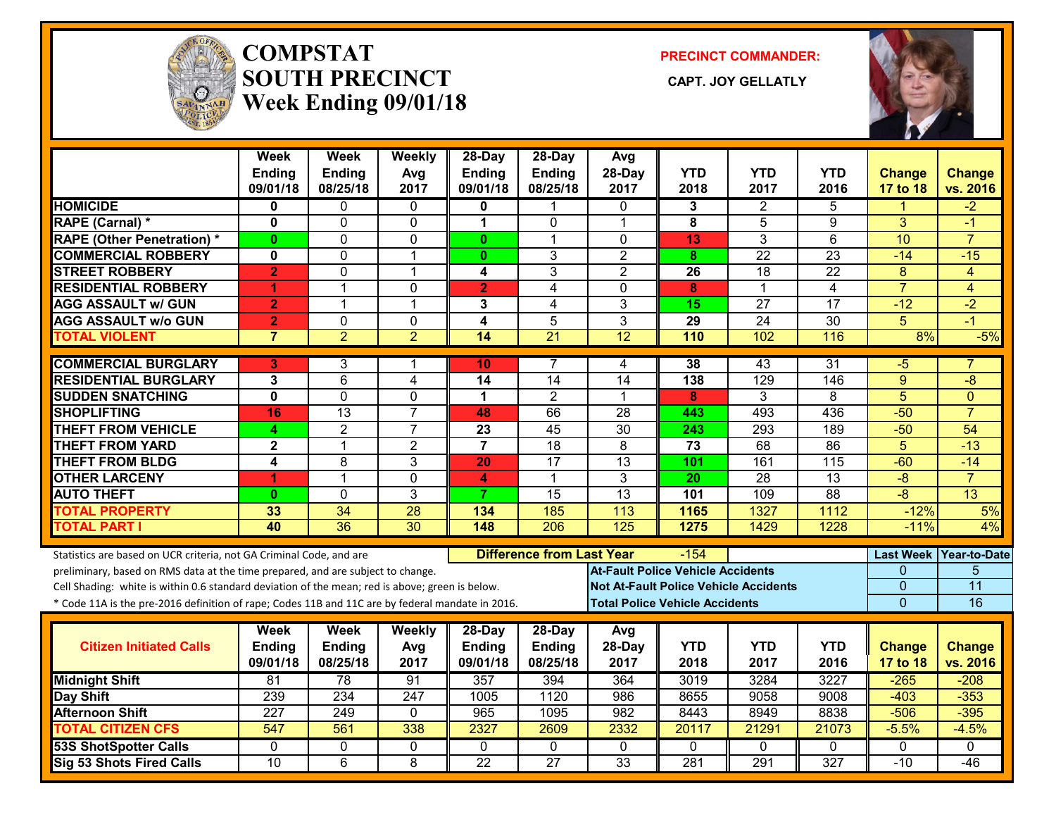

#### **COMPSTATSOUTH PRECINCT** CAPT. JOY GELLATLY **Week Ending 09/01/18**

**PRECINCT COMMANDER:**



|                                                                                                  | <b>Week</b><br><b>Ending</b> | <b>Week</b><br><b>Ending</b> | Weekly<br>Avg        | 28-Day<br><b>Ending</b> | $28$ -Day<br>Ending              | Avg<br>28-Day                                | <b>YTD</b> | <b>YTD</b>      | <b>YTD</b>      | <b>Change</b>    | <b>Change</b>   |
|--------------------------------------------------------------------------------------------------|------------------------------|------------------------------|----------------------|-------------------------|----------------------------------|----------------------------------------------|------------|-----------------|-----------------|------------------|-----------------|
|                                                                                                  | 09/01/18                     | 08/25/18                     | 2017                 | 09/01/18                | 08/25/18                         | 2017                                         | 2018       | 2017            | 2016            | 17 to 18         | vs. 2016        |
| <b>HOMICIDE</b>                                                                                  | 0                            | 0                            | 0                    | 0                       | 1                                | 0                                            | 3          | $\overline{2}$  | 5               | 1                | $-2$            |
| RAPE (Carnal) *                                                                                  | $\mathbf{0}$                 | $\Omega$                     | $\mathbf 0$          | $\blacktriangleleft$    | $\Omega$                         | $\mathbf 1$                                  | 8          | 5               | 9               | 3                | $-1$            |
| <b>RAPE (Other Penetration) *</b>                                                                | $\mathbf{0}$                 | 0                            | $\mathbf 0$          | $\mathbf{0}$            | 1                                | $\Omega$                                     | 13         | 3               | $\overline{6}$  | 10               | $\overline{7}$  |
| <b>COMMERCIAL ROBBERY</b>                                                                        | 0                            | 0                            | $\overline{1}$       | $\mathbf{0}$            | 3                                | $\overline{2}$                               | 8          | 22              | 23              | $-14$            | $-15$           |
| <b>STREET ROBBERY</b>                                                                            | $\overline{2}$               | $\Omega$                     | $\overline{1}$       | 4                       | 3                                | $\overline{2}$                               | 26         | 18              | 22              | 8                | 4               |
| <b>RESIDENTIAL ROBBERY</b>                                                                       | 4                            | 1                            | $\mathbf 0$          | $\overline{2}$          | 4                                | $\Omega$                                     | 8          | $\mathbf 1$     | 4               | $\overline{7}$   | 4               |
| <b>AGG ASSAULT w/ GUN</b>                                                                        | $\overline{2}$               | $\mathbf{1}$                 | $\overline{1}$       | 3                       | 4                                | 3                                            | 15         | 27              | 17              | $-12$            | $-2$            |
| <b>AGG ASSAULT w/o GUN</b>                                                                       | $\overline{2}$               | 0                            | 0                    | $\overline{\mathbf{4}}$ | 5                                | $\overline{3}$                               | 29         | $\overline{24}$ | 30              | 5                | $-1$            |
| <b>TOTAL VIOLENT</b>                                                                             | $\overline{7}$               | $\overline{2}$               | $\overline{2}$       | 14                      | $\overline{21}$                  | 12                                           | 110        | 102             | 116             | 8%               | $-5%$           |
| <b>COMMERCIAL BURGLARY</b>                                                                       | 3                            | 3                            | -1                   | 10                      |                                  | 4                                            | 38         | 43              | 31              | $-5$             |                 |
| <b>RESIDENTIAL BURGLARY</b>                                                                      | 3                            | 6                            | 4                    | 14                      | 14                               | 14                                           | 138        | 129             | 146             | 9                | -8              |
| <b>SUDDEN SNATCHING</b>                                                                          | $\overline{\mathbf{0}}$      | $\Omega$                     | $\mathbf{0}$         | $\mathbf 1$             | 2                                | 1                                            | 8          | 3               | 8               | $\overline{5}$   | $\Omega$        |
| <b>SHOPLIFTING</b>                                                                               | 16                           | 13                           | $\overline{7}$       | 48                      | 66                               | 28                                           | 443        | 493             | 436             | $-50$            | $\overline{7}$  |
| <b>THEFT FROM VEHICLE</b>                                                                        | 4                            | $\overline{2}$               | $\overline{7}$       | 23                      | 45                               | $\overline{30}$                              | 243        | 293             | 189             | $-50$            | 54              |
| <b>THEFT FROM YARD</b>                                                                           | $\mathbf{2}$                 | $\mathbf{1}$                 | $\overline{2}$       | $\overline{7}$          | 18                               | 8                                            | 73         | 68              | 86              | $\overline{5}$   | $-13$           |
| <b>THEFT FROM BLDG</b>                                                                           | 4                            | 8                            | 3                    | 20                      | $\overline{17}$                  | 13                                           | 101        | 161             | 115             | $-60$            | $-14$           |
| <b>OTHER LARCENY</b>                                                                             | 1                            | 1                            | $\mathbf 0$          | 4                       | $\blacktriangleleft$             | 3                                            | 20         | $\overline{28}$ | 13              | $-\frac{8}{3}$   | $\overline{7}$  |
| <b>AUTO THEFT</b>                                                                                | $\bf{0}$                     | 0                            | $\overline{3}$       | 7                       | $\overline{15}$                  | $\overline{13}$                              | 101        | 109             | $\overline{88}$ | $-8$             | 13              |
| <b>TOTAL PROPERTY</b>                                                                            | 33                           | 34                           | 28                   | 134                     | 185                              | 113                                          | 1165       | 1327            | 1112            | $-12%$           | 5%              |
| <b>TOTAL PART I</b>                                                                              | 40                           | $\overline{36}$              | $\overline{30}$      | 148                     | $\overline{206}$                 | $\overline{125}$                             | 1275       | 1429            | 1228            | $-11%$           | 4%              |
| Statistics are based on UCR criteria, not GA Criminal Code, and are                              |                              |                              |                      |                         | <b>Difference from Last Year</b> |                                              | $-154$     |                 |                 | <b>Last Week</b> | Year-to-Date    |
| preliminary, based on RMS data at the time prepared, and are subject to change.                  |                              |                              |                      |                         |                                  | <b>At-Fault Police Vehicle Accidents</b>     |            |                 |                 | 0                | 5               |
| Cell Shading: white is within 0.6 standard deviation of the mean; red is above; green is below.  |                              |                              |                      |                         |                                  | <b>Not At-Fault Police Vehicle Accidents</b> |            |                 |                 | 0                | $\overline{11}$ |
| * Code 11A is the pre-2016 definition of rape; Codes 11B and 11C are by federal mandate in 2016. |                              |                              |                      |                         |                                  | <b>Total Police Vehicle Accidents</b>        |            |                 |                 | $\overline{0}$   | 16              |
|                                                                                                  | Week                         | <b>Week</b>                  |                      | 28-Day                  |                                  |                                              |            |                 |                 |                  |                 |
| <b>Citizen Initiated Calls</b>                                                                   | Ending                       | <b>Ending</b>                | <b>Weekly</b><br>Avg | <b>Ending</b>           | $28$ -Day<br>Ending              | Avg<br>28-Day                                | <b>YTD</b> | <b>YTD</b>      | <b>YTD</b>      | <b>Change</b>    | <b>Change</b>   |
|                                                                                                  | 09/01/18                     | 08/25/18                     | 2017                 | 09/01/18                | 08/25/18                         | 2017                                         | 2018       | 2017            | 2016            | 17 to 18         | vs. 2016        |
| <b>Midnight Shift</b>                                                                            | $\overline{81}$              | $\overline{78}$              | 91                   | 357                     | 394                              | 364                                          | 3019       | 3284            | 3227            | $-265$           | $-208$          |
| Day Shift                                                                                        | 239                          | 234                          | 247                  | 1005                    | 1120                             | 986                                          | 8655       | 9058            | 9008            | $-403$           | $-353$          |
| <b>Afternoon Shift</b>                                                                           | 227                          | 249                          | $\Omega$             | 965                     | 1095                             | 982                                          | 8443       | 8949            | 8838            | $-506$           | $-395$          |
| <b>TOTAL CITIZEN CFS</b>                                                                         | $\overline{547}$             | 561                          | 338                  | 2327                    | 2609                             | 2332                                         | 20117      | 21291           | 21073           | $-5.5%$          | $-4.5%$         |
| <b>53S ShotSpotter Calls</b>                                                                     | $\Omega$                     | 0                            | $\mathbf{0}$         | $\Omega$                | $\mathbf{0}$                     | $\mathbf{0}$                                 | $\Omega$   | $\mathbf{0}$    | $\Omega$        | $\mathbf{0}$     | $\Omega$        |
| Sig 53 Shots Fired Calls                                                                         | $\overline{10}$              | $\overline{6}$               | 8                    | $\overline{22}$         | $\overline{27}$                  | $\overline{33}$                              | 281        | 291             | 327             | $-10$            | $-46$           |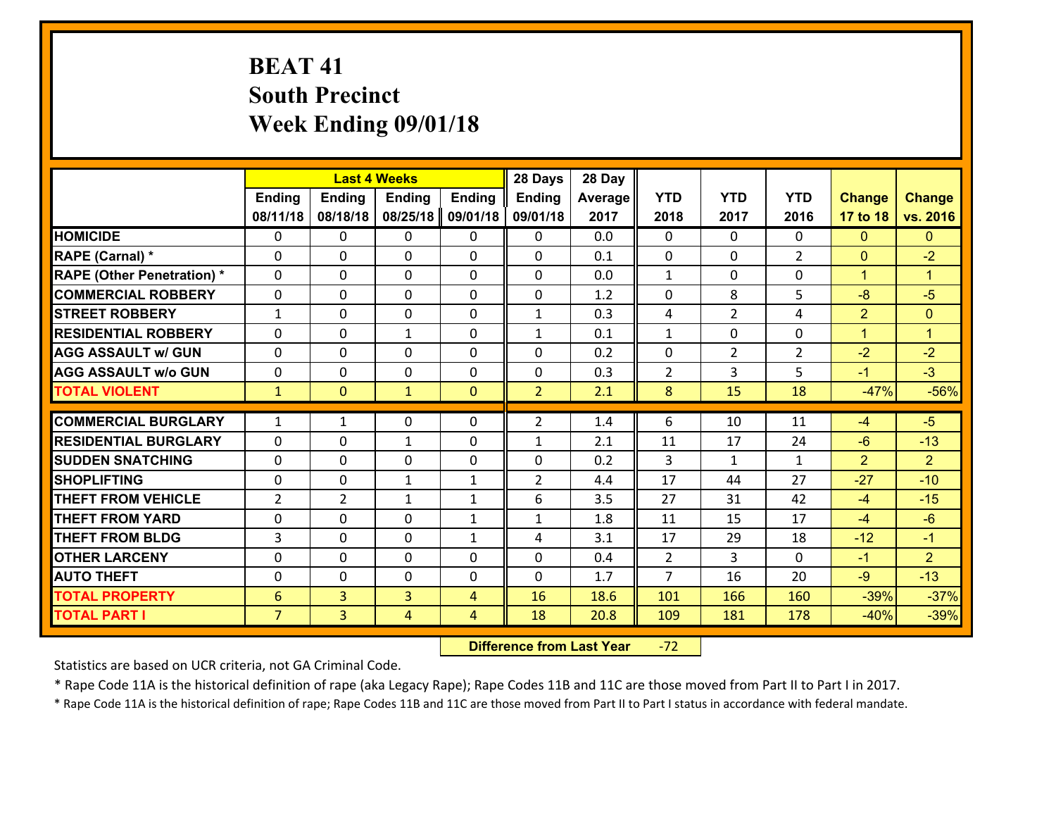# **BEAT 41 South Precinct Week Ending 09/01/18**

|                                                 |                |                | <b>Last 4 Weeks</b>         |                   | 28 Days        | 28 Day     |                |                    |                    |                         |                         |
|-------------------------------------------------|----------------|----------------|-----------------------------|-------------------|----------------|------------|----------------|--------------------|--------------------|-------------------------|-------------------------|
|                                                 | Ending         | <b>Ending</b>  | <b>Ending</b>               | <b>Ending</b>     | <b>Ending</b>  | Average    | <b>YTD</b>     | <b>YTD</b>         | <b>YTD</b>         | <b>Change</b>           | <b>Change</b>           |
|                                                 | 08/11/18       | 08/18/18       | 08/25/18                    | 09/01/18          | 09/01/18       | 2017       | 2018           | 2017               | 2016               | 17 to 18                | vs. 2016                |
| <b>HOMICIDE</b>                                 | 0              | $\Omega$       | $\mathbf{0}$                | $\Omega$          | $\mathbf{0}$   | 0.0        | $\Omega$       | $\Omega$           | $\Omega$           | $\mathbf{0}$            | $\mathbf{0}$            |
| RAPE (Carnal) *                                 | 0              | $\Omega$       | $\mathbf 0$                 | $\Omega$          | 0              | 0.1        | $\mathbf{0}$   | $\Omega$           | $\overline{2}$     | $\mathbf{0}$            | $-2$                    |
| <b>RAPE (Other Penetration) *</b>               | $\Omega$       | $\Omega$       | $\Omega$                    | $\Omega$          | $\Omega$       | 0.0        | $\mathbf{1}$   | $\Omega$           | $\Omega$           | $\mathbf{1}$            | $\blacktriangleleft$    |
| <b>COMMERCIAL ROBBERY</b>                       | 0              | 0              | $\mathbf 0$                 | $\Omega$          | 0              | 1.2        | $\mathbf 0$    | 8                  | 5                  | $-8$                    | $-5$                    |
| <b>STREET ROBBERY</b>                           | $\mathbf{1}$   | 0              | $\mathbf{0}$                | $\Omega$          | $\mathbf{1}$   | 0.3        | 4              | $\overline{2}$     | 4                  | $\overline{2}$          | $\mathbf{0}$            |
| <b>RESIDENTIAL ROBBERY</b>                      | $\Omega$       | $\Omega$       | $\mathbf{1}$                | 0                 | $\mathbf{1}$   | 0.1        | $\mathbf{1}$   | $\Omega$           | $\Omega$           | $\mathbf{1}$            | $\blacktriangleleft$    |
| <b>AGG ASSAULT w/ GUN</b>                       | $\Omega$       | 0              | $\Omega$                    | $\Omega$          | $\Omega$       | 0.2        | $\Omega$       | $\overline{2}$     | $\mathcal{L}$      | $-2$                    | $-2$                    |
| <b>AGG ASSAULT w/o GUN</b>                      | 0              | 0              | $\mathbf 0$                 | $\Omega$          | 0              | 0.3        | $\overline{2}$ | $\overline{3}$     | 5                  | $-1$                    | $-3$                    |
| <b>TOTAL VIOLENT</b>                            | $\mathbf{1}$   | $\mathbf{0}$   | $\mathbf{1}$                | $\mathbf{0}$      | $\overline{2}$ | 2.1        | 8              | 15                 | 18                 | $-47%$                  | $-56%$                  |
| <b>COMMERCIAL BURGLARY</b>                      | 1              | 1              | $\mathbf{0}$                | 0                 | $\overline{2}$ | 1.4        | 6              | 10                 | 11                 | $-4$                    | $-5$                    |
| <b>RESIDENTIAL BURGLARY</b>                     |                |                |                             |                   |                |            |                |                    |                    |                         |                         |
|                                                 | $\Omega$       | 0              | $\mathbf{1}$                | 0                 | $\mathbf{1}$   | 2.1        | 11             | 17                 | 24                 | $-6$                    | $-13$                   |
| <b>ISUDDEN SNATCHING</b><br><b>ISHOPLIFTING</b> | 0<br>$\Omega$  | 0<br>0         | $\mathbf 0$<br>$\mathbf{1}$ | 0<br>$\mathbf{1}$ | 0              | 0.2<br>4.4 | 3<br>17        | $\mathbf{1}$<br>44 | $\mathbf{1}$<br>27 | $\overline{2}$<br>$-27$ | $\overline{2}$<br>$-10$ |
| <b>THEFT FROM VEHICLE</b>                       | $\overline{2}$ | $\overline{2}$ | $\mathbf{1}$                | $\mathbf{1}$      | 2<br>6         | 3.5        | 27             | 31                 | 42                 | $-4$                    | $-15$                   |
| <b>THEFT FROM YARD</b>                          |                | $\Omega$       | $\Omega$                    |                   |                |            |                | 15                 | 17                 |                         | $-6$                    |
|                                                 | 0              |                |                             | $\mathbf{1}$      | $\mathbf{1}$   | 1.8        | 11             |                    |                    | $-4$                    |                         |
| <b>THEFT FROM BLDG</b>                          | 3              | 0              | $\mathbf{0}$                | $\mathbf{1}$      | 4              | 3.1        | 17             | 29                 | 18                 | $-12$                   | $-1$                    |
| <b>OTHER LARCENY</b>                            | 0              | 0              | $\mathbf 0$                 | 0                 | 0              | 0.4        | $\overline{2}$ | 3                  | $\Omega$           | $-1$                    | $\overline{2}$          |
| <b>AUTO THEFT</b>                               | 0              | 0              | $\mathbf 0$                 | $\Omega$          | $\Omega$       | 1.7        | $\overline{7}$ | 16                 | 20                 | $-9$                    | $-13$                   |
| <b>TOTAL PROPERTY</b>                           | 6              | $\overline{3}$ | $\overline{3}$              | $\overline{4}$    | 16             | 18.6       | 101            | 166                | 160                | $-39%$                  | $-37%$                  |
| <b>TOTAL PART I</b>                             | $\overline{7}$ | $\overline{3}$ | $\overline{4}$              | 4                 | 18             | 20.8       | 109            | 181                | 178                | $-40%$                  | $-39%$                  |

 **Difference from Last Year**r -72

Statistics are based on UCR criteria, not GA Criminal Code.

\* Rape Code 11A is the historical definition of rape (aka Legacy Rape); Rape Codes 11B and 11C are those moved from Part II to Part I in 2017.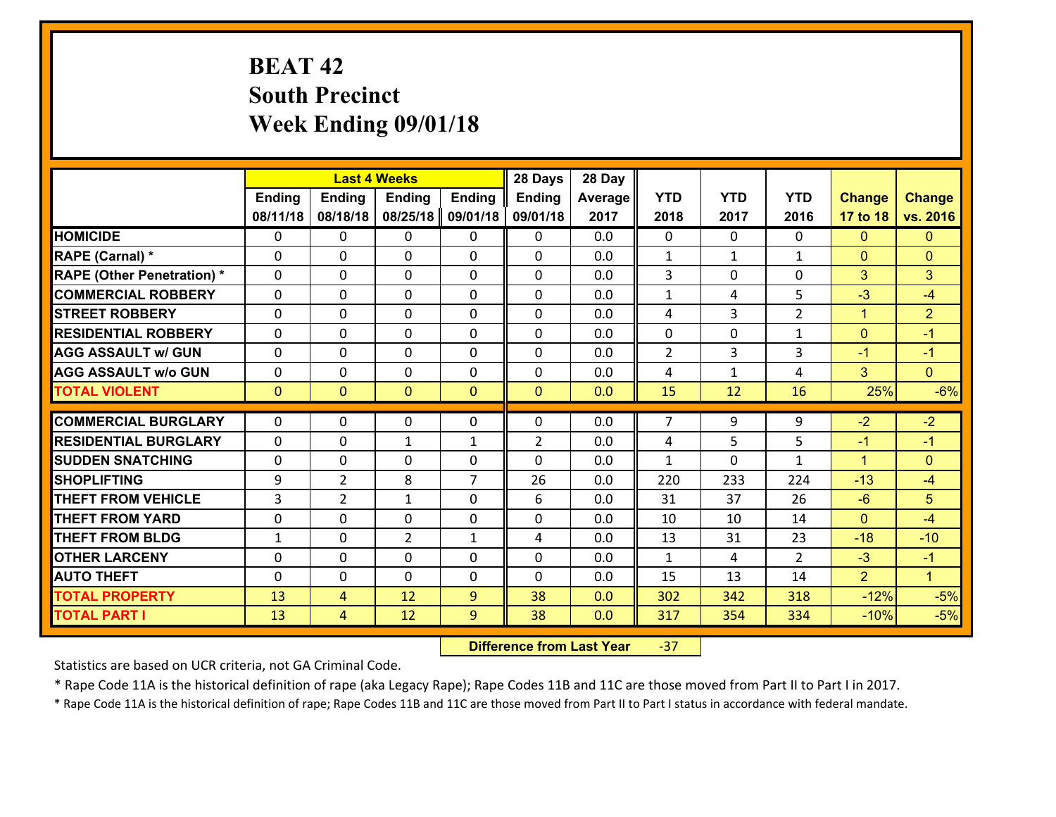# **BEAT 42 South Precinct Week Ending 09/01/18**

|                                   |              |                | <b>Last 4 Weeks</b> |                | 28 Days        | 28 Day  |                |                |                |                      |                      |
|-----------------------------------|--------------|----------------|---------------------|----------------|----------------|---------|----------------|----------------|----------------|----------------------|----------------------|
|                                   | Ending       | Ending         | <b>Ending</b>       | <b>Ending</b>  | <b>Ending</b>  | Average | <b>YTD</b>     | <b>YTD</b>     | <b>YTD</b>     | <b>Change</b>        | <b>Change</b>        |
|                                   | 08/11/18     | 08/18/18       | 08/25/18            | 09/01/18       | 09/01/18       | 2017    | 2018           | 2017           | 2016           | 17 to 18             | vs. 2016             |
| <b>HOMICIDE</b>                   | $\Omega$     | 0              | 0                   | $\Omega$       | 0              | 0.0     | 0              | $\Omega$       | 0              | $\Omega$             | $\mathbf{0}$         |
| RAPE (Carnal) *                   | $\mathbf{0}$ | 0              | $\mathbf{0}$        | 0              | $\Omega$       | 0.0     | $\mathbf{1}$   | $\mathbf{1}$   | $\mathbf{1}$   | $\mathbf{0}$         | $\mathbf{0}$         |
| <b>RAPE (Other Penetration) *</b> | $\mathbf{0}$ | 0              | $\mathbf{0}$        | $\Omega$       | $\Omega$       | 0.0     | 3              | 0              | 0              | 3                    | 3                    |
| <b>COMMERCIAL ROBBERY</b>         | $\mathbf{0}$ | 0              | 0                   | $\Omega$       | $\Omega$       | 0.0     | 1              | 4              | 5              | $-3$                 | $-4$                 |
| <b>STREET ROBBERY</b>             | $\mathbf{0}$ | 0              | $\mathbf{0}$        | 0              | $\Omega$       | 0.0     | 4              | 3              | $\overline{2}$ | $\mathbf{1}$         | $\overline{2}$       |
| <b>RESIDENTIAL ROBBERY</b>        | $\Omega$     | 0              | $\mathbf 0$         | 0              | 0              | 0.0     | 0              | 0              | $\mathbf{1}$   | $\mathbf{0}$         | $-1$                 |
| <b>AGG ASSAULT w/ GUN</b>         | 0            | 0              | $\mathbf 0$         | 0              | 0              | 0.0     | $\overline{2}$ | $\overline{3}$ | 3              | $-1$                 | $-1$                 |
| <b>AGG ASSAULT W/o GUN</b>        | 0            | 0              | $\mathbf 0$         | 0              | 0              | 0.0     | 4              | $\mathbf{1}$   | 4              | 3                    | $\overline{0}$       |
| <b>TOTAL VIOLENT</b>              | $\mathbf{0}$ | $\overline{0}$ | $\mathbf{0}$        | $\mathbf{0}$   | $\mathbf{0}$   | 0.0     | 15             | 12             | 16             | 25%                  | $-6%$                |
| <b>COMMERCIAL BURGLARY</b>        | $\mathbf{0}$ | 0              | 0                   | 0              | $\Omega$       | 0.0     | $\overline{7}$ | 9              | 9              | $-2$                 | $-2$                 |
| <b>RESIDENTIAL BURGLARY</b>       | $\Omega$     | 0              | 1                   | $\mathbf{1}$   | $\overline{2}$ | 0.0     | 4              | 5              | 5              | $-1$                 | $-1$                 |
| <b>SUDDEN SNATCHING</b>           | $\mathbf{0}$ | 0              | 0                   | 0              | $\Omega$       | 0.0     | $\mathbf{1}$   | 0              | $\mathbf{1}$   | $\blacktriangleleft$ | $\Omega$             |
| <b>SHOPLIFTING</b>                | 9            | $\overline{2}$ | 8                   | $\overline{7}$ | 26             | 0.0     | 220            | 233            | 224            | $-13$                | $-4$                 |
| <b>THEFT FROM VEHICLE</b>         | 3            | $\overline{2}$ | $\mathbf{1}$        | $\Omega$       | 6              | 0.0     | 31             | 37             | 26             | $-6$                 | 5                    |
| <b>THEFT FROM YARD</b>            | 0            | 0              | $\mathbf 0$         | 0              | 0              | 0.0     | 10             | 10             | 14             | $\Omega$             | $-4$                 |
| <b>THEFT FROM BLDG</b>            | $\mathbf{1}$ | 0              | $\overline{2}$      | $\mathbf{1}$   | 4              | 0.0     | 13             | 31             | 23             | $-18$                | $-10$                |
| <b>OTHER LARCENY</b>              | 0            | 0              | $\mathbf 0$         | 0              | 0              | 0.0     | $\mathbf{1}$   | 4              | $\overline{2}$ | $-3$                 | $-1$                 |
| <b>AUTO THEFT</b>                 | $\mathbf{0}$ | 0              | $\mathbf{0}$        | 0              | 0              | 0.0     | 15             | 13             | 14             | $\overline{2}$       | $\blacktriangleleft$ |
| <b>TOTAL PROPERTY</b>             | 13           | 4              | 12                  | 9              | 38             | 0.0     | 302            | 342            | 318            | $-12%$               | $-5%$                |
| <b>TOTAL PART I</b>               | 13           | $\overline{4}$ | 12                  | 9              | 38             | 0.0     | 317            | 354            | 334            | $-10%$               | $-5%$                |

 **Difference from Last Year**‐37

Statistics are based on UCR criteria, not GA Criminal Code.

\* Rape Code 11A is the historical definition of rape (aka Legacy Rape); Rape Codes 11B and 11C are those moved from Part II to Part I in 2017.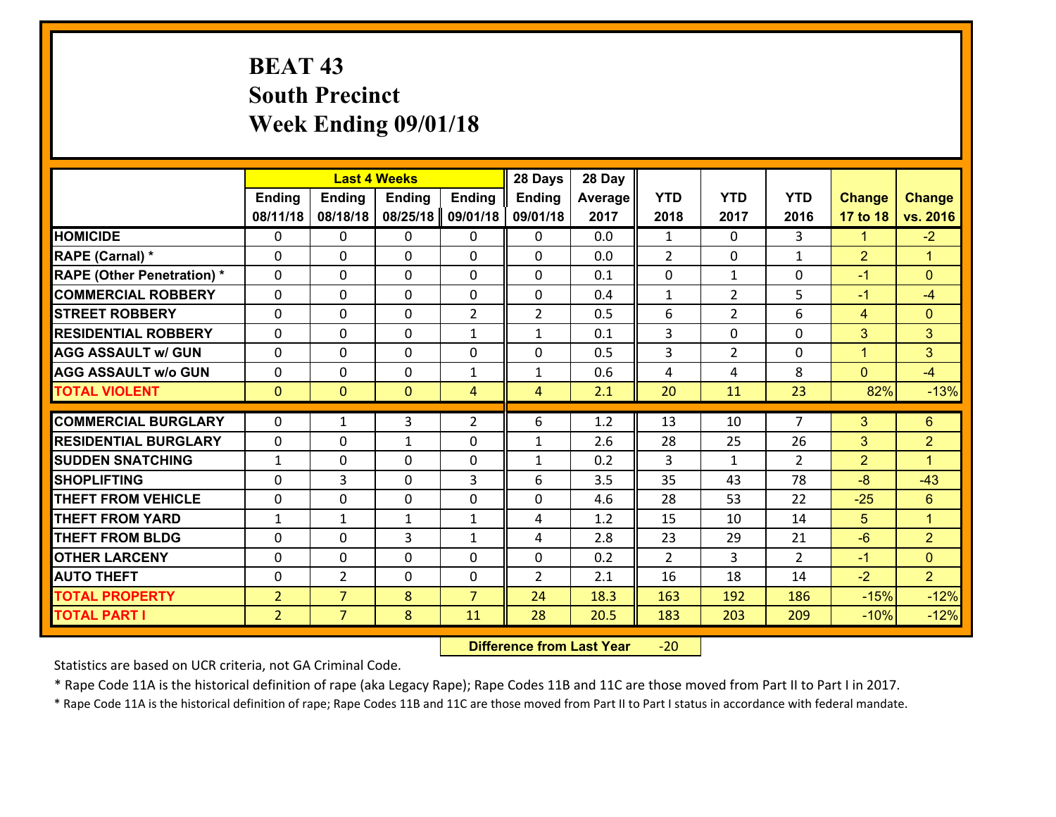# **BEAT 43 South Precinct Week Ending 09/01/18**

|                                   |                |                | <b>Last 4 Weeks</b> |                | 28 Days        | 28 Day  |              |                |                |                |                      |
|-----------------------------------|----------------|----------------|---------------------|----------------|----------------|---------|--------------|----------------|----------------|----------------|----------------------|
|                                   | <b>Ending</b>  | <b>Ending</b>  | <b>Ending</b>       | <b>Ending</b>  | <b>Ending</b>  | Average | <b>YTD</b>   | <b>YTD</b>     | <b>YTD</b>     | <b>Change</b>  | <b>Change</b>        |
|                                   | 08/11/18       | 08/18/18       | 08/25/18            | 09/01/18       | 09/01/18       | 2017    | 2018         | 2017           | 2016           | 17 to 18       | vs. 2016             |
| <b>HOMICIDE</b>                   | $\Omega$       | 0              | $\Omega$            | 0              | 0              | 0.0     | 1            | $\Omega$       | 3              | $\mathbf{1}$   | $-2$                 |
| RAPE (Carnal) *                   | 0              | 0              | $\mathbf{0}$        | 0              | 0              | 0.0     | 2            | 0              | $\mathbf{1}$   | 2              | $\blacktriangleleft$ |
| <b>RAPE (Other Penetration) *</b> | $\Omega$       | 0              | $\mathbf{0}$        | $\Omega$       | 0              | 0.1     | 0            | $\mathbf{1}$   | $\Omega$       | $-1$           | $\mathbf{0}$         |
| <b>COMMERCIAL ROBBERY</b>         | 0              | 0              | 0                   | 0              | 0              | 0.4     | $\mathbf{1}$ | $\overline{2}$ | 5              | $-1$           | $-4$                 |
| <b>STREET ROBBERY</b>             | $\Omega$       | 0              | $\mathbf 0$         | $\overline{2}$ | $\overline{2}$ | 0.5     | 6            | $\overline{2}$ | 6              | $\overline{4}$ | $\mathbf{0}$         |
| <b>RESIDENTIAL ROBBERY</b>        | $\Omega$       | $\Omega$       | $\mathbf 0$         | $\mathbf{1}$   | $\mathbf{1}$   | 0.1     | 3            | 0              | $\Omega$       | 3              | 3                    |
| <b>AGG ASSAULT w/ GUN</b>         | $\Omega$       | 0              | $\mathbf 0$         | 0              | 0              | 0.5     | 3            | $\overline{2}$ | 0              | $\mathbf{1}$   | 3                    |
| <b>AGG ASSAULT w/o GUN</b>        | 0              | 0              | $\mathbf 0$         | $\mathbf{1}$   | $\mathbf{1}$   | 0.6     | 4            | 4              | 8              | $\overline{0}$ | $-4$                 |
| <b>TOTAL VIOLENT</b>              | $\mathbf{0}$   | $\overline{0}$ | $\overline{0}$      | $\overline{4}$ | $\overline{4}$ | 2.1     | 20           | 11             | 23             | 82%            | $-13%$               |
| <b>COMMERCIAL BURGLARY</b>        | $\Omega$       | 1              | 3                   | $\overline{2}$ | 6              | 1.2     | 13           | 10             | $\overline{7}$ | 3              | $6\phantom{1}$       |
|                                   |                |                |                     |                |                |         |              |                |                |                |                      |
| <b>RESIDENTIAL BURGLARY</b>       | 0              | 0              | $\mathbf{1}$        | 0              | $\mathbf{1}$   | 2.6     | 28           | 25             | 26             | 3              | $\overline{2}$       |
| <b>SUDDEN SNATCHING</b>           | $\mathbf{1}$   | 0              | $\mathbf 0$         | 0              | $\mathbf{1}$   | 0.2     | 3            | $\mathbf{1}$   | $\overline{2}$ | $\overline{2}$ | $\blacktriangleleft$ |
| <b>SHOPLIFTING</b>                | 0              | 3              | $\mathbf 0$         | 3              | 6              | 3.5     | 35           | 43             | 78             | $-8$           | $-43$                |
| <b>THEFT FROM VEHICLE</b>         | 0              | 0              | $\mathbf 0$         | 0              | 0              | 4.6     | 28           | 53             | 22             | $-25$          | $6\phantom{a}$       |
| <b>THEFT FROM YARD</b>            | $\mathbf{1}$   | $\mathbf{1}$   | 1                   | $\mathbf{1}$   | 4              | 1.2     | 15           | 10             | 14             | 5              | $\mathbf{1}$         |
| <b>THEFT FROM BLDG</b>            | 0              | 0              | 3                   | $\mathbf{1}$   | 4              | 2.8     | 23           | 29             | 21             | $-6$           | $\overline{2}$       |
| <b>OTHER LARCENY</b>              | 0              | 0              | $\mathbf 0$         | 0              | 0              | 0.2     | 2            | 3              | $\overline{2}$ | $-1$           | $\overline{0}$       |
| <b>AUTO THEFT</b>                 | 0              | $\overline{2}$ | $\mathbf{0}$        | 0              | $\overline{2}$ | 2.1     | 16           | 18             | 14             | $-2$           | $\overline{2}$       |
| <b>TOTAL PROPERTY</b>             | $\overline{2}$ | $\overline{7}$ | 8                   | $\overline{7}$ | 24             | 18.3    | 163          | 192            | 186            | $-15%$         | $-12%$               |
| <b>TOTAL PART I</b>               | $\overline{2}$ | $\overline{7}$ | 8                   | 11             | 28             | 20.5    | 183          | 203            | 209            | $-10%$         | $-12%$               |

 **Difference from Last Year**‐20

Statistics are based on UCR criteria, not GA Criminal Code.

\* Rape Code 11A is the historical definition of rape (aka Legacy Rape); Rape Codes 11B and 11C are those moved from Part II to Part I in 2017.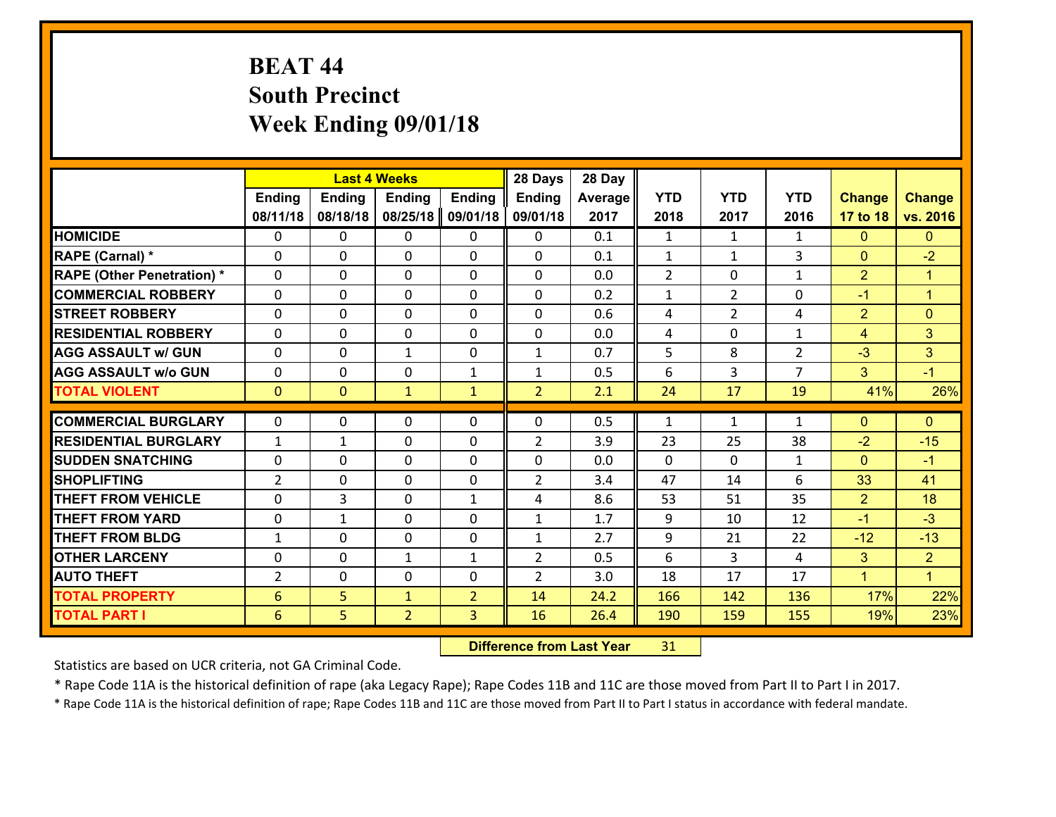# **BEAT 44 South Precinct Week Ending 09/01/18**

|                                   |                |                | <b>Last 4 Weeks</b> |                | 28 Days        | 28 Day  |                |                |                |                |                      |
|-----------------------------------|----------------|----------------|---------------------|----------------|----------------|---------|----------------|----------------|----------------|----------------|----------------------|
|                                   | Ending         | <b>Ending</b>  | <b>Ending</b>       | <b>Ending</b>  | <b>Ending</b>  | Average | <b>YTD</b>     | <b>YTD</b>     | <b>YTD</b>     | <b>Change</b>  | <b>Change</b>        |
|                                   | 08/11/18       | 08/18/18       | 08/25/18            | 09/01/18       | 09/01/18       | 2017    | 2018           | 2017           | 2016           | 17 to 18       | vs. 2016             |
| <b>HOMICIDE</b>                   | 0              | 0              | $\mathbf{0}$        | 0              | $\mathbf{0}$   | 0.1     | 1              | $\mathbf{1}$   | $\mathbf{1}$   | $\mathbf{0}$   | $\mathbf{0}$         |
| RAPE (Carnal) *                   | 0              | $\Omega$       | $\mathbf{0}$        | 0              | 0              | 0.1     | 1              | $\mathbf{1}$   | 3              | $\mathbf{0}$   | $-2$                 |
| <b>RAPE (Other Penetration) *</b> | $\Omega$       | $\Omega$       | $\Omega$            | $\Omega$       | $\Omega$       | 0.0     | $\overline{2}$ | $\Omega$       | $\mathbf{1}$   | $\overline{2}$ | $\blacktriangleleft$ |
| <b>COMMERCIAL ROBBERY</b>         | 0              | 0              | $\mathbf 0$         | $\Omega$       | 0              | 0.2     | $\mathbf{1}$   | $\overline{2}$ | 0              | $-1$           | $\mathbf{1}$         |
| <b>STREET ROBBERY</b>             | $\Omega$       | $\Omega$       | $\mathbf{0}$        | $\Omega$       | $\mathbf{0}$   | 0.6     | 4              | $\overline{2}$ | 4              | $\overline{2}$ | $\mathbf{0}$         |
| <b>RESIDENTIAL ROBBERY</b>        | $\Omega$       | $\Omega$       | $\mathbf 0$         | $\Omega$       | $\Omega$       | 0.0     | 4              | $\Omega$       | $\mathbf{1}$   | $\overline{4}$ | 3                    |
| <b>AGG ASSAULT w/ GUN</b>         | 0              | 0              | $\mathbf{1}$        | $\Omega$       | $\mathbf{1}$   | 0.7     | 5              | 8              | $\overline{2}$ | $-3$           | 3                    |
| <b>AGG ASSAULT w/o GUN</b>        | 0              | 0              | $\mathbf 0$         | $\mathbf{1}$   | $\mathbf{1}$   | 0.5     | 6              | 3              | $\overline{7}$ | 3              | $-1$                 |
| <b>TOTAL VIOLENT</b>              | $\mathbf{0}$   | $\overline{0}$ | $\mathbf{1}$        | $\mathbf{1}$   | $\overline{2}$ | 2.1     | 24             | 17             | 19             | 41%            | 26%                  |
| <b>COMMERCIAL BURGLARY</b>        | 0              | 0              | $\mathbf{0}$        | $\Omega$       | 0              | 0.5     | 1              | $\mathbf{1}$   | $\mathbf{1}$   | $\mathbf{0}$   | $\mathbf{0}$         |
| <b>RESIDENTIAL BURGLARY</b>       | 1              | 1              | $\mathbf{0}$        | 0              | 2              | 3.9     | 23             | 25             | 38             | $-2$           | $-15$                |
| <b>ISUDDEN SNATCHING</b>          | $\Omega$       | $\Omega$       | $\mathbf{0}$        | 0              | 0              | 0.0     | $\Omega$       | $\Omega$       | $\mathbf{1}$   | $\mathbf{0}$   | $-1$                 |
| <b>SHOPLIFTING</b>                | $\overline{2}$ | 0              | $\mathbf 0$         | 0              | $\overline{2}$ | 3.4     | 47             | 14             | 6              | 33             | 41                   |
| <b>THEFT FROM VEHICLE</b>         | $\Omega$       | 3              | $\mathbf{0}$        | $\mathbf{1}$   | 4              | 8.6     | 53             | 51             | 35             | $\overline{2}$ | 18                   |
| <b>THEFT FROM YARD</b>            | 0              | $\mathbf{1}$   | $\mathbf 0$         | 0              | $\mathbf{1}$   | 1.7     | 9              | 10             | 12             | $-1$           | $-3$                 |
| <b>THEFT FROM BLDG</b>            | $\mathbf{1}$   | 0              | $\mathbf 0$         | 0              | $\mathbf{1}$   | 2.7     | 9              | 21             | 22             | $-12$          | $-13$                |
| <b>OTHER LARCENY</b>              | 0              | 0              | $\mathbf{1}$        | $\mathbf{1}$   | $\overline{2}$ | 0.5     | 6              | 3              | 4              | 3              | $\overline{2}$       |
| <b>AUTO THEFT</b>                 | $\overline{2}$ | 0              | 0                   | $\Omega$       | $\overline{2}$ | 3.0     | 18             | 17             | 17             | $\mathbf{1}$   | $\blacktriangledown$ |
| <b>TOTAL PROPERTY</b>             | 6              | 5              | $\mathbf{1}$        | $\overline{2}$ | 14             | 24.2    | 166            | 142            | 136            | 17%            | 22%                  |
| <b>TOTAL PART I</b>               | 6              | 5              | $\overline{2}$      | 3              | 16             | 26.4    | 190            | 159            | 155            | 19%            | 23%                  |

 **Difference from Last Year**r 31

Statistics are based on UCR criteria, not GA Criminal Code.

\* Rape Code 11A is the historical definition of rape (aka Legacy Rape); Rape Codes 11B and 11C are those moved from Part II to Part I in 2017.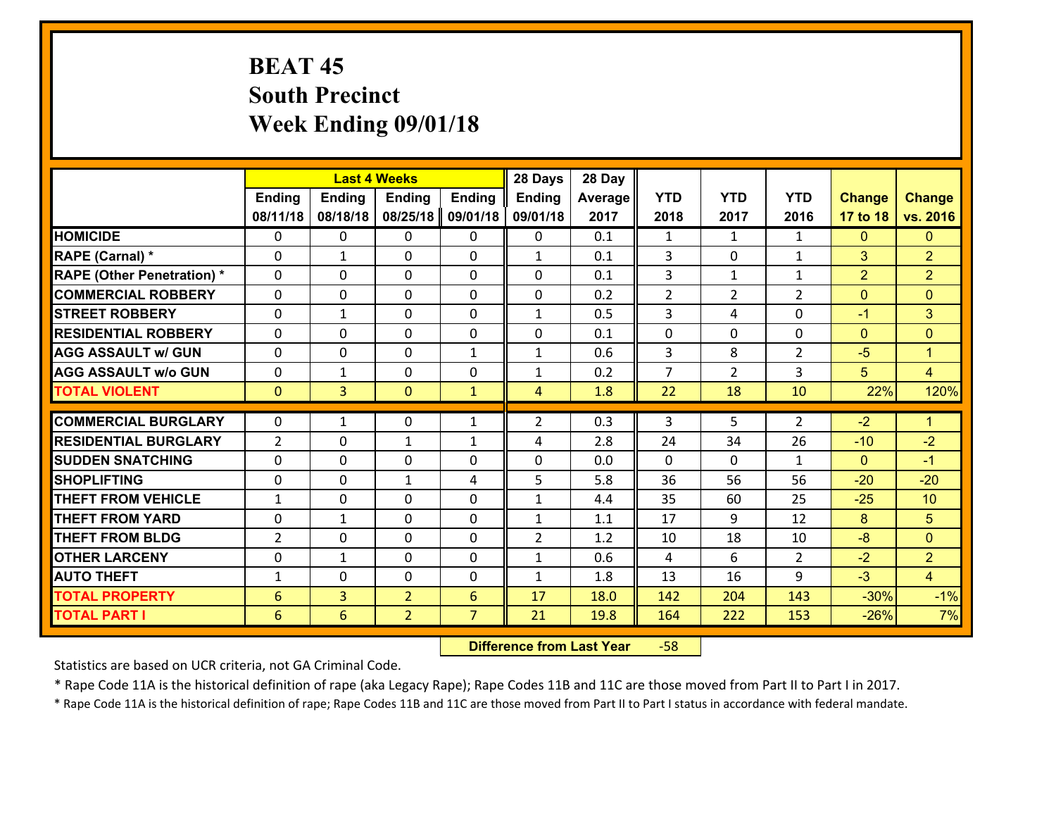# **BEAT 45 South Precinct Week Ending 09/01/18**

|                                   |                 |                | <b>Last 4 Weeks</b> |                | 28 Days        | 28 Day  |                |                |                |                |                      |
|-----------------------------------|-----------------|----------------|---------------------|----------------|----------------|---------|----------------|----------------|----------------|----------------|----------------------|
|                                   | <b>Ending</b>   | <b>Ending</b>  | <b>Ending</b>       | <b>Ending</b>  | <b>Ending</b>  | Average | <b>YTD</b>     | <b>YTD</b>     | <b>YTD</b>     | <b>Change</b>  | <b>Change</b>        |
|                                   | 08/11/18        | 08/18/18       | 08/25/18            | 09/01/18       | 09/01/18       | 2017    | 2018           | 2017           | 2016           | 17 to 18       | vs. 2016             |
| <b>HOMICIDE</b>                   | 0               | 0              | $\mathbf{0}$        | 0              | 0              | 0.1     | 1              | $\mathbf{1}$   | $\mathbf{1}$   | $\mathbf{0}$   | $\mathbf{0}$         |
| RAPE (Carnal) *                   | $\Omega$        | 1              | $\mathbf{0}$        | 0              | $\mathbf{1}$   | 0.1     | 3              | $\Omega$       | $\mathbf{1}$   | 3              | $\overline{2}$       |
| <b>RAPE (Other Penetration) *</b> | $\Omega$        | $\Omega$       | $\Omega$            | $\Omega$       | $\Omega$       | 0.1     | 3              | $\mathbf{1}$   | $\mathbf{1}$   | $\overline{2}$ | $\overline{2}$       |
| <b>COMMERCIAL ROBBERY</b>         | 0               | 0              | $\mathbf 0$         | 0              | 0              | 0.2     | 2              | $\overline{2}$ | $\overline{2}$ | $\mathbf{0}$   | $\mathbf{0}$         |
| <b>STREET ROBBERY</b>             | $\Omega$        | 1              | $\mathbf 0$         | $\Omega$       | $\mathbf{1}$   | 0.5     | 3              | 4              | $\Omega$       | $-1$           | 3                    |
| <b>RESIDENTIAL ROBBERY</b>        | $\Omega$        | $\Omega$       | $\mathbf 0$         | $\Omega$       | 0              | 0.1     | 0              | $\Omega$       | $\Omega$       | $\mathbf{0}$   | $\mathbf{0}$         |
| <b>AGG ASSAULT w/ GUN</b>         | $\Omega$        | 0              | $\mathbf 0$         | $\mathbf{1}$   | $\mathbf{1}$   | 0.6     | $\overline{3}$ | 8              | $\overline{2}$ | $-5$           | $\blacktriangleleft$ |
| <b>AGG ASSAULT w/o GUN</b>        | 0               | 1              | $\mathbf 0$         | 0              | $\mathbf{1}$   | 0.2     | $\overline{7}$ | $\overline{2}$ | 3              | 5              | $\overline{4}$       |
| <b>TOTAL VIOLENT</b>              | $\mathbf{0}$    | $\overline{3}$ | $\mathbf{0}$        | $\mathbf{1}$   | $\overline{4}$ | 1.8     | 22             | 18             | 10             | 22%            | 120%                 |
| <b>COMMERCIAL BURGLARY</b>        | $\mathbf{0}$    | 1              | 0                   | $\mathbf{1}$   | $\overline{2}$ | 0.3     | 3              | 5              | 2              | $-2$           | $\blacklozenge$      |
|                                   |                 |                |                     |                |                |         |                |                | 26             |                |                      |
| <b>RESIDENTIAL BURGLARY</b>       | $\overline{2}$  | 0              | 1                   | $\mathbf{1}$   | 4              | 2.8     | 24             | 34             |                | $-10$          | $-2$                 |
| <b>SUDDEN SNATCHING</b>           | $\Omega$        | 0              | $\mathbf{0}$        | $\Omega$       | $\Omega$       | 0.0     | $\Omega$       | $\Omega$       | $\mathbf{1}$   | $\Omega$       | $-1$                 |
| <b>SHOPLIFTING</b>                | 0               | 0              | $\mathbf{1}$        | 4              | 5              | 5.8     | 36             | 56             | 56             | $-20$          | $-20$                |
| <b>THEFT FROM VEHICLE</b>         | $\mathbf{1}$    | 0              | $\mathbf{0}$        | $\Omega$       | $\mathbf{1}$   | 4.4     | 35             | 60             | 25             | $-25$          | 10                   |
| <b>THEFT FROM YARD</b>            | 0               | 1              | $\mathbf 0$         | 0              | $\mathbf{1}$   | 1.1     | 17             | 9              | 12             | 8              | $5\phantom{.}$       |
| <b>THEFT FROM BLDG</b>            | $\overline{2}$  | 0              | $\mathbf 0$         | 0              | $\overline{2}$ | 1.2     | 10             | 18             | 10             | $-8$           | $\mathbf{0}$         |
| <b>OTHER LARCENY</b>              | 0               | 1              | $\mathbf 0$         | 0              | $\mathbf{1}$   | 0.6     | $\overline{4}$ | 6              | $\overline{2}$ | $-2$           | $\overline{2}$       |
| <b>AUTO THEFT</b>                 | $\mathbf{1}$    | 0              | $\mathbf 0$         | 0              | $\mathbf{1}$   | 1.8     | 13             | 16             | 9              | $-3$           | $\overline{4}$       |
| <b>TOTAL PROPERTY</b>             | $6\phantom{1}6$ | $\overline{3}$ | $\overline{2}$      | 6              | 17             | 18.0    | 142            | 204            | 143            | $-30%$         | $-1%$                |
| <b>TOTAL PART I</b>               | 6               | 6              | $\overline{2}$      | $\overline{7}$ | 21             | 19.8    | 164            | 222            | 153            | $-26%$         | 7%                   |

 **Difference from Last Year**‐58

Statistics are based on UCR criteria, not GA Criminal Code.

\* Rape Code 11A is the historical definition of rape (aka Legacy Rape); Rape Codes 11B and 11C are those moved from Part II to Part I in 2017.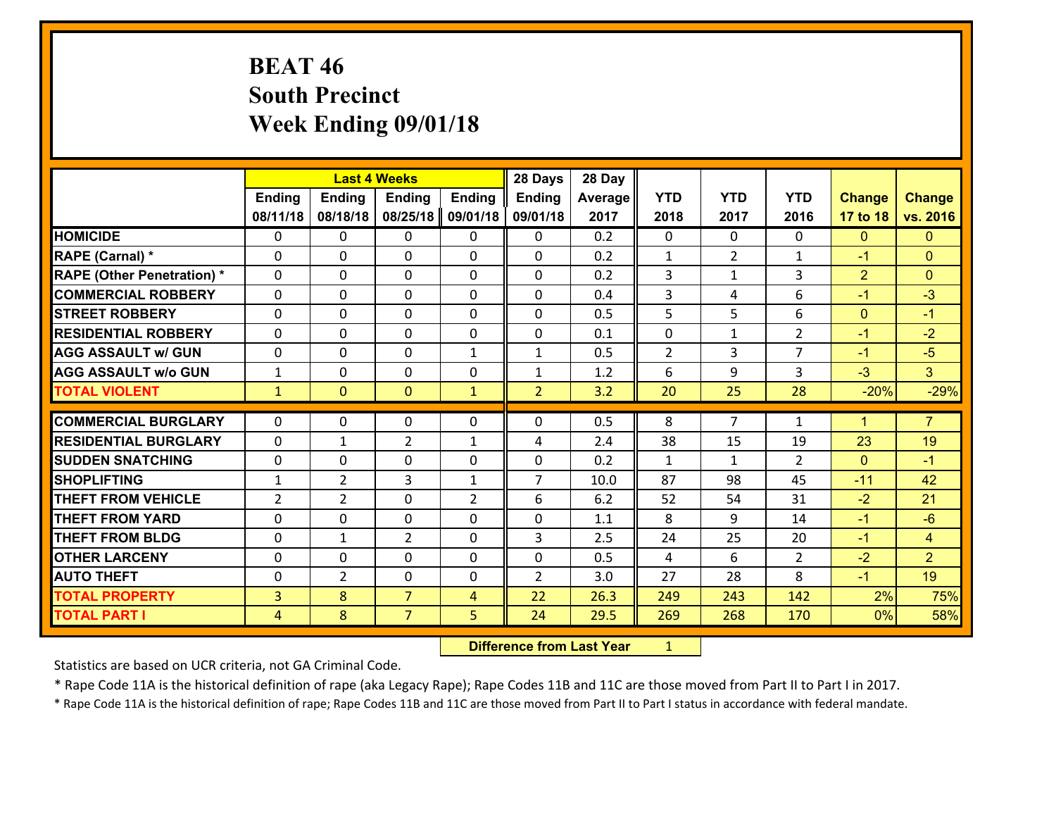# **BEAT 46 South Precinct Week Ending 09/01/18**

|                                   |                |                | <b>Last 4 Weeks</b> |                | 28 Days        | 28 Day  |                |                |                |                |                |
|-----------------------------------|----------------|----------------|---------------------|----------------|----------------|---------|----------------|----------------|----------------|----------------|----------------|
|                                   | <b>Ending</b>  | <b>Ending</b>  | <b>Ending</b>       | <b>Ending</b>  | <b>Ending</b>  | Average | <b>YTD</b>     | <b>YTD</b>     | <b>YTD</b>     | <b>Change</b>  | <b>Change</b>  |
|                                   | 08/11/18       | 08/18/18       | 08/25/18            | 09/01/18       | 09/01/18       | 2017    | 2018           | 2017           | 2016           | 17 to 18       | vs. 2016       |
| <b>HOMICIDE</b>                   | $\Omega$       | 0              | 0                   | 0              | 0              | 0.2     | $\Omega$       | $\Omega$       | 0              | $\mathbf{0}$   | $\mathbf{0}$   |
| RAPE (Carnal) *                   | 0              | 0              | $\mathbf{0}$        | 0              | 0              | 0.2     | $\mathbf{1}$   | $\overline{2}$ | 1              | $-1$           | $\mathbf{0}$   |
| <b>RAPE (Other Penetration) *</b> | $\Omega$       | 0              | $\mathbf{0}$        | $\Omega$       | 0              | 0.2     | 3              | $\mathbf{1}$   | 3              | $\overline{2}$ | $\mathbf{0}$   |
| <b>COMMERCIAL ROBBERY</b>         | $\Omega$       | 0              | $\mathbf{0}$        | $\Omega$       | 0              | 0.4     | 3              | 4              | 6              | $-1$           | $-3$           |
| <b>STREET ROBBERY</b>             | $\Omega$       | 0              | $\mathbf{0}$        | 0              | 0              | 0.5     | 5              | 5              | 6              | $\mathbf 0$    | $-1$           |
| <b>RESIDENTIAL ROBBERY</b>        | $\Omega$       | 0              | $\mathbf{0}$        | 0              | 0              | 0.1     | 0              | $\mathbf 1$    | $\overline{2}$ | $-1$           | $-2$           |
| <b>AGG ASSAULT w/ GUN</b>         | $\Omega$       | 0              | $\Omega$            | $\mathbf{1}$   | $\mathbf{1}$   | 0.5     | $\overline{2}$ | 3              | $\overline{7}$ | $-1$           | $-5$           |
| <b>AGG ASSAULT w/o GUN</b>        | $\mathbf{1}$   | 0              | $\mathbf 0$         | 0              | $\mathbf{1}$   | 1.2     | 6              | 9              | 3              | $-3$           | 3 <sup>°</sup> |
| <b>TOTAL VIOLENT</b>              | $\mathbf{1}$   | $\mathbf{0}$   | $\mathbf{0}$        | $\mathbf{1}$   | $\overline{2}$ | 3.2     | 20             | 25             | 28             | $-20%$         | $-29%$         |
|                                   |                |                |                     |                |                |         |                |                |                |                |                |
|                                   |                |                |                     |                |                |         |                |                |                |                |                |
| <b>COMMERCIAL BURGLARY</b>        | $\mathbf{0}$   | 0              | 0                   | 0              | 0              | 0.5     | 8              | $\overline{7}$ | $\mathbf{1}$   | $\mathbf 1$    | $\overline{7}$ |
| <b>RESIDENTIAL BURGLARY</b>       | $\Omega$       | 1              | $\overline{2}$      | 1              | 4              | 2.4     | 38             | 15             | 19             | 23             | 19             |
| <b>SUDDEN SNATCHING</b>           | $\Omega$       | 0              | $\mathbf 0$         | $\Omega$       | 0              | 0.2     | 1              | $\mathbf{1}$   | $\overline{2}$ | $\mathbf{0}$   | $-1$           |
| <b>SHOPLIFTING</b>                | $\mathbf{1}$   | $\overline{2}$ | 3                   | 1              | $\overline{7}$ | 10.0    | 87             | 98             | 45             | $-11$          | 42             |
| <b>THEFT FROM VEHICLE</b>         | $\overline{2}$ | $\overline{2}$ | $\mathbf 0$         | $\overline{2}$ | 6              | 6.2     | 52             | 54             | 31             | $-2$           | 21             |
| <b>THEFT FROM YARD</b>            | 0              | 0              | $\mathbf{0}$        | $\Omega$       | 0              | 1.1     | 8              | 9              | 14             | $-1$           | $-6$           |
| <b>THEFT FROM BLDG</b>            | 0              | $\mathbf{1}$   | $\overline{2}$      | 0              | 3              | 2.5     | 24             | 25             | 20             | $-1$           | $\overline{4}$ |
| <b>OTHER LARCENY</b>              | 0              | 0              | $\mathbf{0}$        | 0              | 0              | 0.5     | 4              | 6              | $\mathcal{P}$  | $-2$           | $\overline{2}$ |
| <b>AUTO THEFT</b>                 | 0              | $\overline{2}$ | $\mathbf{0}$        | $\Omega$       | $\overline{2}$ | 3.0     | 27             | 28             | 8              | $-1$           | 19             |
| <b>TOTAL PROPERTY</b>             | $\overline{3}$ | 8              | $\overline{7}$      | 4              | 22             | 26.3    | 249            | 243            | 142            | 2%             | 75%            |
| <b>TOTAL PART I</b>               | 4              | 8              | $\overline{7}$      | 5              | 24             | 29.5    | 269            | 268            | 170            | 0%             | 58%            |

 **Difference from Last Year**r <u>1</u>

Statistics are based on UCR criteria, not GA Criminal Code.

\* Rape Code 11A is the historical definition of rape (aka Legacy Rape); Rape Codes 11B and 11C are those moved from Part II to Part I in 2017.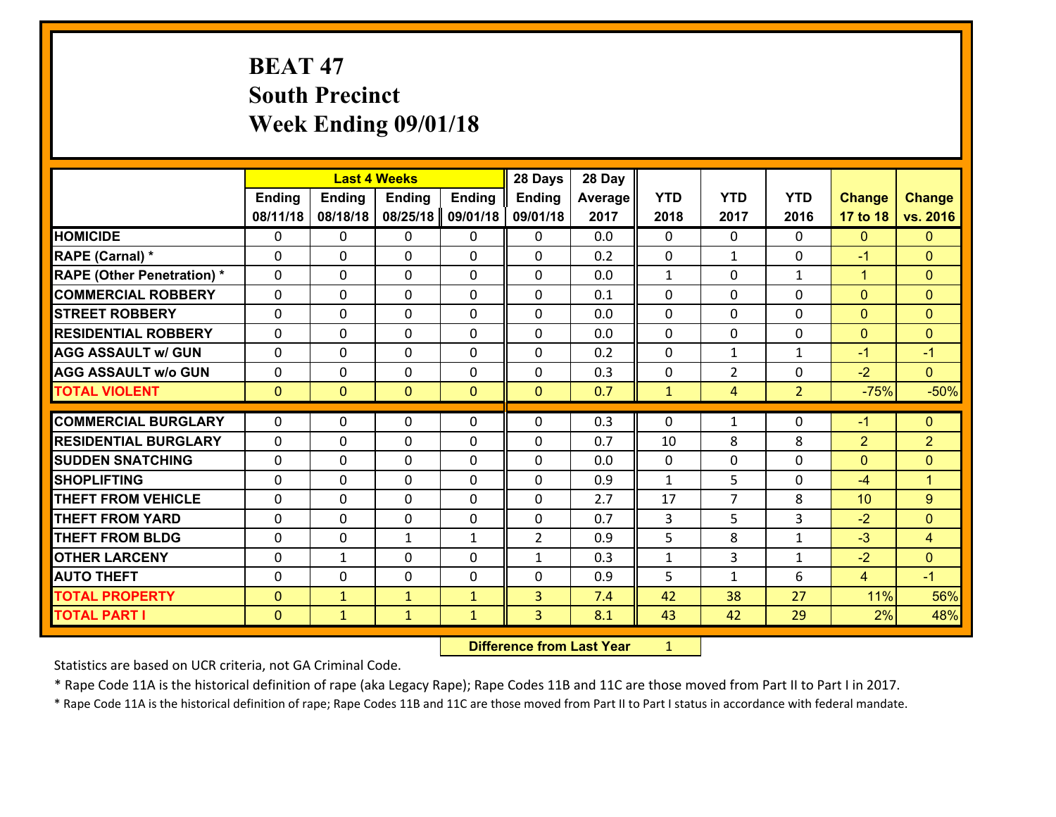# **BEAT 47 South Precinct Week Ending 09/01/18**

|                                   |               |               | <b>Last 4 Weeks</b> |               | 28 Days        | 28 Day  |              |                |                |                |                |
|-----------------------------------|---------------|---------------|---------------------|---------------|----------------|---------|--------------|----------------|----------------|----------------|----------------|
|                                   | <b>Ending</b> | <b>Ending</b> | <b>Ending</b>       | <b>Ending</b> | <b>Ending</b>  | Average | <b>YTD</b>   | <b>YTD</b>     | <b>YTD</b>     | <b>Change</b>  | <b>Change</b>  |
|                                   | 08/11/18      | 08/18/18      | 08/25/18            | 09/01/18      | 09/01/18       | 2017    | 2018         | 2017           | 2016           | 17 to 18       | vs. 2016       |
| <b>HOMICIDE</b>                   | $\Omega$      | 0             | 0                   | 0             | 0              | 0.0     | $\Omega$     | $\Omega$       | 0              | $\mathbf{0}$   | $\mathbf{0}$   |
| RAPE (Carnal) *                   | $\Omega$      | 0             | $\mathbf{0}$        | 0             | 0              | 0.2     | $\mathbf{0}$ | $\mathbf{1}$   | 0              | $-1$           | $\mathbf{0}$   |
| <b>RAPE (Other Penetration) *</b> | $\Omega$      | 0             | $\mathbf 0$         | $\Omega$      | $\Omega$       | 0.0     | $\mathbf{1}$ | $\Omega$       | $\mathbf{1}$   | $\mathbf{1}$   | $\mathbf{0}$   |
| <b>COMMERCIAL ROBBERY</b>         | 0             | 0             | $\mathbf 0$         | 0             | 0              | 0.1     | 0            | 0              | 0              | $\mathbf{0}$   | $\mathbf{0}$   |
| <b>STREET ROBBERY</b>             | $\Omega$      | 0             | $\Omega$            | $\Omega$      | $\Omega$       | 0.0     | $\Omega$     | $\Omega$       | $\Omega$       | $\mathbf{0}$   | $\mathbf{0}$   |
| <b>RESIDENTIAL ROBBERY</b>        | 0             | 0             | $\mathbf{0}$        | 0             | $\Omega$       | 0.0     | $\mathbf{0}$ | 0              | $\Omega$       | $\mathbf{0}$   | $\mathbf{0}$   |
| <b>AGG ASSAULT w/ GUN</b>         | $\Omega$      | 0             | $\Omega$            | $\Omega$      | $\Omega$       | 0.2     | $\Omega$     | $\mathbf{1}$   | $\mathbf{1}$   | $-1$           | $-1$           |
| <b>AGG ASSAULT w/o GUN</b>        | 0             | 0             | $\mathbf 0$         | $\Omega$      | 0              | 0.3     | 0            | $\overline{2}$ | 0              | $-2$           | $\Omega$       |
| <b>TOTAL VIOLENT</b>              | $\mathbf{0}$  | $\mathbf{0}$  | $\mathbf{0}$        | $\mathbf{0}$  | $\mathbf{0}$   | 0.7     | $\mathbf{1}$ | 4              | $\overline{2}$ | $-75%$         | $-50%$         |
|                                   |               |               |                     |               |                |         |              |                |                |                |                |
| <b>COMMERCIAL BURGLARY</b>        | 0             | 0             | 0                   | 0             | 0              | 0.3     | 0            | $\mathbf{1}$   | 0              | $-1$           | $\mathbf{0}$   |
| <b>RESIDENTIAL BURGLARY</b>       | $\Omega$      | 0             | $\mathbf{0}$        | $\Omega$      | 0              | 0.7     | 10           | 8              | 8              | $\overline{2}$ | $\overline{2}$ |
| <b>SUDDEN SNATCHING</b>           | 0             | 0             | $\mathbf 0$         | 0             | 0              | 0.0     | $\mathbf{0}$ | 0              | 0              | $\overline{0}$ | $\mathbf{0}$   |
| <b>SHOPLIFTING</b>                | 0             | 0             | $\mathbf 0$         | $\Omega$      | 0              | 0.9     | $\mathbf{1}$ | 5              | 0              | $-4$           | $\overline{1}$ |
| <b>THEFT FROM VEHICLE</b>         | 0             | 0             | $\mathbf 0$         | 0             | 0              | 2.7     | 17           | $\overline{7}$ | 8              | 10             | $\overline{9}$ |
|                                   |               |               |                     |               |                |         |              |                |                |                |                |
| <b>THEFT FROM YARD</b>            | 0             | 0             | $\mathbf{0}$        | 0             | $\Omega$       | 0.7     | 3            | 5              | 3              | $-2$           | $\mathbf{0}$   |
| <b>THEFT FROM BLDG</b>            | 0             | 0             | $\mathbf{1}$        | $\mathbf{1}$  | $\overline{2}$ | 0.9     | 5            | 8              | $\mathbf{1}$   | $-3$           | $\overline{4}$ |
| <b>OTHER LARCENY</b>              | $\mathbf{0}$  | 1             | $\mathbf{0}$        | 0             | $\mathbf{1}$   | 0.3     | $\mathbf{1}$ | 3              | $\mathbf{1}$   | $-2$           | $\mathbf{0}$   |
| <b>AUTO THEFT</b>                 | 0             | 0             | $\mathbf{0}$        | 0             | $\Omega$       | 0.9     | 5            | $\mathbf{1}$   | 6              | $\overline{4}$ | $-1$           |
| <b>TOTAL PROPERTY</b>             | $\Omega$      | $\mathbf{1}$  | $\mathbf{1}$        | $\mathbf{1}$  | 3              | 7.4     | 42           | 38             | 27             | 11%            | 56%            |
| <b>TOTAL PART I</b>               | $\mathbf{0}$  | $\mathbf{1}$  | $\mathbf{1}$        | $\mathbf{1}$  | 3              | 8.1     | 43           | 42             | 29             | 2%             | 48%            |

 **Difference from Last Year**r <u>1</u>

Statistics are based on UCR criteria, not GA Criminal Code.

\* Rape Code 11A is the historical definition of rape (aka Legacy Rape); Rape Codes 11B and 11C are those moved from Part II to Part I in 2017.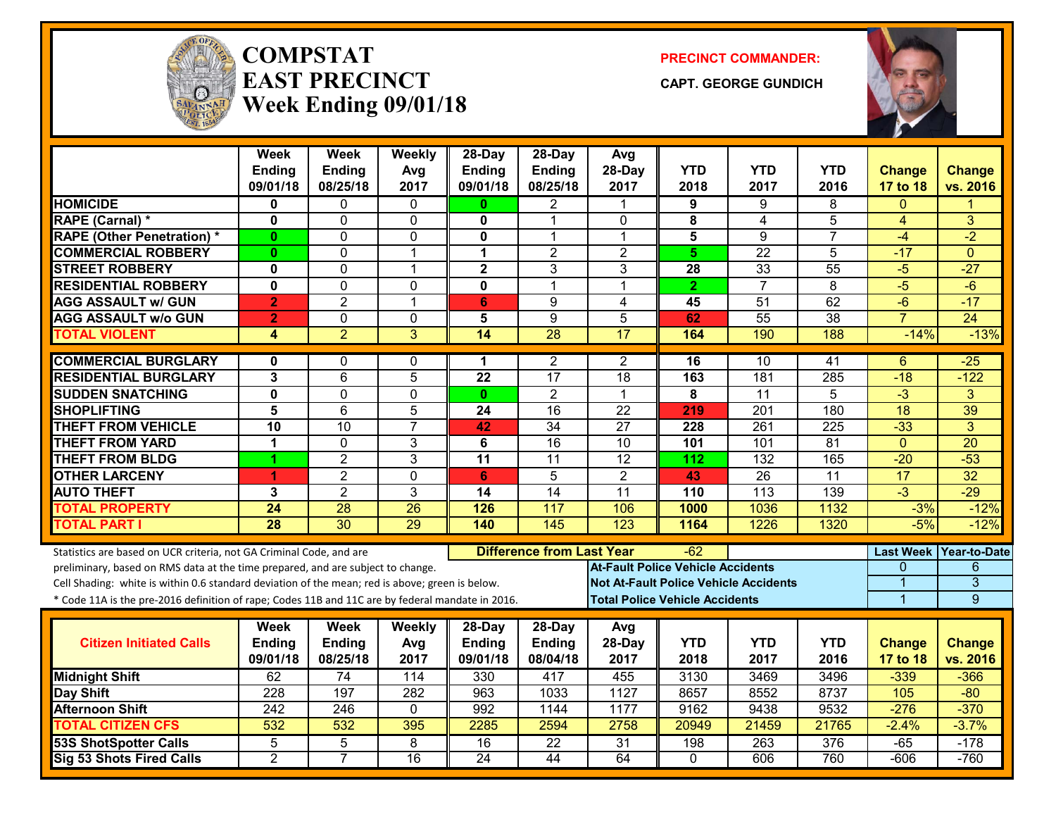

#### **COMPSTATEAST PRECINCTWeek Ending 09/01/18**

**PRECINCT COMMANDER:**

**CAPT. GEORGE GUNDICH**



|                                                                                                  | <b>Week</b><br><b>Ending</b> | <b>Week</b><br><b>Ending</b> | Weekly<br>Avg           | 28-Day<br><b>Ending</b> | $28$ -Day<br>Ending              | Avg<br>28-Day                            | <b>YTD</b>   | <b>YTD</b>                                   | <b>YTD</b>       | <b>Change</b>   | <b>Change</b>            |
|--------------------------------------------------------------------------------------------------|------------------------------|------------------------------|-------------------------|-------------------------|----------------------------------|------------------------------------------|--------------|----------------------------------------------|------------------|-----------------|--------------------------|
|                                                                                                  | 09/01/18                     | 08/25/18                     | 2017                    | 09/01/18                | 08/25/18                         | 2017                                     | 2018         | 2017                                         | 2016             | 17 to 18        | vs. 2016                 |
| <b>HOMICIDE</b>                                                                                  | 0                            | 0                            | $\Omega$                | $\mathbf{0}$            | 2                                | 1                                        | 9            | 9                                            | 8                | $\Omega$        |                          |
| RAPE (Carnal) *                                                                                  | $\mathbf{0}$                 | $\Omega$                     | $\mathbf{0}$            | $\mathbf{0}$            | 1                                | $\mathbf{0}$                             | 8            | 4                                            | 5                | 4               | 3                        |
| <b>RAPE (Other Penetration) *</b>                                                                | $\bf{0}$                     | 0                            | $\mathbf 0$             | 0                       | 1                                | $\mathbf{1}$                             | 5            | 9                                            | 7                | $-4$            | $-2$                     |
| <b>COMMERCIAL ROBBERY</b>                                                                        | $\mathbf{0}$                 | 0                            | $\overline{\mathbf{1}}$ | $\mathbf 1$             | $\overline{2}$                   | $\overline{2}$                           | 5            | $\overline{22}$                              | 5                | $-17$           | $\Omega$                 |
| <b>STREET ROBBERY</b>                                                                            | $\mathbf 0$                  | $\Omega$                     | $\overline{1}$          | $\overline{\mathbf{2}}$ | 3                                | 3                                        | 28           | 33                                           | 55               | $-5$            | $-27$                    |
| <b>RESIDENTIAL ROBBERY</b>                                                                       | $\mathbf 0$                  | 0                            | $\Omega$                | $\mathbf{0}$            | 1                                | $\mathbf 1$                              | $\mathbf{2}$ | $\overline{7}$                               | 8                | $-5$            | $-6$                     |
| <b>AGG ASSAULT w/ GUN</b>                                                                        | $\overline{2}$               | $\overline{2}$               | $\overline{1}$          | $6\phantom{1}$          | 9                                | $\overline{4}$                           | 45           | $\overline{51}$                              | 62               | $-\overline{6}$ | $-17$                    |
| <b>AGG ASSAULT w/o GUN</b>                                                                       | $\overline{2}$               | 0                            | $\mathbf{0}$            | 5                       | 9                                | 5                                        | 62           | 55                                           | $\overline{38}$  | $\overline{7}$  | 24                       |
| <b>TOTAL VIOLENT</b>                                                                             | 4                            | $\overline{2}$               | 3                       | 14                      | 28                               | 17                                       | 164          | 190                                          | 188              | $-14%$          | $-13%$                   |
| <b>COMMERCIAL BURGLARY</b>                                                                       | 0                            | 0                            | 0                       | 1.                      | 2                                | $\overline{2}$                           | 16           | 10                                           | 41               | 6               | $-25$                    |
| <b>RESIDENTIAL BURGLARY</b>                                                                      | 3                            | $\overline{6}$               | $\overline{5}$          | $\overline{22}$         | $\overline{17}$                  | 18                                       | 163          | 181                                          | 285              | $-18$           | $-122$                   |
| <b>SUDDEN SNATCHING</b>                                                                          | $\mathbf 0$                  | 0                            | $\mathbf{0}$            | $\mathbf{0}$            | $\overline{2}$                   | $\mathbf{1}$                             | 8            | $\overline{11}$                              | 5                | $-3$            | 3                        |
| <b>SHOPLIFTING</b>                                                                               | 5                            | 6                            | 5                       | 24                      | 16                               | $\overline{22}$                          | 219          | 201                                          | 180              | 18              | 39                       |
| <b>THEFT FROM VEHICLE</b>                                                                        | $\overline{10}$              | $\overline{10}$              | $\overline{7}$          | 42                      | $\overline{34}$                  | $\overline{27}$                          | 228          | 261                                          | $\overline{225}$ | $-33$           | $\overline{3}$           |
| <b>THEFT FROM YARD</b>                                                                           | $\overline{1}$               | 0                            | 3                       | 6                       | $\overline{16}$                  | 10                                       | 101          | 101                                          | $\overline{81}$  | $\mathbf{0}$    | $\overline{20}$          |
| <b>THEFT FROM BLDG</b>                                                                           | 1                            | $\overline{2}$               | 3                       | $\overline{11}$         | 11                               | $\overline{12}$                          | 112          | 132                                          | 165              | $-20$           | $-53$                    |
| <b>OTHER LARCENY</b>                                                                             | 1                            | $\overline{2}$               | $\mathbf 0$             | 6                       | 5                                | $\overline{2}$                           | 43           | $\overline{26}$                              | $\overline{11}$  | 17              | $\overline{32}$          |
| <b>AUTO THEFT</b>                                                                                | 3                            | $\overline{2}$               | 3                       | 14                      | 14                               | 11                                       | 110          | 113                                          | 139              | $-3$            | $-29$                    |
| <b>TOTAL PROPERTY</b>                                                                            | 24                           | $\overline{28}$              | 26                      | 126                     | 117                              | 106                                      | 1000         | 1036                                         | 1132             | $-3%$           | $-12%$                   |
| <b>TOTAL PART I</b>                                                                              | $\overline{28}$              | $\overline{30}$              | 29                      | 140                     | 145                              | 123                                      | 1164         | 1226                                         | 1320             | $-5%$           | $-12%$                   |
| Statistics are based on UCR criteria, not GA Criminal Code, and are                              |                              |                              |                         |                         | <b>Difference from Last Year</b> |                                          | $-62$        |                                              |                  |                 | Last Week   Year-to-Date |
| preliminary, based on RMS data at the time prepared, and are subject to change.                  |                              |                              |                         |                         |                                  | <b>At-Fault Police Vehicle Accidents</b> |              |                                              |                  | 0               | 6                        |
| Cell Shading: white is within 0.6 standard deviation of the mean; red is above; green is below.  |                              |                              |                         |                         |                                  |                                          |              | <b>Not At-Fault Police Vehicle Accidents</b> |                  | 1               | $\overline{3}$           |
| * Code 11A is the pre-2016 definition of rape; Codes 11B and 11C are by federal mandate in 2016. |                              |                              |                         |                         |                                  | <b>Total Police Vehicle Accidents</b>    |              |                                              |                  | 1               | $\overline{9}$           |
|                                                                                                  | Week                         | <b>Week</b>                  | <b>Weekly</b>           | $28$ -Day               | $28-Day$                         | Avg                                      |              |                                              |                  |                 |                          |
| <b>Citizen Initiated Calls</b>                                                                   | Ending                       | Ending                       | Avg                     | <b>Ending</b>           | Ending                           | 28-Day                                   | <b>YTD</b>   | <b>YTD</b>                                   | <b>YTD</b>       | <b>Change</b>   | <b>Change</b>            |
|                                                                                                  | 09/01/18                     | 08/25/18                     | 2017                    | 09/01/18                | 08/04/18                         | 2017                                     | 2018         | 2017                                         | 2016             | 17 to 18        | vs. 2016                 |
| <b>Midnight Shift</b>                                                                            | 62                           | 74                           | 114                     | 330                     | 417                              | 455                                      | 3130         | 3469                                         | 3496             | $-339$          | $-366$                   |
| Day Shift                                                                                        | $\overline{228}$             | 197                          | 282                     | 963                     | 1033                             | 1127                                     | 8657         | 8552                                         | 8737             | 105             | $-80$                    |
| <b>Afternoon Shift</b>                                                                           | 242                          | 246                          | $\mathbf{0}$            | 992                     | 1144                             | 1177                                     | 9162         | 9438                                         | 9532             | $-276$          | $-370$                   |
| <b>TOTAL CITIZEN CFS</b>                                                                         | 532                          | 532                          | 395                     | 2285                    | 2594                             | 2758                                     | 20949        | 21459                                        | 21765            | $-2.4%$         | $-3.7%$                  |
| <b>53S ShotSpotter Calls</b>                                                                     | 5                            | 5                            | 8                       | 16                      | $\overline{22}$                  | $\overline{31}$                          | 198          | 263                                          | 376              | $-65$           | $-178$                   |
| <b>Sig 53 Shots Fired Calls</b>                                                                  | $\overline{2}$               | $\overline{7}$               | 16                      | 24                      | 44                               | 64                                       | 0            | 606                                          | 760              | $-606$          | $-760$                   |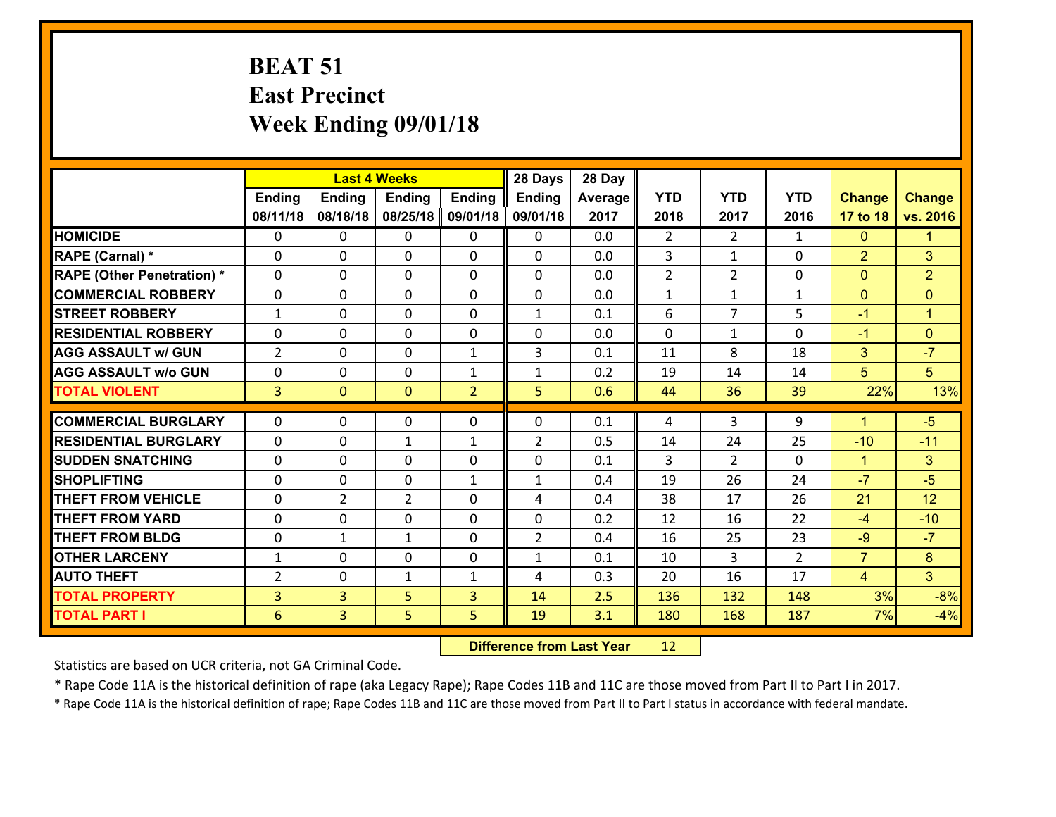# **BEAT 51 East Precinct Week Ending 09/01/18**

|                                   |                |                | <b>Last 4 Weeks</b> |                | 28 Days        | 28 Day  |                |                |                |                      |                |
|-----------------------------------|----------------|----------------|---------------------|----------------|----------------|---------|----------------|----------------|----------------|----------------------|----------------|
|                                   | <b>Ending</b>  | <b>Ending</b>  | <b>Ending</b>       | <b>Ending</b>  | <b>Ending</b>  | Average | <b>YTD</b>     | <b>YTD</b>     | <b>YTD</b>     | <b>Change</b>        | <b>Change</b>  |
|                                   | 08/11/18       | 08/18/18       | 08/25/18            | 09/01/18       | 09/01/18       | 2017    | 2018           | 2017           | 2016           | 17 to 18             | vs. 2016       |
| <b>HOMICIDE</b>                   | $\Omega$       | 0              | $\Omega$            | 0              | $\Omega$       | 0.0     | $\overline{2}$ | $\overline{2}$ | $\mathbf{1}$   | $\mathbf{0}$         | 1              |
| RAPE (Carnal) *                   | 0              | 0              | $\mathbf{0}$        | 0              | $\Omega$       | 0.0     | 3              | $\mathbf{1}$   | $\Omega$       | $\overline{2}$       | 3              |
| <b>RAPE (Other Penetration) *</b> | $\Omega$       | 0              | $\mathbf{0}$        | $\Omega$       | $\Omega$       | 0.0     | $\overline{2}$ | $\overline{2}$ | $\Omega$       | $\mathbf{0}$         | $\overline{2}$ |
| <b>COMMERCIAL ROBBERY</b>         | 0              | 0              | 0                   | 0              | 0              | 0.0     | $\mathbf{1}$   | $\mathbf{1}$   | $\mathbf{1}$   | $\mathbf{0}$         | $\mathbf{0}$   |
| <b>STREET ROBBERY</b>             | $\mathbf{1}$   | 0              | $\mathbf 0$         | 0              | $\mathbf{1}$   | 0.1     | 6              | $\overline{7}$ | 5              | $-1$                 | $\mathbf{1}$   |
| <b>RESIDENTIAL ROBBERY</b>        | $\Omega$       | $\Omega$       | $\mathbf 0$         | $\Omega$       | 0              | 0.0     | $\Omega$       | $\mathbf{1}$   | $\Omega$       | $-1$                 | $\overline{0}$ |
| <b>AGG ASSAULT w/ GUN</b>         | $\overline{2}$ | 0              | $\mathbf 0$         | $\mathbf{1}$   | 3              | 0.1     | 11             | 8              | 18             | 3                    | $-7$           |
| <b>AGG ASSAULT w/o GUN</b>        | 0              | 0              | $\mathbf 0$         | $\mathbf{1}$   | $\mathbf{1}$   | 0.2     | 19             | 14             | 14             | 5                    | 5              |
| <b>TOTAL VIOLENT</b>              | $\overline{3}$ | $\overline{0}$ | $\mathbf{O}$        | $\overline{2}$ | 5              | 0.6     | 44             | 36             | 39             | 22%                  | 13%            |
| <b>COMMERCIAL BURGLARY</b>        | $\Omega$       | 0              | $\mathbf{0}$        | $\Omega$       | $\Omega$       | 0.1     | 4              | 3              | 9              | $\blacktriangleleft$ | $-5$           |
|                                   |                |                |                     |                |                |         |                |                |                |                      |                |
| <b>RESIDENTIAL BURGLARY</b>       | 0              | 0              | $\mathbf{1}$        | $\mathbf{1}$   | $\overline{2}$ | 0.5     | 14             | 24             | 25             | $-10$                | $-11$          |
| <b>SUDDEN SNATCHING</b>           | 0              | 0              | $\mathbf 0$         | 0              | 0              | 0.1     | 3              | $\overline{2}$ | 0              | $\mathbf{1}$         | 3              |
| <b>SHOPLIFTING</b>                | $\Omega$       | 0              | $\mathbf 0$         | $\mathbf{1}$   | $\mathbf{1}$   | 0.4     | 19             | 26             | 24             | $-7$                 | $-5$           |
| <b>THEFT FROM VEHICLE</b>         | $\Omega$       | $\overline{2}$ | $\overline{2}$      | 0              | 4              | 0.4     | 38             | 17             | 26             | 21                   | 12             |
| <b>THEFT FROM YARD</b>            | 0              | 0              | $\mathbf 0$         | 0              | 0              | 0.2     | 12             | 16             | 22             | $-4$                 | $-10$          |
| <b>THEFT FROM BLDG</b>            | 0              | 1              | 1                   | 0              | $\overline{2}$ | 0.4     | 16             | 25             | 23             | $-9$                 | $-7$           |
| <b>OTHER LARCENY</b>              | $\mathbf{1}$   | 0              | $\mathbf 0$         | 0              | $\mathbf{1}$   | 0.1     | 10             | 3              | $\overline{2}$ | $\overline{7}$       | 8              |
| <b>AUTO THEFT</b>                 | 2              | 0              | $\mathbf{1}$        | $\mathbf{1}$   | 4              | 0.3     | 20             | 16             | 17             | $\overline{4}$       | 3 <sup>1</sup> |
| <b>TOTAL PROPERTY</b>             | $\overline{3}$ | 3              | 5                   | 3              | 14             | 2.5     | 136            | 132            | 148            | 3%                   | $-8%$          |
| <b>TOTAL PART I</b>               | 6              | $\overline{3}$ | 5                   | 5              | 19             | 3.1     | 180            | 168            | 187            | 7%                   | $-4%$          |

 **Difference from Last Year**r 12

Statistics are based on UCR criteria, not GA Criminal Code.

\* Rape Code 11A is the historical definition of rape (aka Legacy Rape); Rape Codes 11B and 11C are those moved from Part II to Part I in 2017.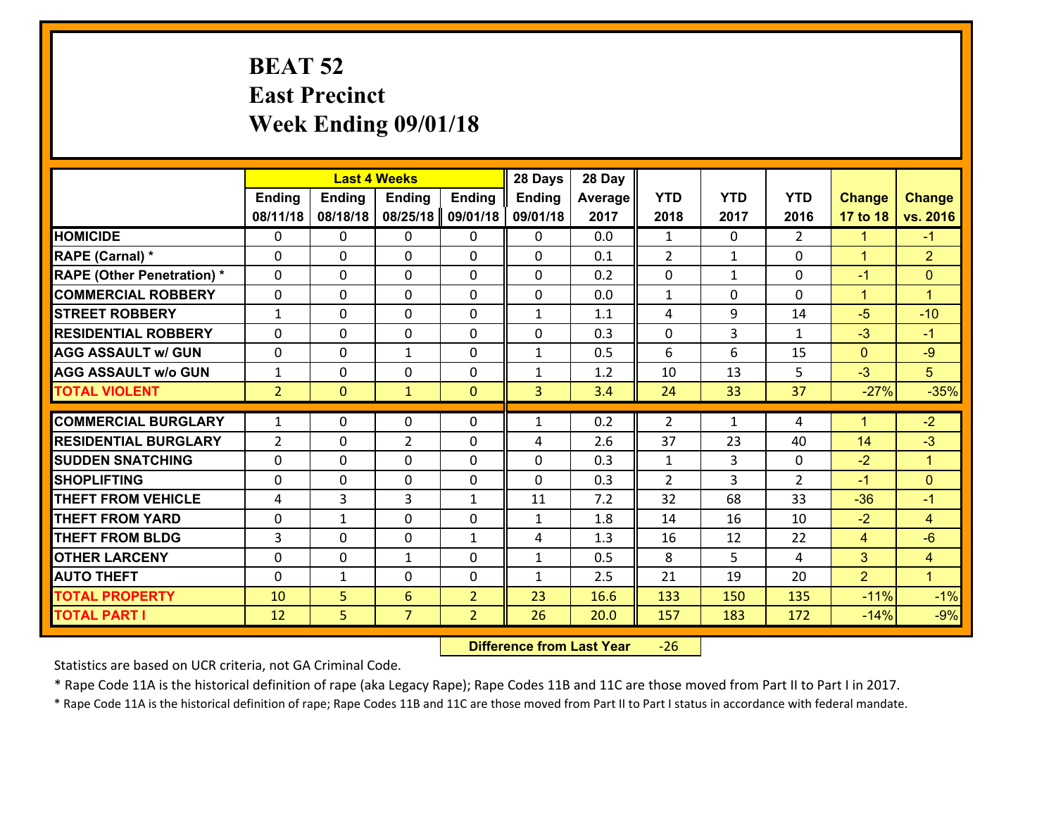# **BEAT 52 East Precinct Week Ending 09/01/18**

|                                   |                |               | <b>Last 4 Weeks</b> |                | 28 Days       | 28 Day  |                |              |                |                |                      |
|-----------------------------------|----------------|---------------|---------------------|----------------|---------------|---------|----------------|--------------|----------------|----------------|----------------------|
|                                   | Ending         | <b>Ending</b> | <b>Ending</b>       | <b>Ending</b>  | <b>Ending</b> | Average | <b>YTD</b>     | <b>YTD</b>   | <b>YTD</b>     | <b>Change</b>  | <b>Change</b>        |
|                                   | 08/11/18       | 08/18/18      | 08/25/18            | 09/01/18       | 09/01/18      | 2017    | 2018           | 2017         | 2016           | 17 to 18       | vs. 2016             |
| <b>HOMICIDE</b>                   | $\Omega$       | 0             | 0                   | 0              | $\Omega$      | 0.0     | 1              | $\Omega$     | $\mathcal{L}$  | 1.             | $-1$                 |
| RAPE (Carnal) *                   | $\mathbf{0}$   | 0             | $\mathbf{0}$        | 0              | $\Omega$      | 0.1     | 2              | $\mathbf{1}$ | 0              | $\mathbf{1}$   | $\overline{2}$       |
| <b>RAPE (Other Penetration) *</b> | $\Omega$       | 0             | $\mathbf{0}$        | $\Omega$       | $\Omega$      | 0.2     | $\mathbf{0}$   | $\mathbf{1}$ | 0              | $-1$           | $\mathbf{0}$         |
| <b>COMMERCIAL ROBBERY</b>         | 0              | 0             | 0                   | 0              | 0             | 0.0     | $\mathbf{1}$   | 0            | 0              | $\mathbf{1}$   | $\mathbf{1}$         |
| <b>STREET ROBBERY</b>             | $\mathbf{1}$   | 0             | $\mathbf 0$         | 0              | $\mathbf{1}$  | 1.1     | 4              | 9            | 14             | $-5$           | $-10$                |
| <b>RESIDENTIAL ROBBERY</b>        | $\Omega$       | $\Omega$      | $\mathbf 0$         | $\Omega$       | 0             | 0.3     | 0              | 3            | $\mathbf{1}$   | $-3$           | $-1$                 |
| <b>AGG ASSAULT w/ GUN</b>         | 0              | 0             | $\mathbf{1}$        | 0              | $\mathbf{1}$  | 0.5     | 6              | 6            | 15             | $\mathbf{0}$   | $-9$                 |
| <b>AGG ASSAULT w/o GUN</b>        | $\mathbf{1}$   | 0             | $\mathbf 0$         | $\mathbf 0$    | $\mathbf{1}$  | 1.2     | 10             | 13           | 5              | $-3$           | 5                    |
| <b>TOTAL VIOLENT</b>              | $\overline{2}$ | $\mathbf{0}$  | $\mathbf{1}$        | $\mathbf{0}$   | 3             | 3.4     | 24             | 33           | 37             | $-27%$         | $-35%$               |
| <b>COMMERCIAL BURGLARY</b>        | $\mathbf{1}$   | 0             | $\mathbf{0}$        | $\Omega$       | $\mathbf{1}$  | 0.2     | $\overline{2}$ | $\mathbf{1}$ | 4              | 1              | $-2$                 |
| <b>RESIDENTIAL BURGLARY</b>       | $\overline{2}$ | 0             | $\overline{2}$      | 0              | 4             | 2.6     | 37             | 23           | 40             | 14             | $-3$                 |
| <b>SUDDEN SNATCHING</b>           | 0              | 0             | 0                   | 0              | 0             | 0.3     | $\mathbf{1}$   | 3            | 0              | $-2$           | $\mathbf{1}$         |
| <b>SHOPLIFTING</b>                | 0              | 0             | $\mathbf 0$         | 0              | 0             | 0.3     | $\overline{2}$ | 3            | $\overline{2}$ | $-1$           | $\overline{0}$       |
| <b>THEFT FROM VEHICLE</b>         | 4              | 3             | 3                   | $\mathbf{1}$   | 11            | 7.2     | 32             | 68           | 33             | $-36$          | $-1$                 |
| <b>THEFT FROM YARD</b>            | 0              | $\mathbf{1}$  | $\mathbf 0$         | 0              | $\mathbf{1}$  | 1.8     | 14             | 16           | 10             | $-2$           | $\overline{4}$       |
| <b>THEFT FROM BLDG</b>            | 3              | 0             | $\mathbf 0$         | $\mathbf{1}$   | 4             | 1.3     | 16             | 12           | 22             | $\overline{4}$ | $-6$                 |
| <b>OTHER LARCENY</b>              | 0              | 0             | $\mathbf{1}$        | 0              | $\mathbf{1}$  | 0.5     | 8              | 5            | 4              | 3              | $\overline{4}$       |
| <b>AUTO THEFT</b>                 | $\mathbf{0}$   | $\mathbf{1}$  | $\mathbf{0}$        | 0              | $\mathbf{1}$  | 2.5     | 21             | 19           | 20             | $\overline{2}$ | $\blacktriangleleft$ |
| <b>TOTAL PROPERTY</b>             | 10             | 5             | 6                   | $\overline{2}$ | 23            | 16.6    | 133            | 150          | 135            | $-11%$         | $-1%$                |
| <b>TOTAL PART I</b>               | 12             | 5             | $\overline{7}$      | $\overline{2}$ | 26            | 20.0    | 157            | 183          | 172            | $-14%$         | $-9%$                |

 **Difference from Last Year**‐26

Statistics are based on UCR criteria, not GA Criminal Code.

\* Rape Code 11A is the historical definition of rape (aka Legacy Rape); Rape Codes 11B and 11C are those moved from Part II to Part I in 2017.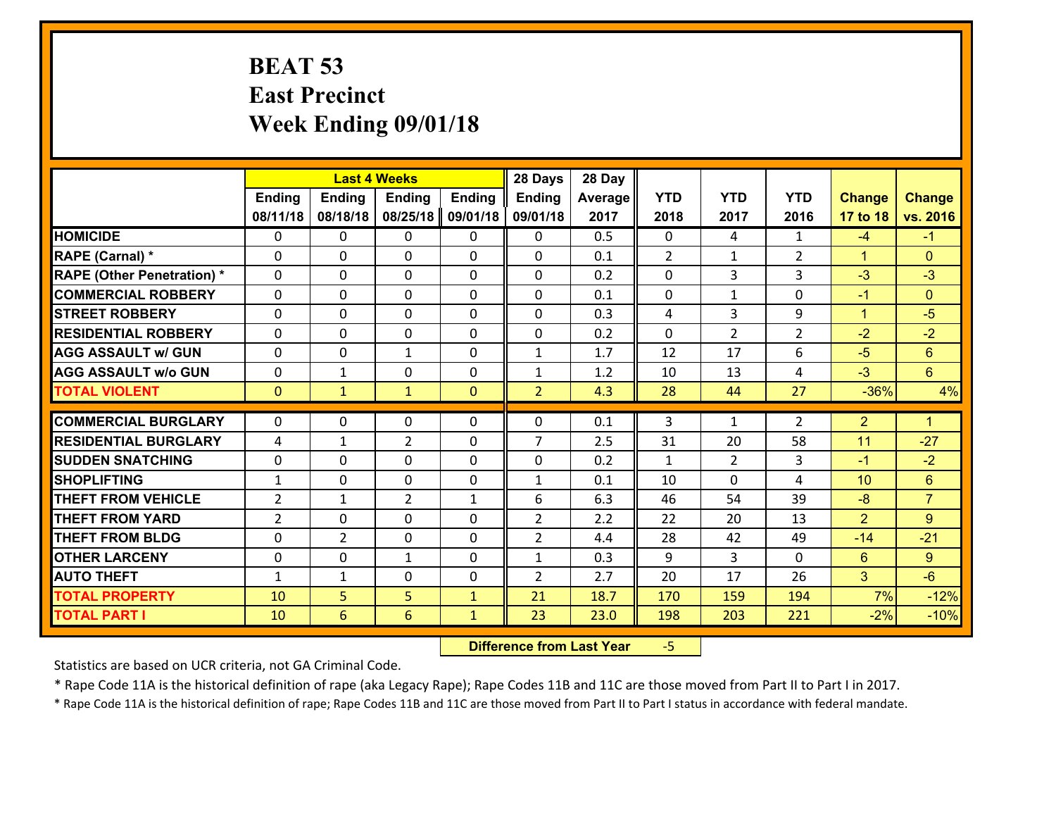# **BEAT 53 East Precinct Week Ending 09/01/18**

|                                              |                   |                   | <b>Last 4 Weeks</b> |                              | 28 Days        | 28 Day     |              |                |                |                |                      |
|----------------------------------------------|-------------------|-------------------|---------------------|------------------------------|----------------|------------|--------------|----------------|----------------|----------------|----------------------|
|                                              | <b>Ending</b>     | <b>Ending</b>     | <b>Ending</b>       | <b>Ending</b>                | <b>Ending</b>  | Average    | <b>YTD</b>   | <b>YTD</b>     | <b>YTD</b>     | <b>Change</b>  | <b>Change</b>        |
|                                              | 08/11/18          | 08/18/18          | 08/25/18            | 09/01/18                     | 09/01/18       | 2017       | 2018         | 2017           | 2016           | 17 to 18       | vs. 2016             |
| <b>HOMICIDE</b>                              | 0                 | 0                 | $\mathbf{0}$        | 0                            | 0              | 0.5        | $\Omega$     | 4              | $\mathbf{1}$   | $-4$           | $-1$                 |
| RAPE (Carnal) *                              | $\Omega$          | 0                 | $\mathbf{0}$        | 0                            | $\Omega$       | 0.1        | 2            | $\mathbf{1}$   | $\overline{2}$ | $\mathbf{1}$   | $\mathbf{0}$         |
| <b>RAPE (Other Penetration) *</b>            | $\Omega$          | $\Omega$          | $\Omega$            | $\Omega$                     | $\Omega$       | 0.2        | $\Omega$     | 3              | 3              | $-3$           | $-3$                 |
| <b>COMMERCIAL ROBBERY</b>                    | 0                 | 0                 | $\mathbf 0$         | 0                            | 0              | 0.1        | 0            | $\mathbf{1}$   | $\Omega$       | $-1$           | $\mathbf{0}$         |
| <b>STREET ROBBERY</b>                        | $\Omega$          | 0                 | $\mathbf 0$         | $\Omega$                     | 0              | 0.3        | 4            | 3              | 9              | $\mathbf{1}$   | $-5$                 |
| <b>RESIDENTIAL ROBBERY</b>                   | $\Omega$          | $\Omega$          | $\mathbf 0$         | $\Omega$                     | 0              | 0.2        | $\Omega$     | $\overline{2}$ | $\overline{2}$ | $-2$           | $-2$                 |
| <b>AGG ASSAULT w/ GUN</b>                    | $\Omega$          | 0                 | $\mathbf{1}$        | $\Omega$                     | $\mathbf{1}$   | 1.7        | 12           | 17             | 6              | $-5$           | $6\phantom{1}$       |
| <b>AGG ASSAULT w/o GUN</b>                   | 0                 | 1                 | $\mathbf 0$         | 0                            | $\mathbf{1}$   | 1.2        | 10           | 13             | 4              | $-3$           | $6\overline{6}$      |
| <b>TOTAL VIOLENT</b>                         | $\mathbf{0}$      | $\mathbf{1}$      | $\mathbf{1}$        | $\overline{0}$               | $\overline{2}$ | 4.3        | 28           | 44             | 27             | $-36%$         | 4%                   |
| <b>COMMERCIAL BURGLARY</b>                   | $\Omega$          | 0                 | 0                   | 0                            | $\Omega$       | 0.1        | 3            | $\mathbf{1}$   | 2              | $\overline{2}$ | $\blacktriangleleft$ |
|                                              |                   |                   |                     |                              |                |            |              |                |                |                |                      |
|                                              |                   |                   |                     |                              |                |            |              |                |                |                |                      |
| <b>RESIDENTIAL BURGLARY</b>                  | 4                 | 1                 | $\overline{2}$      | 0                            | $\overline{7}$ | 2.5        | 31           | 20             | 58             | 11             | $-27$                |
| <b>SUDDEN SNATCHING</b>                      | 0                 | 0                 | $\mathbf{0}$        | $\Omega$                     | 0              | 0.2        | $\mathbf{1}$ | $\overline{2}$ | 3              | $-1$           | $-2$                 |
| <b>SHOPLIFTING</b>                           | $\mathbf{1}$      | 0                 | $\mathbf 0$         | 0                            | $\mathbf{1}$   | 0.1        | 10           | $\Omega$       | 4              | 10             | 6                    |
| <b>THEFT FROM VEHICLE</b>                    | $\overline{2}$    | 1                 | $\overline{2}$      | $\mathbf{1}$                 | 6              | 6.3        | 46           | 54             | 39             | $-8$           | $\overline{7}$       |
| <b>THEFT FROM YARD</b>                       | $\overline{2}$    | 0                 | $\mathbf 0$         | 0                            | $\overline{2}$ | 2.2        | 22           | 20             | 13             | $\overline{2}$ | 9                    |
| <b>THEFT FROM BLDG</b>                       | 0                 | $\overline{2}$    | $\mathbf 0$         | 0                            | $\overline{2}$ | 4.4        | 28           | 42             | 49<br>$\Omega$ | $-14$          | $-21$                |
| <b>OTHER LARCENY</b><br><b>AUTO THEFT</b>    | 0<br>$\mathbf{1}$ | 0<br>$\mathbf{1}$ | $\mathbf{1}$        | 0<br>0                       | $\mathbf{1}$   | 0.3<br>2.7 | 9            | 3<br>17        | 26             | $6^{\circ}$    | 9<br>$-6$            |
|                                              |                   |                   | $\mathbf 0$         |                              | $\overline{2}$ | 18.7       | 20           |                |                | 3<br>7%        |                      |
| <b>TOTAL PROPERTY</b><br><b>TOTAL PART I</b> | 10<br>10          | 5<br>6            | 5<br>6              | $\mathbf{1}$<br>$\mathbf{1}$ | 21<br>23       | 23.0       | 170<br>198   | 159<br>203     | 194<br>221     | $-2%$          | $-12%$<br>$-10%$     |

 **Difference from Last Year**‐5

Statistics are based on UCR criteria, not GA Criminal Code.

\* Rape Code 11A is the historical definition of rape (aka Legacy Rape); Rape Codes 11B and 11C are those moved from Part II to Part I in 2017.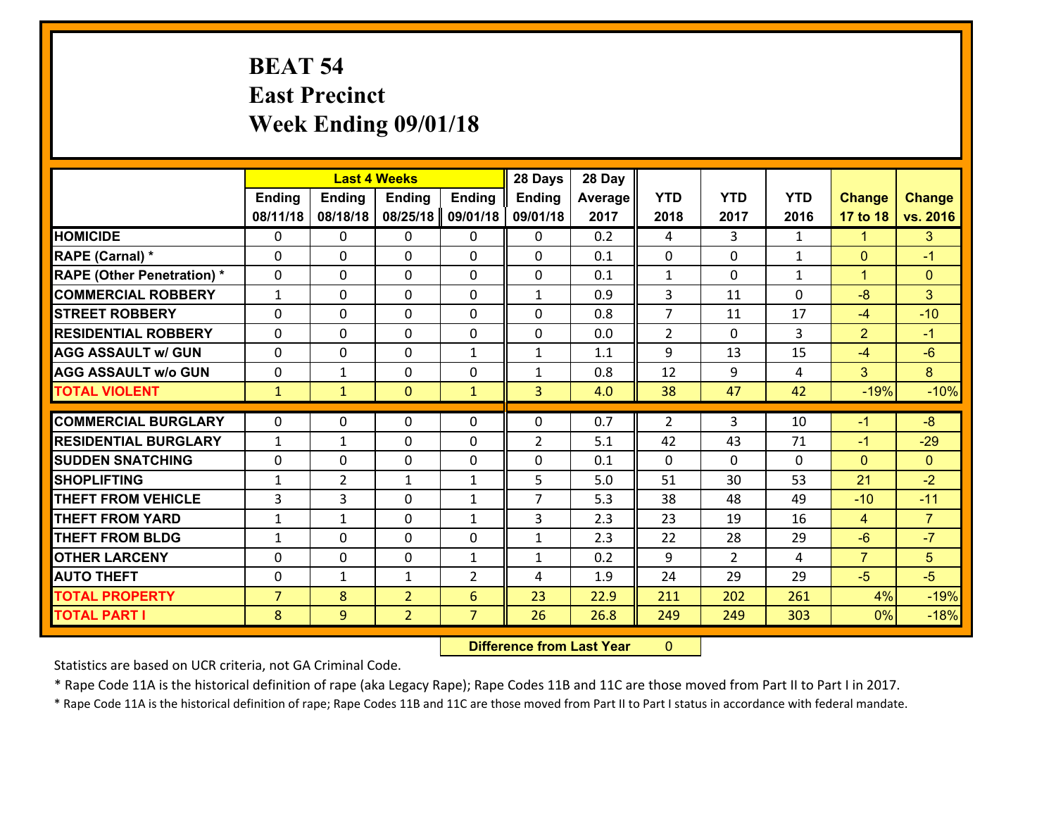# **BEAT 54 East Precinct Week Ending 09/01/18**

|                                              |                     | <b>Last 4 Weeks</b> |                                  |                                  | 28 Days        | 28 Day       |                |                |              |                |                  |
|----------------------------------------------|---------------------|---------------------|----------------------------------|----------------------------------|----------------|--------------|----------------|----------------|--------------|----------------|------------------|
|                                              | <b>Ending</b>       | <b>Ending</b>       | <b>Ending</b>                    | <b>Ending</b>                    | <b>Ending</b>  | Average      | <b>YTD</b>     | <b>YTD</b>     | <b>YTD</b>   | <b>Change</b>  | <b>Change</b>    |
|                                              | 08/11/18            | 08/18/18            | 08/25/18                         | 09/01/18                         | 09/01/18       | 2017         | 2018           | 2017           | 2016         | 17 to 18       | vs. 2016         |
| <b>HOMICIDE</b>                              | $\Omega$            | 0                   | 0                                | $\Omega$                         | $\mathbf{0}$   | 0.2          | 4              | 3              | $\mathbf{1}$ | 1              | 3                |
| RAPE (Carnal) *                              | $\Omega$            | 0                   | $\Omega$                         | $\Omega$                         | 0              | 0.1          | $\mathbf{0}$   | $\Omega$       | $\mathbf{1}$ | $\Omega$       | $-1$             |
| <b>RAPE (Other Penetration) *</b>            | $\mathbf{0}$        | 0                   | $\Omega$                         | $\Omega$                         | $\Omega$       | 0.1          | $\mathbf{1}$   | $\Omega$       | $\mathbf{1}$ | $\overline{1}$ | $\Omega$         |
| <b>COMMERCIAL ROBBERY</b>                    | $\mathbf{1}$        | 0                   | $\mathbf 0$                      | 0                                | $\mathbf{1}$   | 0.9          | 3              | 11             | 0            | $-8$           | 3                |
| <b>STREET ROBBERY</b>                        | $\Omega$            | 0                   | $\Omega$                         | $\Omega$                         | 0              | 0.8          | $\overline{7}$ | 11             | 17           | $-4$           | $-10$            |
| <b>RESIDENTIAL ROBBERY</b>                   | $\mathbf{0}$        | 0                   | $\mathbf 0$                      | 0                                | $\Omega$       | 0.0          | $\overline{2}$ | $\Omega$       | 3            | 2              | $-1$             |
| <b>AGG ASSAULT w/ GUN</b>                    | $\Omega$            | 0                   | $\Omega$                         | $\mathbf{1}$                     | $\mathbf{1}$   | 1.1          | 9              | 13             | 15           | $-4$           | $-6$             |
| <b>AGG ASSAULT w/o GUN</b>                   | $\mathbf 0$         | $\mathbf{1}$        | $\mathbf 0$                      | 0                                | $\mathbf{1}$   | 0.8          | 12             | 9              | 4            | $\overline{3}$ | 8 <sup>°</sup>   |
| <b>TOTAL VIOLENT</b>                         | $\mathbf{1}$        | $\mathbf{1}$        | $\mathbf{0}$                     | $\mathbf{1}$                     | $\overline{3}$ | 4.0          | 38             | 47             | 42           | $-19%$         | $-10%$           |
| <b>COMMERCIAL BURGLARY</b>                   |                     |                     |                                  |                                  |                |              |                |                |              |                |                  |
|                                              |                     |                     |                                  |                                  |                |              |                |                |              |                |                  |
|                                              | $\mathbf 0$         | 0                   | $\mathbf{0}$                     | $\Omega$                         | 0              | 0.7          | $\overline{2}$ | 3              | 10           | $-1$           | $-8$             |
| <b>RESIDENTIAL BURGLARY</b>                  | 1                   | $\mathbf{1}$        | $\mathbf{0}$                     | 0                                | $\overline{2}$ | 5.1          | 42             | 43             | 71           | $-1$           | $-29$            |
| <b>SUDDEN SNATCHING</b>                      | $\Omega$            | 0                   | $\mathbf{0}$                     | $\Omega$                         | 0              | 0.1          | $\Omega$       | 0              | $\Omega$     | $\Omega$       | $\Omega$         |
| <b>SHOPLIFTING</b>                           | $\mathbf{1}$        | $\overline{2}$      | $\mathbf{1}$                     | $\mathbf{1}$                     | 5              | 5.0          | 51             | 30             | 53           | 21             | $-2$             |
| <b>THEFT FROM VEHICLE</b>                    | 3                   | 3                   | $\Omega$                         | $\mathbf{1}$                     | $\overline{7}$ | 5.3          | 38             | 48             | 49           | $-10$          | $-11$            |
| <b>THEFT FROM YARD</b>                       | $\mathbf{1}$        | 1                   | $\mathbf{0}$                     | $\mathbf{1}$                     | $\overline{3}$ | 2.3          | 23             | 19             | 16           | $\overline{4}$ | $\overline{7}$   |
| <b>THEFT FROM BLDG</b>                       | $\mathbf{1}$        | 0                   | $\mathbf 0$                      | 0                                | $\mathbf{1}$   | 2.3          | 22             | 28             | 29           | $-6$           | $-7$             |
| <b>OTHER LARCENY</b>                         | $\mathbf 0$         | 0                   | $\mathbf 0$                      | $\mathbf{1}$                     | $\mathbf{1}$   | 0.2          | 9              | $\overline{2}$ | 4            | $\overline{7}$ | 5                |
| <b>AUTO THEFT</b>                            | $\mathbf{0}$        | $\mathbf{1}$        | $\mathbf{1}$                     | $\overline{2}$                   | 4              | 1.9          | 24             | 29             | 29           | $-5$           | $-5$             |
| <b>TOTAL PROPERTY</b><br><b>TOTAL PART I</b> | $\overline{7}$<br>8 | 8<br>9              | $\overline{2}$<br>$\overline{2}$ | $6\phantom{1}$<br>$\overline{7}$ | 23<br>26       | 22.9<br>26.8 | 211<br>249     | 202<br>249     | 261<br>303   | 4%<br>0%       | $-19%$<br>$-18%$ |

 **Difference from Last Year**r 0

Statistics are based on UCR criteria, not GA Criminal Code.

\* Rape Code 11A is the historical definition of rape (aka Legacy Rape); Rape Codes 11B and 11C are those moved from Part II to Part I in 2017.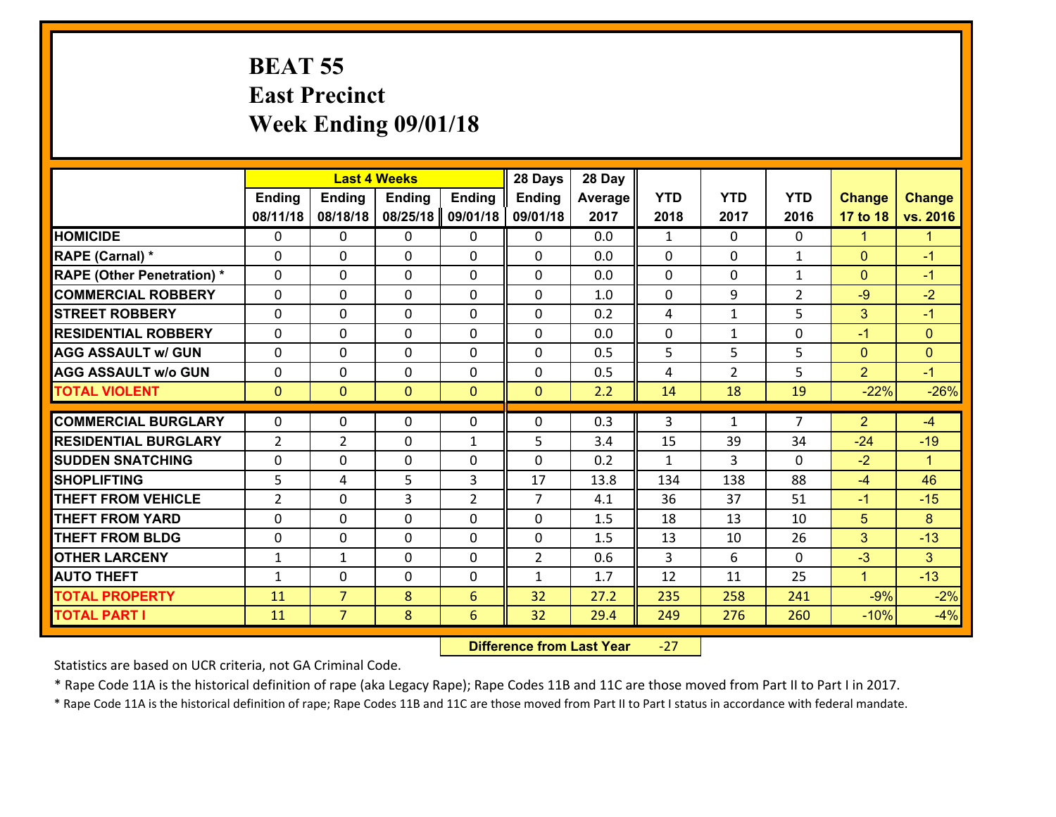#### **BEAT 55 East Precinct Week Ending 09/01/18**

|                                   |                |                | <b>Last 4 Weeks</b> |                | 28 Days        | 28 Day  |              |                |                |                      |                      |
|-----------------------------------|----------------|----------------|---------------------|----------------|----------------|---------|--------------|----------------|----------------|----------------------|----------------------|
|                                   | <b>Ending</b>  | <b>Ending</b>  | <b>Ending</b>       | <b>Ending</b>  | <b>Ending</b>  | Average | <b>YTD</b>   | <b>YTD</b>     | <b>YTD</b>     | <b>Change</b>        | <b>Change</b>        |
|                                   | 08/11/18       | 08/18/18       | 08/25/18            | 09/01/18       | 09/01/18       | 2017    | 2018         | 2017           | 2016           | 17 to 18             | vs. 2016             |
| <b>HOMICIDE</b>                   | $\Omega$       | 0              | $\Omega$            | 0              | $\Omega$       | 0.0     | 1            | $\Omega$       | 0              | $\blacktriangleleft$ | $\blacktriangleleft$ |
| RAPE (Carnal) *                   | 0              | 0              | $\mathbf{0}$        | 0              | $\Omega$       | 0.0     | $\mathbf{0}$ | 0              | $\mathbf{1}$   | $\mathbf{0}$         | $-1$                 |
| <b>RAPE (Other Penetration) *</b> | $\Omega$       | 0              | $\mathbf{0}$        | $\Omega$       | $\Omega$       | 0.0     | $\Omega$     | $\Omega$       | $\mathbf{1}$   | $\mathbf{0}$         | $-1$                 |
| <b>COMMERCIAL ROBBERY</b>         | 0              | 0              | 0                   | 0              | $\Omega$       | 1.0     | $\mathbf{0}$ | 9              | $\overline{2}$ | $-9$                 | $-2$                 |
| <b>STREET ROBBERY</b>             | $\Omega$       | 0              | $\mathbf 0$         | $\Omega$       | 0              | 0.2     | 4            | $\mathbf{1}$   | 5              | 3                    | $-1$                 |
| <b>RESIDENTIAL ROBBERY</b>        | $\Omega$       | $\Omega$       | $\mathbf 0$         | $\Omega$       | 0              | 0.0     | $\mathbf 0$  | $\mathbf{1}$   | 0              | $-1$                 | $\mathbf{0}$         |
| <b>AGG ASSAULT w/ GUN</b>         | $\Omega$       | 0              | $\mathbf 0$         | $\Omega$       | 0              | 0.5     | 5            | 5              | 5              | $\overline{0}$       | $\mathbf{0}$         |
| <b>AGG ASSAULT w/o GUN</b>        | 0              | 0              | $\mathbf 0$         | 0              | 0              | 0.5     | 4            | $\overline{2}$ | 5              | $\overline{2}$       | $-1$                 |
| <b>TOTAL VIOLENT</b>              | $\mathbf{0}$   | $\overline{0}$ | $\overline{0}$      | $\mathbf{0}$   | $\mathbf{0}$   | 2.2     | 14           | 18             | 19             | $-22%$               | $-26%$               |
| <b>COMMERCIAL BURGLARY</b>        | $\Omega$       | 0              | $\mathbf{0}$        | $\Omega$       | $\Omega$       | 0.3     | 3            | $\mathbf{1}$   | $\overline{7}$ | $\overline{2}$       | $-4$                 |
|                                   |                |                |                     |                |                |         |              |                |                |                      |                      |
| <b>RESIDENTIAL BURGLARY</b>       | $\overline{2}$ | $\overline{2}$ | $\mathbf 0$         | $\mathbf{1}$   | 5              | 3.4     | 15           | 39             | 34             | $-24$                | $-19$                |
| <b>SUDDEN SNATCHING</b>           | 0              | 0              | $\mathbf 0$         | 0              | 0              | 0.2     | $\mathbf{1}$ | 3              | $\Omega$       | $-2$                 | $\blacktriangleleft$ |
| <b>SHOPLIFTING</b>                | 5              | 4              | 5                   | 3              | 17             | 13.8    | 134          | 138            | 88             | $-4$                 | 46                   |
| <b>THEFT FROM VEHICLE</b>         | $\overline{2}$ | 0              | 3                   | $\overline{2}$ | $\overline{7}$ | 4.1     | 36           | 37             | 51             | $-1$                 | $-15$                |
| <b>THEFT FROM YARD</b>            | 0              | 0              | $\mathbf 0$         | 0              | 0              | 1.5     | 18           | 13             | 10             | 5                    | 8                    |
| <b>THEFT FROM BLDG</b>            | 0              | 0              | $\mathbf 0$         | 0              | 0              | 1.5     | 13           | 10             | 26             | 3                    | $-13$                |
| <b>OTHER LARCENY</b>              | $\mathbf{1}$   | 1              | $\mathbf 0$         | 0              | $\overline{2}$ | 0.6     | 3            | 6              | $\Omega$       | $-3$                 | 3 <sup>1</sup>       |
| <b>AUTO THEFT</b>                 | $\mathbf{1}$   | 0              | $\mathbf{0}$        | 0              | $\mathbf{1}$   | 1.7     | 12           | 11             | 25             | $\mathbf{1}$         | $-13$                |
| <b>TOTAL PROPERTY</b>             | 11             | $\overline{7}$ | 8                   | 6              | 32             | 27.2    | 235          | 258            | 241            | $-9%$                | $-2%$                |
| <b>TOTAL PART I</b>               | 11             | $\overline{7}$ | 8                   | 6              | 32             | 29.4    | 249          | 276            | 260            | $-10%$               | $-4%$                |

 **Difference from Last Year**‐27

Statistics are based on UCR criteria, not GA Criminal Code.

\* Rape Code 11A is the historical definition of rape (aka Legacy Rape); Rape Codes 11B and 11C are those moved from Part II to Part I in 2017.